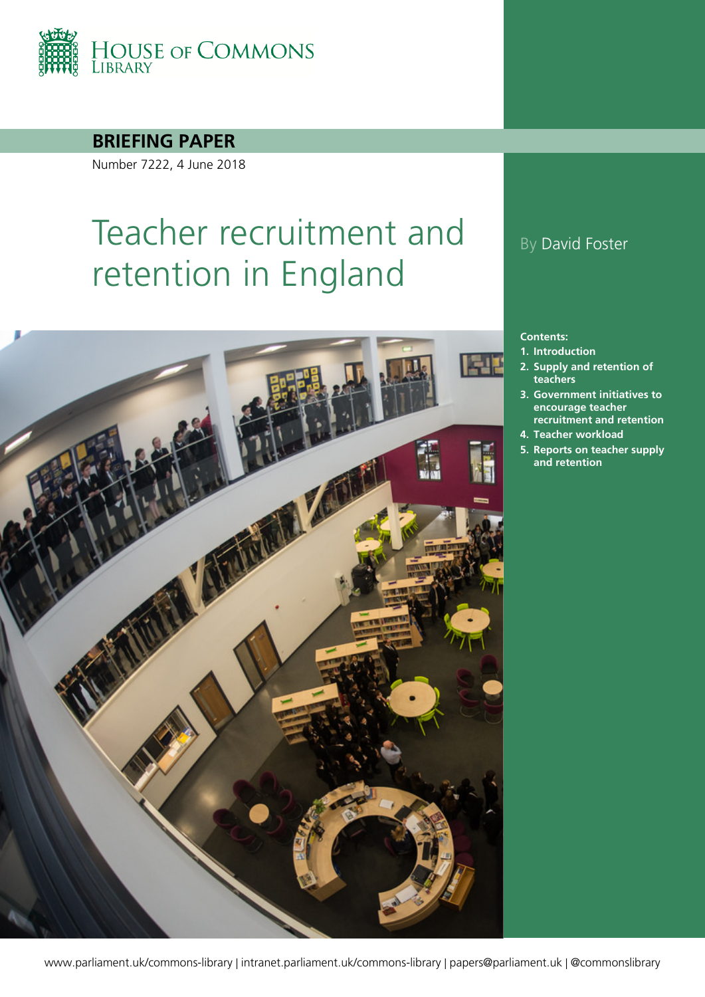

**BRIEFING PAPER**

Number 7222, 4 June 2018

# Teacher recruitment and retention in England



#### By David Foster

#### **Contents:**

- **1. [Introduction](#page-5-0)**
- **2. [Supply and retention of](#page-7-0)  [teachers](#page-7-0)**
- **3. [Government initiatives to](#page-15-0)  [encourage teacher](#page-15-0)  [recruitment and retention](#page-15-0)**
- **4. [Teacher workload](#page-29-0)**
- **5. [Reports on teacher supply](#page-34-0)  [and retention](#page-34-0)**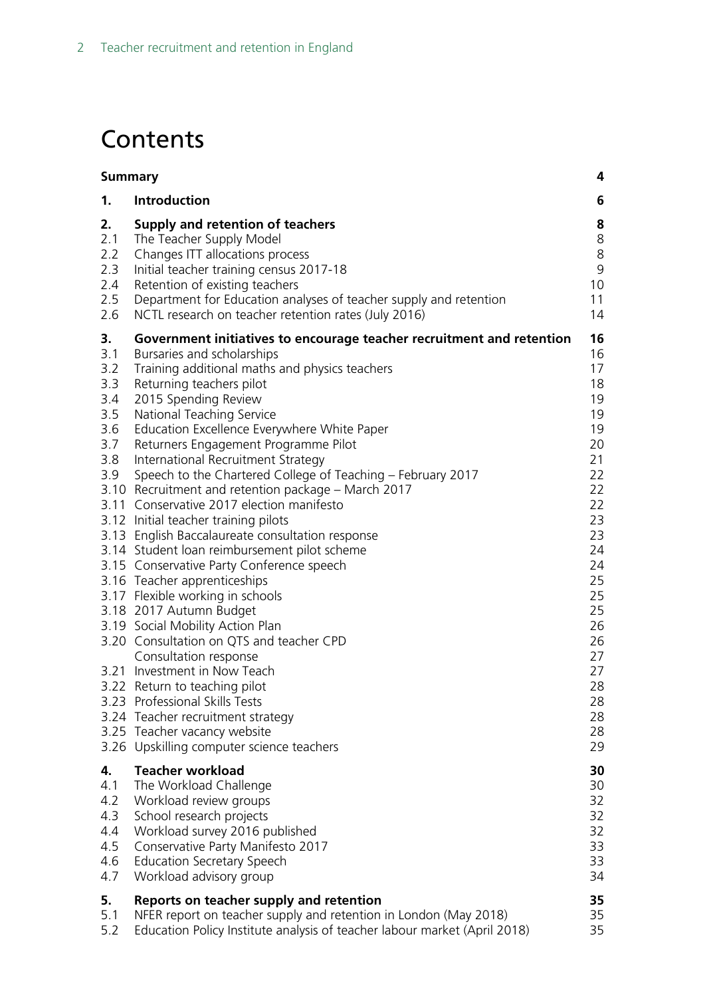# **Contents**

| <b>Summary</b>                                                    |                                                                                                                                                                                                                                                                                                                                                                                                                                                                                                                                                                                                                                                                                                                                                                                                                                                                                                                                                                                                                                                                                                                 | 4                                                                                                                                                              |
|-------------------------------------------------------------------|-----------------------------------------------------------------------------------------------------------------------------------------------------------------------------------------------------------------------------------------------------------------------------------------------------------------------------------------------------------------------------------------------------------------------------------------------------------------------------------------------------------------------------------------------------------------------------------------------------------------------------------------------------------------------------------------------------------------------------------------------------------------------------------------------------------------------------------------------------------------------------------------------------------------------------------------------------------------------------------------------------------------------------------------------------------------------------------------------------------------|----------------------------------------------------------------------------------------------------------------------------------------------------------------|
| 1.                                                                | Introduction                                                                                                                                                                                                                                                                                                                                                                                                                                                                                                                                                                                                                                                                                                                                                                                                                                                                                                                                                                                                                                                                                                    | 6                                                                                                                                                              |
| 2.<br>2.1<br>2.2<br>2.3<br>2.4<br>2.5<br>2.6                      | Supply and retention of teachers<br>The Teacher Supply Model<br>Changes ITT allocations process<br>Initial teacher training census 2017-18<br>Retention of existing teachers<br>Department for Education analyses of teacher supply and retention<br>NCTL research on teacher retention rates (July 2016)                                                                                                                                                                                                                                                                                                                                                                                                                                                                                                                                                                                                                                                                                                                                                                                                       | 8<br>8<br>8<br>9<br>10<br>11<br>14                                                                                                                             |
| 3.<br>3.1<br>3.2<br>3.3<br>3.4<br>3.5<br>3.6<br>3.7<br>3.8<br>3.9 | Government initiatives to encourage teacher recruitment and retention<br>Bursaries and scholarships<br>Training additional maths and physics teachers<br>Returning teachers pilot<br>2015 Spending Review<br>National Teaching Service<br>Education Excellence Everywhere White Paper<br>Returners Engagement Programme Pilot<br>International Recruitment Strategy<br>Speech to the Chartered College of Teaching - February 2017<br>3.10 Recruitment and retention package – March 2017<br>3.11 Conservative 2017 election manifesto<br>3.12 Initial teacher training pilots<br>3.13 English Baccalaureate consultation response<br>3.14 Student loan reimbursement pilot scheme<br>3.15 Conservative Party Conference speech<br>3.16 Teacher apprenticeships<br>3.17 Flexible working in schools<br>3.18 2017 Autumn Budget<br>3.19 Social Mobility Action Plan<br>3.20 Consultation on QTS and teacher CPD<br>Consultation response<br>3.21 Investment in Now Teach<br>3.22 Return to teaching pilot<br>3.23 Professional Skills Tests<br>3.24 Teacher recruitment strategy<br>3.25 Teacher vacancy website | 16<br>16<br>17<br>18<br>19<br>19<br>19<br>20<br>21<br>22<br>22<br>22<br>23<br>23<br>24<br>24<br>25<br>25<br>25<br>26<br>26<br>27<br>27<br>28<br>28<br>28<br>28 |
|                                                                   | 3.26 Upskilling computer science teachers                                                                                                                                                                                                                                                                                                                                                                                                                                                                                                                                                                                                                                                                                                                                                                                                                                                                                                                                                                                                                                                                       | 29                                                                                                                                                             |
| 4.<br>4.1<br>4.2<br>4.3<br>4.4<br>4.5<br>4.6<br>4.7               | <b>Teacher workload</b><br>The Workload Challenge<br>Workload review groups<br>School research projects<br>Workload survey 2016 published<br>Conservative Party Manifesto 2017<br><b>Education Secretary Speech</b><br>Workload advisory group                                                                                                                                                                                                                                                                                                                                                                                                                                                                                                                                                                                                                                                                                                                                                                                                                                                                  | 30<br>30<br>32<br>32<br>32<br>33<br>33<br>34                                                                                                                   |
| 5.<br>5.1<br>5.2                                                  | Reports on teacher supply and retention<br>NFER report on teacher supply and retention in London (May 2018)<br>Education Policy Institute analysis of teacher labour market (April 2018)                                                                                                                                                                                                                                                                                                                                                                                                                                                                                                                                                                                                                                                                                                                                                                                                                                                                                                                        | 35<br>35<br>35                                                                                                                                                 |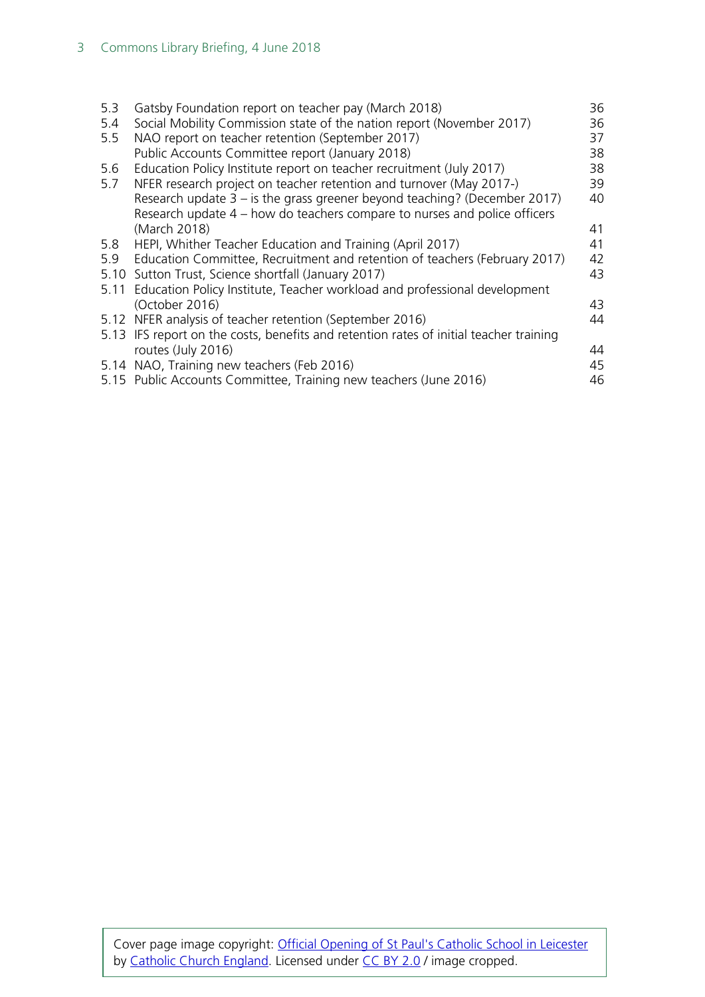| 5.3  | Gatsby Foundation report on teacher pay (March 2018)                                   | 36 |
|------|----------------------------------------------------------------------------------------|----|
| 5.4  | Social Mobility Commission state of the nation report (November 2017)                  | 36 |
| 5.5  | NAO report on teacher retention (September 2017)                                       | 37 |
|      | Public Accounts Committee report (January 2018)                                        | 38 |
| 5.6  | Education Policy Institute report on teacher recruitment (July 2017)                   | 38 |
| 5.7  | NFER research project on teacher retention and turnover (May 2017-)                    | 39 |
|      | Research update $3 - i$ is the grass greener beyond teaching? (December 2017)          | 40 |
|      | Research update 4 – how do teachers compare to nurses and police officers              |    |
|      | (March 2018)                                                                           | 41 |
| 5.8  | HEPI, Whither Teacher Education and Training (April 2017)                              | 41 |
| 5.9  | Education Committee, Recruitment and retention of teachers (February 2017)             | 42 |
| 5.10 | Sutton Trust, Science shortfall (January 2017)                                         | 43 |
| 5.11 | Education Policy Institute, Teacher workload and professional development              |    |
|      | (October 2016)                                                                         | 43 |
|      | 5.12 NFER analysis of teacher retention (September 2016)                               | 44 |
|      | 5.13 IFS report on the costs, benefits and retention rates of initial teacher training |    |
|      | routes (July 2016)                                                                     | 44 |
|      | 5.14 NAO, Training new teachers (Feb 2016)                                             | 45 |
|      | 5.15 Public Accounts Committee, Training new teachers (June 2016)                      | 46 |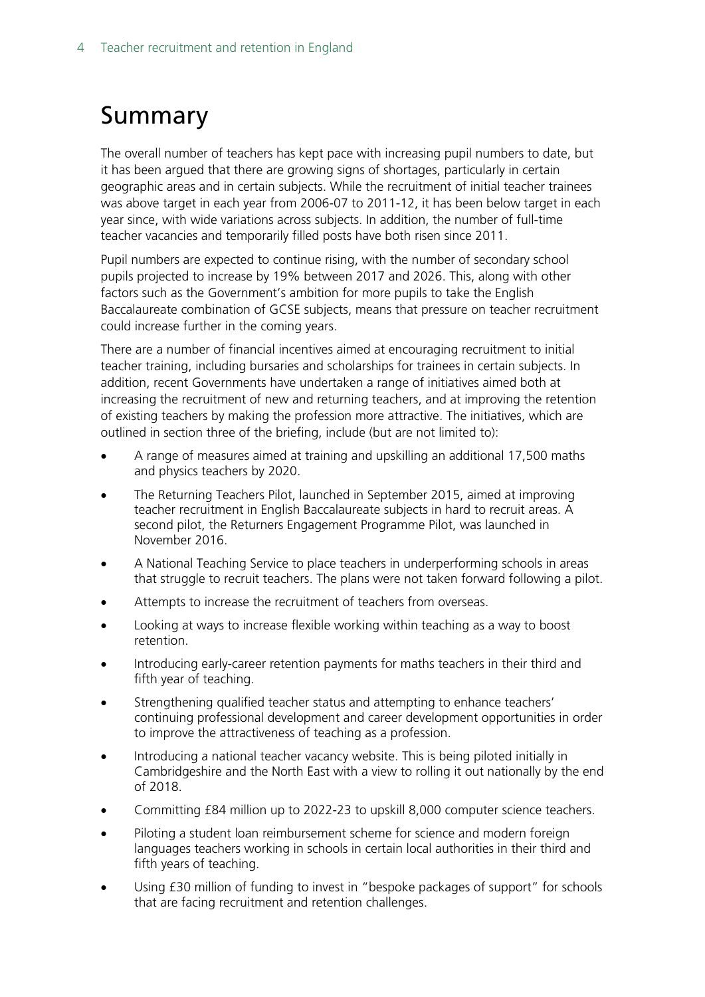# <span id="page-3-0"></span>Summary

The overall number of teachers has kept pace with increasing pupil numbers to date, but it has been argued that there are growing signs of shortages, particularly in certain geographic areas and in certain subjects. While the recruitment of initial teacher trainees was above target in each year from 2006-07 to 2011-12, it has been below target in each year since, with wide variations across subjects. In addition, the number of full-time teacher vacancies and temporarily filled posts have both risen since 2011.

Pupil numbers are expected to continue rising, with the number of secondary school pupils projected to increase by 19% between 2017 and 2026. This, along with other factors such as the Government's ambition for more pupils to take the English Baccalaureate combination of GCSE subjects, means that pressure on teacher recruitment could increase further in the coming years.

There are a number of financial incentives aimed at encouraging recruitment to initial teacher training, including bursaries and scholarships for trainees in certain subjects. In addition, recent Governments have undertaken a range of initiatives aimed both at increasing the recruitment of new and returning teachers, and at improving the retention of existing teachers by making the profession more attractive. The initiatives, which are outlined in section three of the briefing, include (but are not limited to):

- A range of measures aimed at training and upskilling an additional 17,500 maths and physics teachers by 2020.
- The Returning Teachers Pilot, launched in September 2015, aimed at improving teacher recruitment in English Baccalaureate subjects in hard to recruit areas. A second pilot, the Returners Engagement Programme Pilot, was launched in November 2016.
- A National Teaching Service to place teachers in underperforming schools in areas that struggle to recruit teachers. The plans were not taken forward following a pilot.
- Attempts to increase the recruitment of teachers from overseas.
- Looking at ways to increase flexible working within teaching as a way to boost retention.
- Introducing early-career retention payments for maths teachers in their third and fifth year of teaching.
- Strengthening qualified teacher status and attempting to enhance teachers' continuing professional development and career development opportunities in order to improve the attractiveness of teaching as a profession.
- Introducing a national teacher vacancy website. This is being piloted initially in Cambridgeshire and the North East with a view to rolling it out nationally by the end of 2018.
- Committing £84 million up to 2022-23 to upskill 8,000 computer science teachers.
- Piloting a student loan reimbursement scheme for science and modern foreign languages teachers working in schools in certain local authorities in their third and fifth years of teaching.
- Using £30 million of funding to invest in "bespoke packages of support" for schools that are facing recruitment and retention challenges.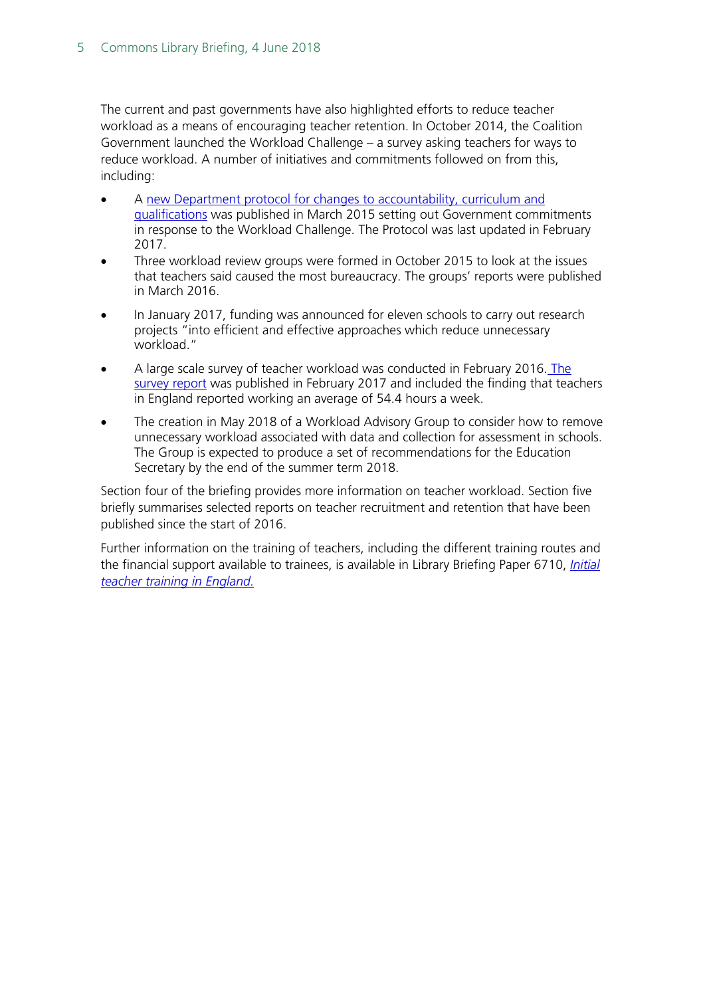The current and past governments have also highlighted efforts to reduce teacher workload as a means of encouraging teacher retention. In October 2014, the Coalition Government launched the Workload Challenge – a survey asking teachers for ways to reduce workload. A number of initiatives and commitments followed on from this, including:

- A [new Department protocol for changes to accountability, curriculum and](https://www.gov.uk/government/uploads/system/uploads/attachment_data/file/594215/DfE_Protocol_-_Feb_2017.pdf)  [qualifications](https://www.gov.uk/government/uploads/system/uploads/attachment_data/file/594215/DfE_Protocol_-_Feb_2017.pdf) was published in March 2015 setting out Government commitments in response to the Workload Challenge. The Protocol was last updated in February 2017.
- Three workload review groups were formed in October 2015 to look at the issues that teachers said caused the most bureaucracy. The groups' reports were published in March 2016.
- In January 2017, funding was announced for eleven schools to carry out research projects "into efficient and effective approaches which reduce unnecessary workload."
- A large scale survey of teacher workload was conducted in February 2016. [The](https://www.gov.uk/government/uploads/system/uploads/attachment_data/file/594696/TWS-2016_FINAL_Research_brief_Feb_2017.pdf)  [survey report](https://www.gov.uk/government/uploads/system/uploads/attachment_data/file/594696/TWS-2016_FINAL_Research_brief_Feb_2017.pdf) was published in February 2017 and included the finding that teachers in England reported working an average of 54.4 hours a week.
- The creation in May 2018 of a Workload Advisory Group to consider how to remove unnecessary workload associated with data and collection for assessment in schools. The Group is expected to produce a set of recommendations for the Education Secretary by the end of the summer term 2018.

Section four of the briefing provides more information on teacher workload. Section five briefly summarises selected reports on teacher recruitment and retention that have been published since the start of 2016.

Further information on the training of teachers, including the different training routes and the financial support available to trainees, is available in Library Briefing Paper 6710, *[Initial](http://researchbriefings.files.parliament.uk/documents/SN06710/SN06710.pdf) [teacher training in England.](http://researchbriefings.files.parliament.uk/documents/SN06710/SN06710.pdf)*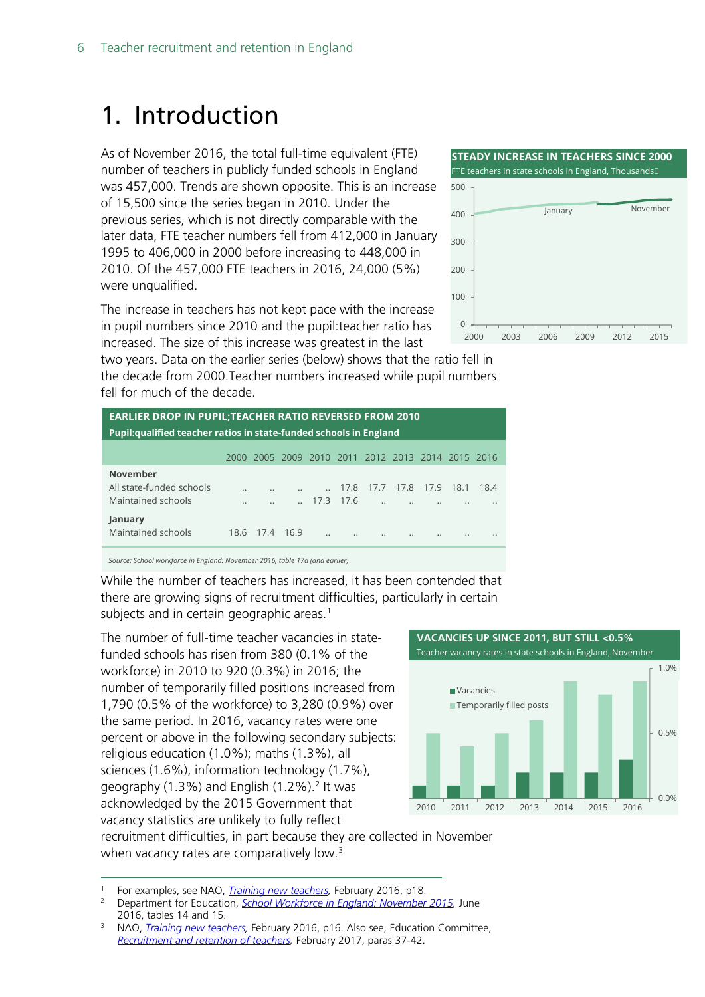# <span id="page-5-0"></span>1. Introduction

As of November 2016, the total full-time equivalent (FTE) number of teachers in publicly funded schools in England was 457,000. Trends are shown opposite. This is an increase of 15,500 since the series began in 2010. Under the previous series, which is not directly comparable with the later data, FTE teacher numbers fell from 412,000 in January 1995 to 406,000 in 2000 before increasing to 448,000 in 2010. Of the 457,000 FTE teachers in 2016, 24,000 (5%) were unqualified.

The increase in teach in pupil numbers sine increased. The size of

two years. Data on the the decade from 200 fell for much of the d

|                                                        | 100                                  |      |
|--------------------------------------------------------|--------------------------------------|------|
| ers has not kept pace with the increase                |                                      |      |
| ce 2010 and the pupil: teacher ratio has               |                                      |      |
| f this increase was greatest in the last               | 2012<br>2003<br>2009<br>2006<br>2000 | 2015 |
| he earlier series (below) shows that the ratio fell in |                                      |      |
| 0.Teacher numbers increased while pupil numbers        |                                      |      |
| decade.                                                |                                      |      |
|                                                        |                                      |      |

| <b>EARLIER DROP IN PUPIL; TEACHER RATIO REVERSED FROM 2010</b>            |                          |                |  |           |                   |                                              |      |      |      |      |
|---------------------------------------------------------------------------|--------------------------|----------------|--|-----------|-------------------|----------------------------------------------|------|------|------|------|
| <b>Pupil:</b> qualified teacher ratios in state-funded schools in England |                          |                |  |           |                   |                                              |      |      |      |      |
|                                                                           | 2000                     |                |  |           |                   | 2005 2009 2010 2011 2012 2013 2014 2015 2016 |      |      |      |      |
| <b>November</b><br>All state-funded schools<br>Maintained schools         | $\ddot{\phantom{a}}$<br> |                |  |           | 17.8<br>17.3 17.6 | 17.7<br>$\ddot{\phantom{0}}$                 | 17.8 | 17.9 | 18.1 | 18.4 |
| January<br>Maintained schools                                             |                          | 18.6 17.4 16.9 |  | $\ddotsc$ |                   | $\ddotsc$                                    |      |      |      |      |

*Source: School workforce in England: November 2016, table 17a (and earlier)*

While the number of teachers has increased, it has been contended that there are growing signs of recruitment difficulties, particularly in certain subjects and in certain geographic areas. [1](#page-5-1)

The number of full-time teacher vacancies in statefunded schools has risen from 380 (0.1% of the workforce) in 2010 to 920 (0.3%) in 2016; the number of temporarily filled positions increased from 1,790 (0.5% of the workforce) to 3,280 (0.9%) over the same period. In 2016, vacancy rates were one percent or above in the following secondary subjects: religious education (1.0%); maths (1.3%), all sciences (1.6%), information technology (1.7%), geography  $(1.3\%)$  and English  $(1.2\%)$  $(1.2\%)$  $(1.2\%)$ . It was acknowledged by the 2015 Government that vacancy statistics are unlikely to fully reflect



recruitment difficulties, in part because they are collected in November when vacancy rates are comparatively low.<sup>[3](#page-5-3)</sup>

<span id="page-5-2"></span><span id="page-5-1"></span>1 For examples, see NAO, *[Training new teachers,](https://www.nao.org.uk/wp-content/uploads/2016/02/Training-new-teachers.pdf)* February 2016, p18.

<sup>2</sup> Department for Education, *[School Workforce in England: November 2015,](https://www.gov.uk/government/statistics/school-workforce-in-england-november-2015)* June 2016, tables 14 and 15.



<span id="page-5-3"></span><sup>3</sup> NAO, *[Training new teachers,](https://www.nao.org.uk/wp-content/uploads/2016/02/Training-new-teachers.pdf)* February 2016, p16. Also see, Education Committee, *[Recruitment and retention of teachers,](https://www.publications.parliament.uk/pa/cm201617/cmselect/cmeduc/199/199.pdf)* February 2017, paras 37-42.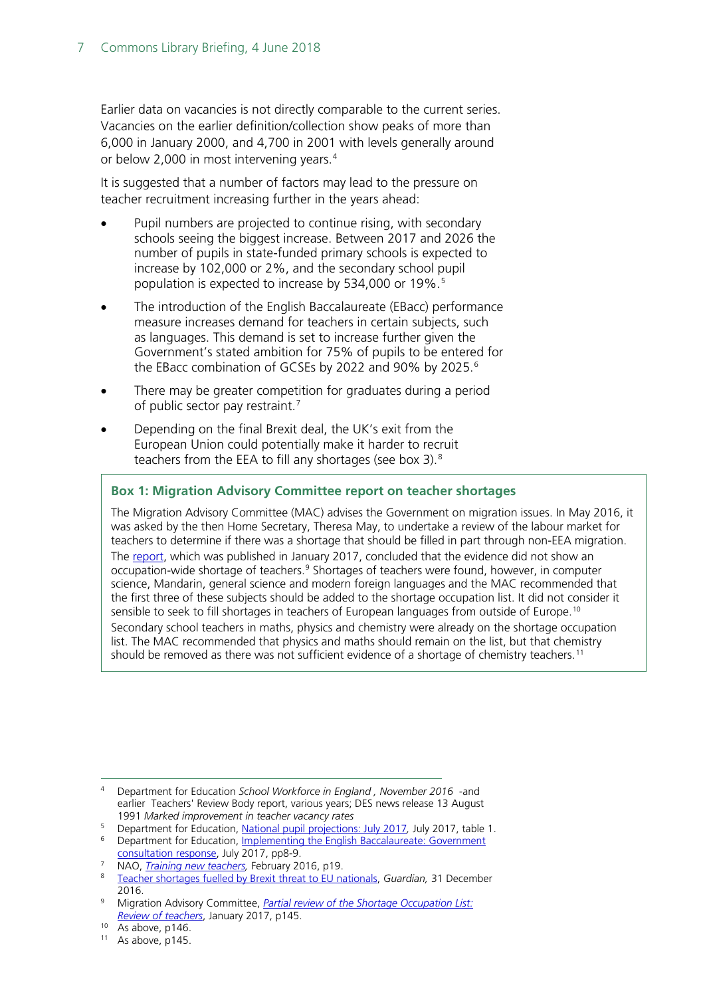Earlier data on vacancies is not directly comparable to the current series. Vacancies on the earlier definition/collection show peaks of more than 6,000 in January 2000, and 4,700 in 2001 with levels generally around or below 2,000 in most intervening years.<sup>[4](#page-6-0)</sup>

It is suggested that a number of factors may lead to the pressure on teacher recruitment increasing further in the years ahead:

- Pupil numbers are projected to continue rising, with secondary schools seeing the biggest increase. Between 2017 and 2026 the number of pupils in state-funded primary schools is expected to increase by 102,000 or 2%, and the secondary school pupil population is expected to increase by [5](#page-6-1)34,000 or 19%.<sup>5</sup>
- The introduction of the English Baccalaureate (EBacc) performance measure increases demand for teachers in certain subjects, such as languages. This demand is set to increase further given the Government's stated ambition for 75% of pupils to be entered for the EBacc combination of GCSEs by 2022 and 90% by 2025.<sup>[6](#page-6-2)</sup>
- There may be greater competition for graduates during a period of public sector pay restraint.<sup>[7](#page-6-3)</sup>
- Depending on the final Brexit deal, the UK's exit from the European Union could potentially make it harder to recruit teachers from the EEA to fill any shortages (see box 3).[8](#page-6-4)

#### **Box 1: Migration Advisory Committee report on teacher shortages**

The Migration Advisory Committee (MAC) advises the Government on migration issues. In May 2016, it was asked by the then Home Secretary, Theresa May, to undertake a review of the labour market for teachers to determine if there was a shortage that should be filled in part through non-EEA migration. The [report,](https://www.gov.uk/government/uploads/system/uploads/attachment_data/file/585998/2017_01_26_MAC_report_teachers_SOL.pdf) which was published in January 2017, concluded that the evidence did not show an occupation-wide shortage of teachers.<sup>[9](#page-6-5)</sup> Shortages of teachers were found, however, in computer science, Mandarin, general science and modern foreign languages and the MAC recommended that the first three of these subjects should be added to the shortage occupation list. It did not consider it sensible to seek to fill shortages in teachers of European languages from outside of Europe.<sup>[10](#page-6-6)</sup>

Secondary school teachers in maths, physics and chemistry were already on the shortage occupation list. The MAC recommended that physics and maths should remain on the list, but that chemistry should be removed as there was not sufficient evidence of a shortage of chemistry teachers.<sup>[11](#page-6-7)</sup>

<span id="page-6-0"></span> <sup>4</sup> Department for Education *School Workforce in England , November 2016* -and earlier Teachers' Review Body report, various years; DES news release 13 August 1991 *Marked improvement in teacher vacancy rates*

<span id="page-6-1"></span><sup>5</sup> Department for Education, [National pupil projections: July 2017](https://www.gov.uk/government/statistics/national-pupil-projections-july-2017)*,* July 2017, table 1.

<span id="page-6-2"></span><sup>6</sup> Department for Education, Implementing the [English Baccalaureate: Government](https://www.gov.uk/government/uploads/system/uploads/attachment_data/file/630713/Implementing_the_English_Baccalaureate_-_Government_consultation_response.pdf) 

[consultation response,](https://www.gov.uk/government/uploads/system/uploads/attachment_data/file/630713/Implementing_the_English_Baccalaureate_-_Government_consultation_response.pdf) July 2017, pp8-9.

<span id="page-6-4"></span><span id="page-6-3"></span><sup>7</sup> NAO, *[Training new teachers,](https://www.nao.org.uk/wp-content/uploads/2016/02/Training-new-teachers.pdf)* February 2016, p19. <sup>8</sup> [Teacher shortages fuelled by Brexit threat to EU nationals,](https://www.theguardian.com/education/2016/dec/31/brexit-threat-to-teachers-from-eu) *Guardian,* 31 December

<span id="page-6-5"></span><sup>2016.</sup> <sup>9</sup> Migration Advisory Committee, *[Partial review of the Shortage Occupation List:](https://www.gov.uk/government/uploads/system/uploads/attachment_data/file/585998/2017_01_26_MAC_report_teachers_SOL.pdf)  [Review of teachers](https://www.gov.uk/government/uploads/system/uploads/attachment_data/file/585998/2017_01_26_MAC_report_teachers_SOL.pdf)*, January 2017, p145.

<span id="page-6-6"></span> $10$  As above, p146.

<span id="page-6-7"></span> $11$  As above, p145.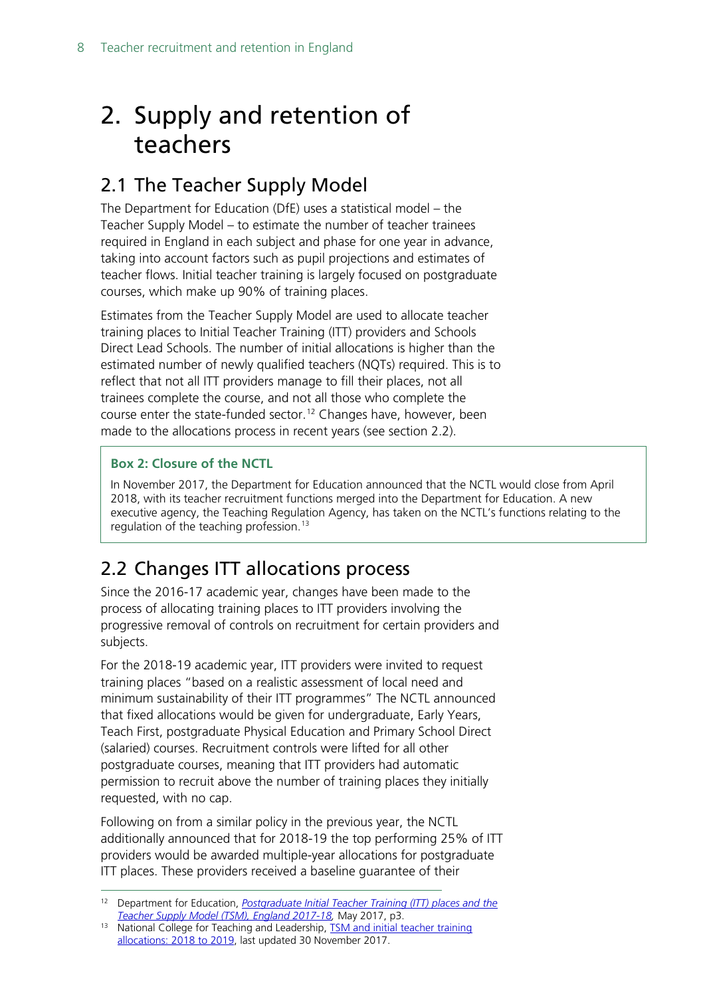# <span id="page-7-0"></span>2. Supply and retention of teachers

## <span id="page-7-1"></span>2.1 The Teacher Supply Model

The Department for Education (DfE) uses a statistical model – the Teacher Supply Model – to estimate the number of teacher trainees required in England in each subject and phase for one year in advance, taking into account factors such as pupil projections and estimates of teacher flows. Initial teacher training is largely focused on postgraduate courses, which make up 90% of training places.

Estimates from the Teacher Supply Model are used to allocate teacher training places to Initial Teacher Training (ITT) providers and Schools Direct Lead Schools. The number of initial allocations is higher than the estimated number of newly qualified teachers (NQTs) required. This is to reflect that not all ITT providers manage to fill their places, not all trainees complete the course, and not all those who complete the course enter the state-funded sector.<sup>[12](#page-7-3)</sup> Changes have, however, been made to the allocations process in recent years (see section 2.2).

#### **Box 2: Closure of the NCTL**

In November 2017, the Department for Education announced that the NCTL would close from April 2018, with its teacher recruitment functions merged into the Department for Education. A new executive agency, the Teaching Regulation Agency, has taken on the NCTL's functions relating to the regulation of the teaching profession.<sup>[13](#page-7-4)</sup>

# <span id="page-7-2"></span>2.2 Changes ITT allocations process

Since the 2016-17 academic year, changes have been made to the process of allocating training places to ITT providers involving the progressive removal of controls on recruitment for certain providers and subjects.

For the 2018-19 academic year, ITT providers were invited to request training places "based on a realistic assessment of local need and minimum sustainability of their ITT programmes" The NCTL announced that fixed allocations would be given for undergraduate, Early Years, Teach First, postgraduate Physical Education and Primary School Direct (salaried) courses. Recruitment controls were lifted for all other postgraduate courses, meaning that ITT providers had automatic permission to recruit above the number of training places they initially requested, with no cap.

Following on from a similar policy in the previous year, the NCTL additionally announced that for 2018-19 the top performing 25% of ITT providers would be awarded multiple-year allocations for postgraduate ITT places. These providers received a baseline guarantee of their

<span id="page-7-3"></span> <sup>12</sup> Department for Education, *[Postgraduate Initial Teacher Training \(ITT\) places and the](https://www.gov.uk/government/uploads/system/uploads/attachment_data/file/613037/SFR42_2017_TSM_Main_Text.pdf)  [Teacher Supply Model \(TSM\), England 2017-18,](https://www.gov.uk/government/uploads/system/uploads/attachment_data/file/613037/SFR42_2017_TSM_Main_Text.pdf)* May 2017, p3.

<span id="page-7-4"></span><sup>13</sup> National College for Teaching and Leadership, [TSM and initial teacher training](https://www.gov.uk/government/statistics/tsm-and-initial-teacher-training-allocations-2018-to-2019)  [allocations: 2018 to 2019,](https://www.gov.uk/government/statistics/tsm-and-initial-teacher-training-allocations-2018-to-2019) last updated 30 November 2017.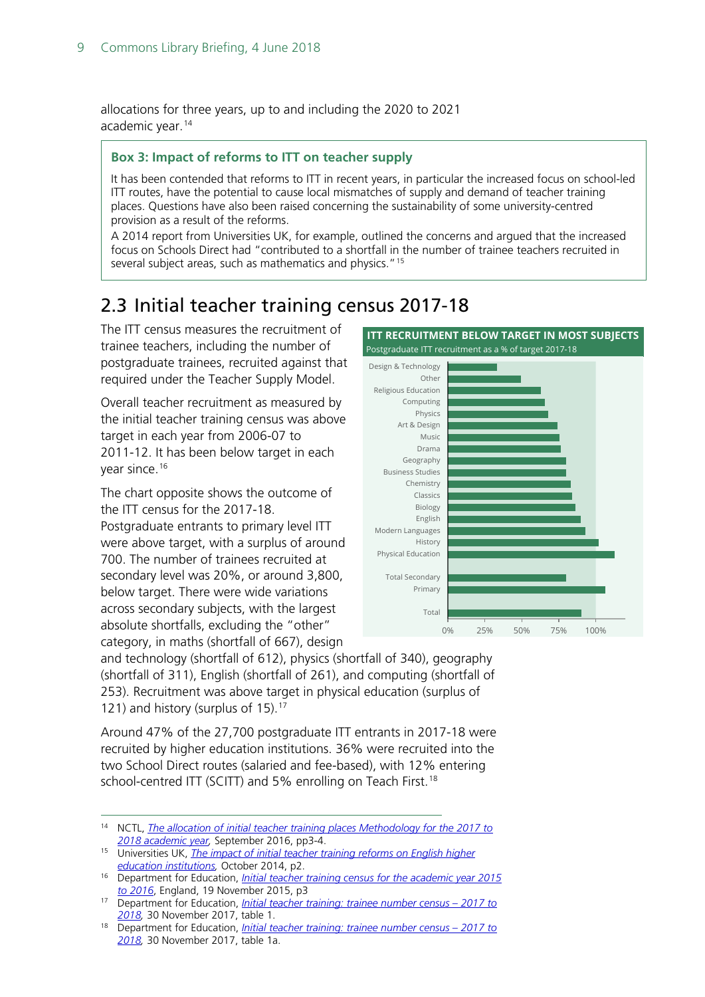allocations for three years, up to and including the 2020 to 2021 academic year.<sup>[14](#page-8-1)</sup>

#### **Box 3: Impact of reforms to ITT on teacher supply**

It has been contended that reforms to ITT in recent years, in particular the increased focus on school-led ITT routes, have the potential to cause local mismatches of supply and demand of teacher training places. Questions have also been raised concerning the sustainability of some university-centred provision as a result of the reforms.

A 2014 report from Universities UK, for example, outlined the concerns and argued that the increased focus on Schools Direct had "contributed to a shortfall in the number of trainee teachers recruited in several subject areas, such as mathematics and physics."<sup>[15](#page-8-5)</sup>

# <span id="page-8-0"></span>2.3 Initial teacher training census 2017-18

The ITT census measures the recruitment of trainee teachers, including the number of postgraduate trainees, recruited against that required under the Teacher Supply Model.

Overall teacher recruitment as measured by the initial teacher training census was above target in each year from 2006-07 to 2011-12. It has been below target in each year since.<sup>[16](#page-8-2)</sup>

The chart opposite shows the outcome of the ITT census for the 2017-18. Postgraduate entrants to primary level ITT were above target, with a surplus of around 700. The number of trainees recruited at secondary level was 20%, or around 3,800, below target. There were wide variations across secondary subjects, with the largest absolute shortfalls, excluding the "other" category, in maths (shortfall of 667), design



and technology (shortfall of 612), physics (shortfall of 340), geography (shortfall of 311), English (shortfall of 261), and computing (shortfall of 253). Recruitment was above target in physical education (surplus of 121) and history (surplus of 15). [17](#page-8-3)

Around 47% of the 27,700 postgraduate ITT entrants in 2017-18 were recruited by higher education institutions. 36% were recruited into the two School Direct routes (salaried and fee-based), with 12% entering school-centred ITT (SCITT) and 5% enrolling on Teach First.<sup>[18](#page-8-4)</sup>

<span id="page-8-1"></span><sup>&</sup>lt;sup>14</sup> NCTL, *The allocation of initial teacher training places Methodology for the 2017 to [2018 academic year,](https://www.gov.uk/government/uploads/system/uploads/attachment_data/file/556735/The_allocation_of_initial_teacher_training_places_2017-18.pdf)* September 2016, pp3-4.

<span id="page-8-5"></span><sup>15</sup> Universities UK, *[The impact of initial teacher training reforms on English higher](http://www.universitiesuk.ac.uk/policy-and-analysis/reports/Pages/impact-of-initial-teacher-training-reforms.aspx)  [education institutions,](http://www.universitiesuk.ac.uk/policy-and-analysis/reports/Pages/impact-of-initial-teacher-training-reforms.aspx)* October 2014, p2.

<span id="page-8-2"></span><sup>16</sup> Department for Education, *[Initial teacher training census for the academic year 2015](https://www.gov.uk/government/uploads/system/uploads/attachment_data/file/478098/ITT_CENSUS_SFR_46_2015_to_2016.pdf)  [to 2016](https://www.gov.uk/government/uploads/system/uploads/attachment_data/file/478098/ITT_CENSUS_SFR_46_2015_to_2016.pdf)*, England, 19 November 2015, p3

<span id="page-8-3"></span><sup>17</sup> Department for Education, *[Initial teacher training: trainee number census –](https://www.gov.uk/government/statistics/initial-teacher-training-trainee-number-census-2017-to-2018) 2017 to [2018,](https://www.gov.uk/government/statistics/initial-teacher-training-trainee-number-census-2017-to-2018)* 30 November 2017, table 1.

<span id="page-8-4"></span><sup>18</sup> Department for Education, *[Initial teacher training: trainee number census –](https://www.gov.uk/government/statistics/initial-teacher-training-trainee-number-census-2017-to-2018) 2017 to [2018,](https://www.gov.uk/government/statistics/initial-teacher-training-trainee-number-census-2017-to-2018)* 30 November 2017, table 1a.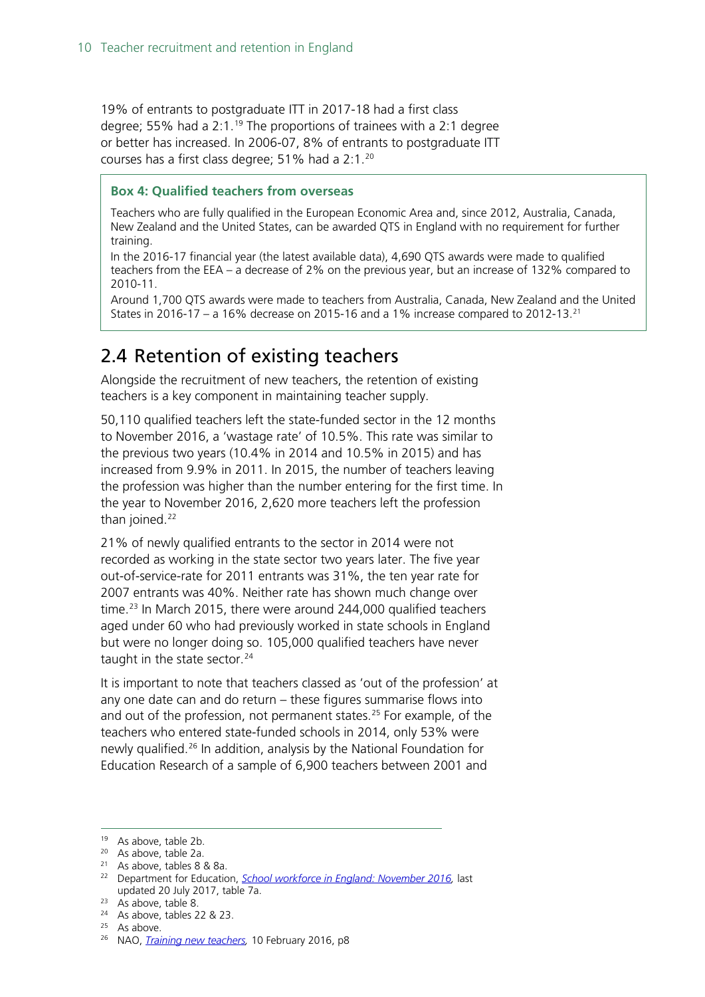19% of entrants to postgraduate ITT in 2017-18 had a first class degree; 55% had a 2:1.<sup>[19](#page-9-1)</sup> The proportions of trainees with a 2:1 degree or better has increased. In 2006-07, 8% of entrants to postgraduate ITT courses has a first class degree; 51% had a 2:1.[20](#page-9-2)

#### **Box 4: Qualified teachers from overseas**

Teachers who are fully qualified in the European Economic Area and, since 2012, Australia, Canada, New Zealand and the United States, can be awarded QTS in England with no requirement for further training.

In the 2016-17 financial year (the latest available data), 4,690 QTS awards were made to qualified teachers from the EEA – a decrease of 2% on the previous year, but an increase of 132% compared to 2010-11.

Around 1,700 QTS awards were made to teachers from Australia, Canada, New Zealand and the United States in 2016-17 – a 16% decrease on 2015-16 and a 1% increase compared to 2012-13.<sup>[21](#page-9-3)</sup>

### <span id="page-9-0"></span>2.4 Retention of existing teachers

Alongside the recruitment of new teachers, the retention of existing teachers is a key component in maintaining teacher supply.

50,110 qualified teachers left the state-funded sector in the 12 months to November 2016, a 'wastage rate' of 10.5%. This rate was similar to the previous two years (10.4% in 2014 and 10.5% in 2015) and has increased from 9.9% in 2011. In 2015, the number of teachers leaving the profession was higher than the number entering for the first time. In the year to November 2016, 2,620 more teachers left the profession than joined. $22$ 

21% of newly qualified entrants to the sector in 2014 were not recorded as working in the state sector two years later. The five year out-of-service-rate for 2011 entrants was 31%, the ten year rate for 2007 entrants was 40%. Neither rate has shown much change over time.<sup>[23](#page-9-5)</sup> In March 2015, there were around 244,000 qualified teachers aged under 60 who had previously worked in state schools in England but were no longer doing so. 105,000 qualified teachers have never taught in the state sector.<sup>[24](#page-9-6)</sup>

It is important to note that teachers classed as 'out of the profession' at any one date can and do return – these figures summarise flows into and out of the profession, not permanent states.<sup>[25](#page-9-7)</sup> For example, of the teachers who entered state-funded schools in 2014, only 53% were newly qualified.[26](#page-9-8) In addition, analysis by the National Foundation for Education Research of a sample of 6,900 teachers between 2001 and

<span id="page-9-1"></span> <sup>19</sup> As above, table 2b.

<span id="page-9-2"></span><sup>20</sup> As above, table 2a.

<span id="page-9-3"></span><sup>21</sup> As above, tables 8 & 8a.

<span id="page-9-4"></span><sup>22</sup> Department for Education, *[School workforce in England: November 2016,](https://www.gov.uk/government/statistics/school-workforce-in-england-november-2016)* last updated 20 July 2017, table 7a.

<span id="page-9-5"></span><sup>23</sup> As above, table 8.

<span id="page-9-6"></span><sup>&</sup>lt;sup>24</sup> As above, tables 22 & 23.<br><sup>25</sup> As above.

<span id="page-9-8"></span><span id="page-9-7"></span><sup>&</sup>lt;sup>26</sup> NAO, *Training new teachers*, 10 February 2016, p8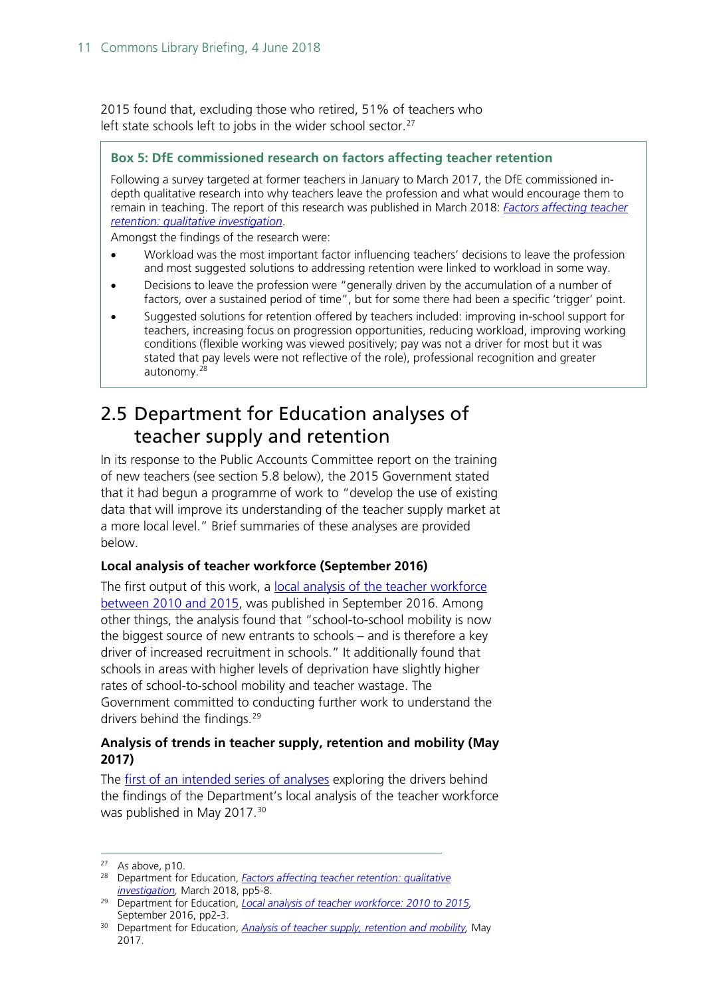2015 found that, excluding those who retired, 51% of teachers who left state schools left to jobs in the wider school sector. $27$ 

#### **Box 5: DfE commissioned research on factors affecting teacher retention**

Following a survey targeted at former teachers in January to March 2017, the DfE commissioned indepth qualitative research into why teachers leave the profession and what would encourage them to remain in teaching. The report of this research was published in March 2018: *[Factors affecting teacher](https://assets.publishing.service.gov.uk/government/uploads/system/uploads/attachment_data/file/686947/Factors_affecting_teacher_retention_-_qualitative_investigation.pdf)  [retention: qualitative investigation](https://assets.publishing.service.gov.uk/government/uploads/system/uploads/attachment_data/file/686947/Factors_affecting_teacher_retention_-_qualitative_investigation.pdf)*.

Amongst the findings of the research were:

- Workload was the most important factor influencing teachers' decisions to leave the profession and most suggested solutions to addressing retention were linked to workload in some way.
- Decisions to leave the profession were "generally driven by the accumulation of a number of factors, over a sustained period of time", but for some there had been a specific 'trigger' point.
- Suggested solutions for retention offered by teachers included: improving in-school support for teachers, increasing focus on progression opportunities, reducing workload, improving working conditions (flexible working was viewed positively; pay was not a driver for most but it was stated that pay levels were not reflective of the role), professional recognition and greater autonomy.[28](#page-10-2)

### <span id="page-10-0"></span>2.5 Department for Education analyses of teacher supply and retention

In its response to the Public Accounts Committee report on the training of new teachers (see section 5.8 below), the 2015 Government stated that it had begun a programme of work to "develop the use of existing data that will improve its understanding of the teacher supply market at a more local level." Brief summaries of these analyses are provided below.

#### **Local analysis of teacher workforce (September 2016)**

The first output of this work, a local analysis of the teacher workforce [between 2010 and 2015,](https://www.gov.uk/government/statistics/local-analysis-of-teacher-workforce-2010-to-2015) was published in September 2016. Among other things, the analysis found that "school-to-school mobility is now the biggest source of new entrants to schools – and is therefore a key driver of increased recruitment in schools." It additionally found that schools in areas with higher levels of deprivation have slightly higher rates of school-to-school mobility and teacher wastage. The Government committed to conducting further work to understand the drivers behind the findings.<sup>[29](#page-10-3)</sup>

#### **Analysis of trends in teacher supply, retention and mobility (May 2017)**

The [first of an intended series of analyses](https://www.gov.uk/government/statistics/teachers-analysis-compendium-2017) exploring the drivers behind the findings of the Department's local analysis of the teacher workforce was published in May 2017.<sup>[30](#page-10-4)</sup>

<span id="page-10-1"></span> $27$  As above, p10.

<span id="page-10-2"></span><sup>28</sup> Department for Education, *[Factors affecting teacher retention: qualitative](https://assets.publishing.service.gov.uk/government/uploads/system/uploads/attachment_data/file/686947/Factors_affecting_teacher_retention_-_qualitative_investigation.pdf)  [investigation,](https://assets.publishing.service.gov.uk/government/uploads/system/uploads/attachment_data/file/686947/Factors_affecting_teacher_retention_-_qualitative_investigation.pdf)* March 2018, pp5-8.

<span id="page-10-3"></span><sup>29</sup> Department for Education, *[Local analysis of teacher workforce: 2010 to 2015,](https://www.gov.uk/government/statistics/local-analysis-of-teacher-workforce-2010-to-2015)*  September 2016, pp2-3.

<span id="page-10-4"></span><sup>30</sup> Department for Education, *[Analysis of teacher supply, retention and mobility,](https://www.gov.uk/government/statistics/teachers-analysis-compendium-2017)* May 2017.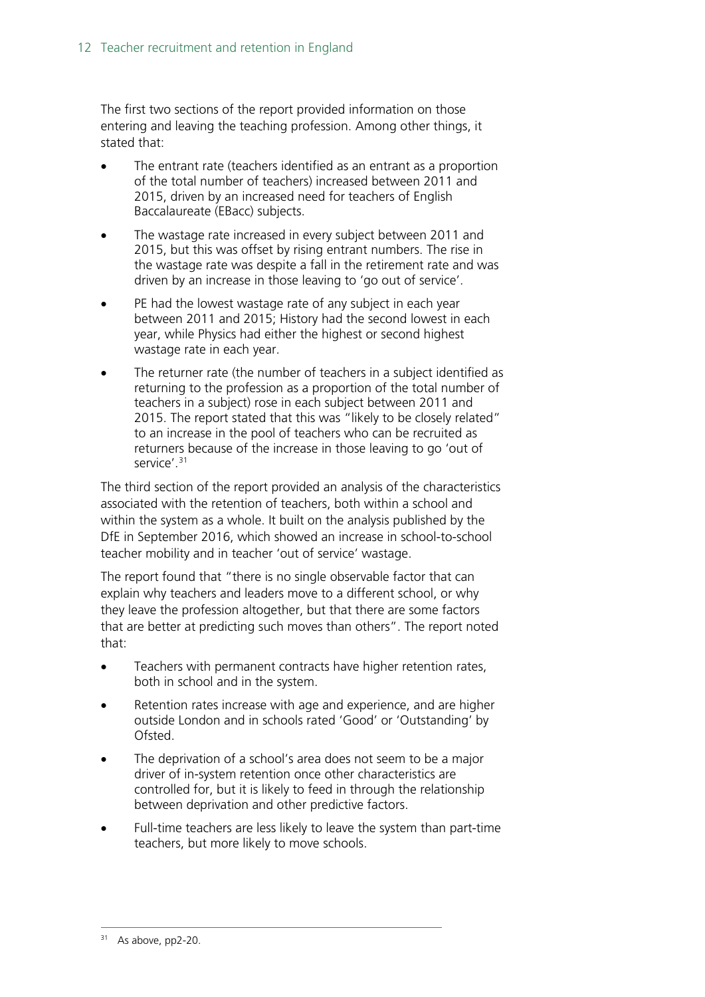The first two sections of the report provided information on those entering and leaving the teaching profession. Among other things, it stated that:

- The entrant rate (teachers identified as an entrant as a proportion of the total number of teachers) increased between 2011 and 2015, driven by an increased need for teachers of English Baccalaureate (EBacc) subjects.
- The wastage rate increased in every subject between 2011 and 2015, but this was offset by rising entrant numbers. The rise in the wastage rate was despite a fall in the retirement rate and was driven by an increase in those leaving to 'go out of service'.
- PE had the lowest wastage rate of any subject in each year between 2011 and 2015; History had the second lowest in each year, while Physics had either the highest or second highest wastage rate in each year.
- The returner rate (the number of teachers in a subject identified as returning to the profession as a proportion of the total number of teachers in a subject) rose in each subject between 2011 and 2015. The report stated that this was "likely to be closely related" to an increase in the pool of teachers who can be recruited as returners because of the increase in those leaving to go 'out of service'.<sup>[31](#page-11-0)</sup>

The third section of the report provided an analysis of the characteristics associated with the retention of teachers, both within a school and within the system as a whole. It built on the analysis published by the DfE in September 2016, which showed an increase in school-to-school teacher mobility and in teacher 'out of service' wastage.

The report found that "there is no single observable factor that can explain why teachers and leaders move to a different school, or why they leave the profession altogether, but that there are some factors that are better at predicting such moves than others". The report noted that:

- Teachers with permanent contracts have higher retention rates, both in school and in the system.
- Retention rates increase with age and experience, and are higher outside London and in schools rated 'Good' or 'Outstanding' by Ofsted.
- The deprivation of a school's area does not seem to be a major driver of in-system retention once other characteristics are controlled for, but it is likely to feed in through the relationship between deprivation and other predictive factors.
- <span id="page-11-0"></span>Full-time teachers are less likely to leave the system than part-time teachers, but more likely to move schools.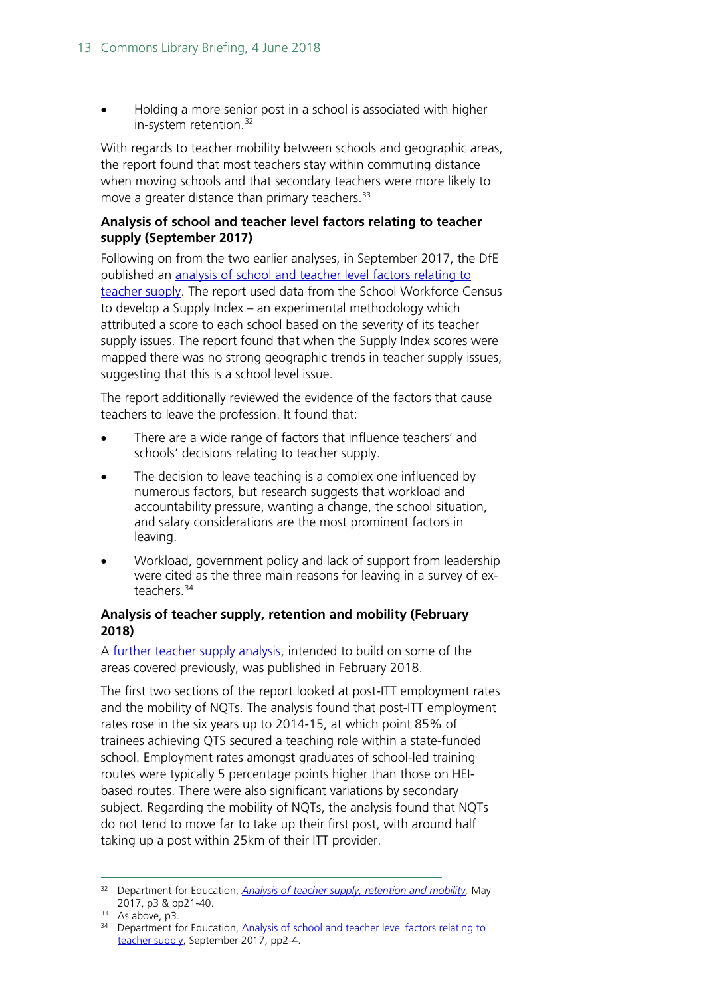• Holding a more senior post in a school is associated with higher in-system retention.<sup>[32](#page-12-0)</sup>

With regards to teacher mobility between schools and geographic areas, the report found that most teachers stay within commuting distance when moving schools and that secondary teachers were more likely to move a greater distance than primary teachers.<sup>[33](#page-12-1)</sup>

#### **Analysis of school and teacher level factors relating to teacher supply (September 2017)**

Following on from the two earlier analyses, in September 2017, the DfE published an [analysis of school and teacher level factors relating to](https://www.gov.uk/government/uploads/system/uploads/attachment_data/file/643974/SFR86_2017_Main_Text.pdf)  [teacher supply.](https://www.gov.uk/government/uploads/system/uploads/attachment_data/file/643974/SFR86_2017_Main_Text.pdf) The report used data from the School Workforce Census to develop a Supply Index – an experimental methodology which attributed a score to each school based on the severity of its teacher supply issues. The report found that when the Supply Index scores were mapped there was no strong geographic trends in teacher supply issues, suggesting that this is a school level issue.

The report additionally reviewed the evidence of the factors that cause teachers to leave the profession. It found that:

- There are a wide range of factors that influence teachers' and schools' decisions relating to teacher supply.
- The decision to leave teaching is a complex one influenced by numerous factors, but research suggests that workload and accountability pressure, wanting a change, the school situation, and salary considerations are the most prominent factors in leaving.
- Workload, government policy and lack of support from leadership were cited as the three main reasons for leaving in a survey of ex-teachers.<sup>[34](#page-12-2)</sup>

#### **Analysis of teacher supply, retention and mobility (February 2018)**

A [further teacher supply analysis,](https://assets.publishing.service.gov.uk/government/uploads/system/uploads/attachment_data/file/682892/SFR11_2018_Main_Text.pdf) intended to build on some of the areas covered previously, was published in February 2018.

The first two sections of the report looked at post-ITT employment rates and the mobility of NQTs. The analysis found that post-ITT employment rates rose in the six years up to 2014-15, at which point 85% of trainees achieving QTS secured a teaching role within a state-funded school. Employment rates amongst graduates of school-led training routes were typically 5 percentage points higher than those on HEIbased routes. There were also significant variations by secondary subject. Regarding the mobility of NQTs, the analysis found that NQTs do not tend to move far to take up their first post, with around half taking up a post within 25km of their ITT provider.

<span id="page-12-0"></span> <sup>32</sup> Department for Education, *[Analysis of teacher supply, retention and mobility,](https://www.gov.uk/government/statistics/teachers-analysis-compendium-2017)* May 2017, p3 & pp21-40.

<span id="page-12-1"></span><sup>33</sup> As above, p3.

<span id="page-12-2"></span><sup>&</sup>lt;sup>34</sup> Department for Education, Analysis of school and teacher level factors relating to [teacher supply,](https://www.gov.uk/government/uploads/system/uploads/attachment_data/file/643974/SFR86_2017_Main_Text.pdf) September 2017, pp2-4.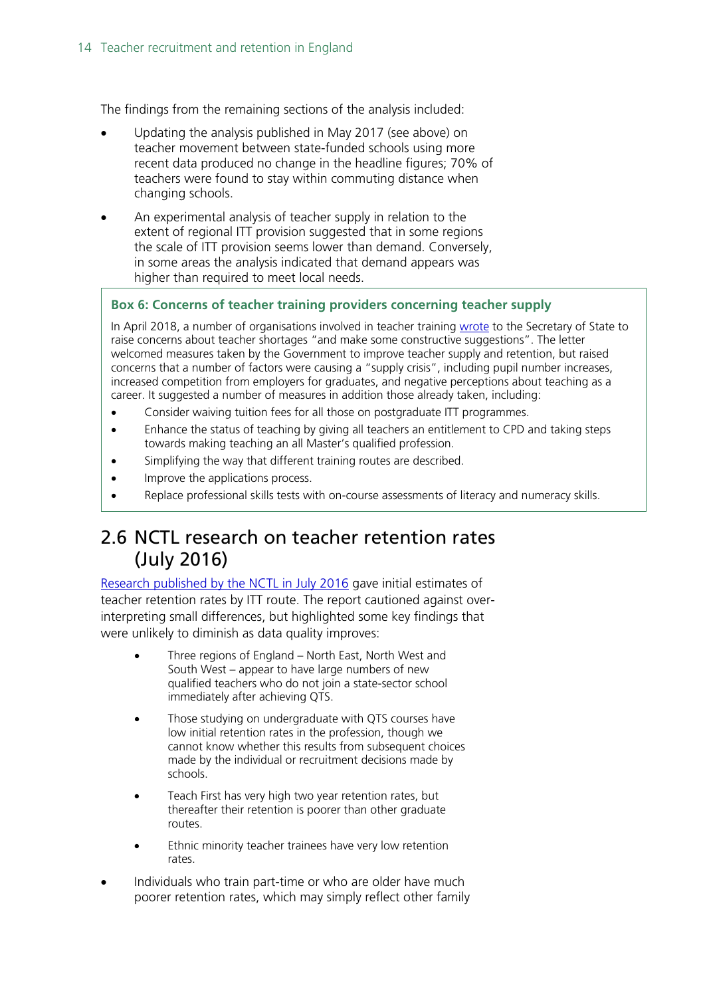The findings from the remaining sections of the analysis included:

- Updating the analysis published in May 2017 (see above) on teacher movement between state-funded schools using more recent data produced no change in the headline figures; 70% of teachers were found to stay within commuting distance when changing schools.
- An experimental analysis of teacher supply in relation to the extent of regional ITT provision suggested that in some regions the scale of ITT provision seems lower than demand. Conversely, in some areas the analysis indicated that demand appears was higher than required to meet local needs.

#### **Box 6: Concerns of teacher training providers concerning teacher supply**

In April 2018, a number of organisations involved in teacher training [wrote](https://www.tscouncil.org.uk/secretaryofstate-letter-teachershortages/) to the Secretary of State to raise concerns about teacher shortages "and make some constructive suggestions". The letter welcomed measures taken by the Government to improve teacher supply and retention, but raised concerns that a number of factors were causing a "supply crisis", including pupil number increases, increased competition from employers for graduates, and negative perceptions about teaching as a career. It suggested a number of measures in addition those already taken, including:

- Consider waiving tuition fees for all those on postgraduate ITT programmes.
- Enhance the status of teaching by giving all teachers an entitlement to CPD and taking steps towards making teaching an all Master's qualified profession.
- Simplifying the way that different training routes are described.
- Improve the applications process.
- Replace professional skills tests with on-course assessments of literacy and numeracy skills.

### <span id="page-13-0"></span>2.6 NCTL research on teacher retention rates (July 2016)

[Research published by the NCTL in July 2016](https://www.gov.uk/government/uploads/system/uploads/attachment_data/file/544773/Linking_ITT_and_workforce_data__Initial_Teacher_Training_Performance_Profiles_and_School_Workforce_Census_.pdf) gave initial estimates of teacher retention rates by ITT route. The report cautioned against overinterpreting small differences, but highlighted some key findings that were unlikely to diminish as data quality improves:

- Three regions of England North East, North West and South West – appear to have large numbers of new qualified teachers who do not join a state-sector school immediately after achieving QTS.
- Those studying on undergraduate with QTS courses have low initial retention rates in the profession, though we cannot know whether this results from subsequent choices made by the individual or recruitment decisions made by schools.
- Teach First has very high two year retention rates, but thereafter their retention is poorer than other graduate routes.
- Ethnic minority teacher trainees have very low retention rates.
- Individuals who train part-time or who are older have much poorer retention rates, which may simply reflect other family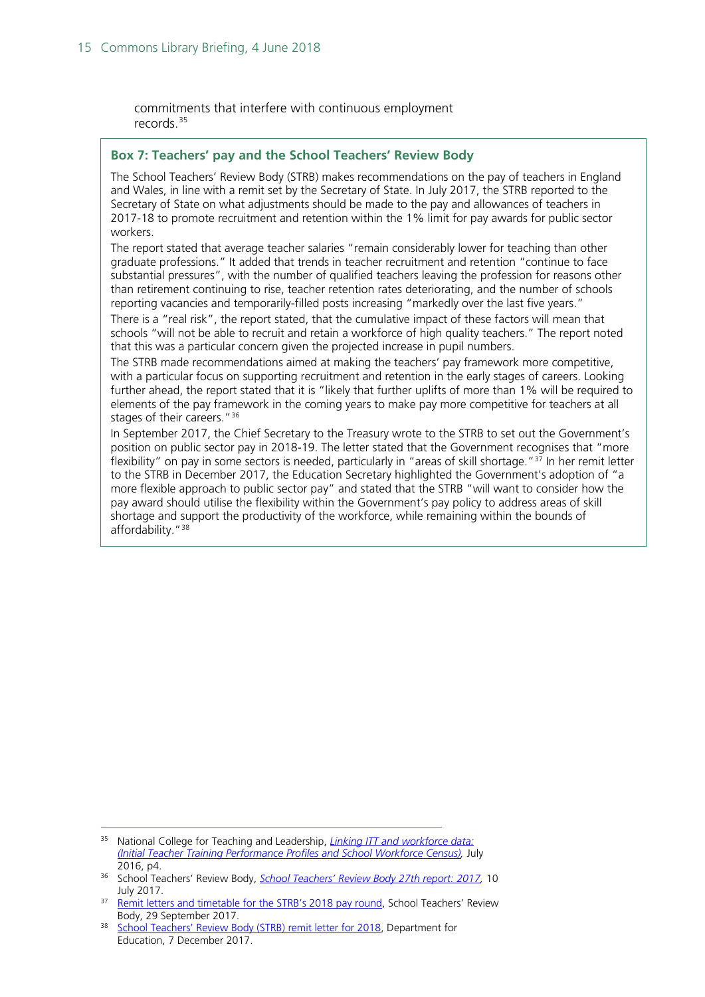commitments that interfere with continuous employment records.[35](#page-14-0)

#### **Box 7: Teachers' pay and the School Teachers' Review Body**

The School Teachers' Review Body (STRB) makes recommendations on the pay of teachers in England and Wales, in line with a remit set by the Secretary of State. In July 2017, the STRB reported to the Secretary of State on what adjustments should be made to the pay and allowances of teachers in 2017-18 to promote recruitment and retention within the 1% limit for pay awards for public sector workers.

The report stated that average teacher salaries "remain considerably lower for teaching than other graduate professions." It added that trends in teacher recruitment and retention "continue to face substantial pressures", with the number of qualified teachers leaving the profession for reasons other than retirement continuing to rise, teacher retention rates deteriorating, and the number of schools reporting vacancies and temporarily-filled posts increasing "markedly over the last five years."

There is a "real risk", the report stated, that the cumulative impact of these factors will mean that schools "will not be able to recruit and retain a workforce of high quality teachers." The report noted that this was a particular concern given the projected increase in pupil numbers.

The STRB made recommendations aimed at making the teachers' pay framework more competitive, with a particular focus on supporting recruitment and retention in the early stages of careers. Looking further ahead, the report stated that it is "likely that further uplifts of more than 1% will be required to elements of the pay framework in the coming years to make pay more competitive for teachers at all stages of their careers."<sup>[36](#page-14-1)</sup>

In September 2017, the Chief Secretary to the Treasury wrote to the STRB to set out the Government's position on public sector pay in 2018-19. The letter stated that the Government recognises that "more flexibility" on pay in some sectors is needed, particularly in "areas of skill shortage."[37](#page-14-2) In her remit letter to the STRB in December 2017, the Education Secretary highlighted the Government's adoption of "a more flexible approach to public sector pay" and stated that the STRB "will want to consider how the pay award should utilise the flexibility within the Government's pay policy to address areas of skill shortage and support the productivity of the workforce, while remaining within the bounds of affordability.["38](#page-14-3)

<span id="page-14-0"></span> <sup>35</sup> National College for Teaching and Leadership, *[Linking ITT and workforce data:](https://www.gov.uk/government/uploads/system/uploads/attachment_data/file/544773/Linking_ITT_and_workforce_data__Initial_Teacher_Training_Performance_Profiles_and_School_Workforce_Census_.pdf)  [\(Initial Teacher Training Performance Profiles and School Workforce Census\),](https://www.gov.uk/government/uploads/system/uploads/attachment_data/file/544773/Linking_ITT_and_workforce_data__Initial_Teacher_Training_Performance_Profiles_and_School_Workforce_Census_.pdf)* July 2016, p4.

<span id="page-14-1"></span><sup>36</sup> School Teachers' Review Body, *[School Teachers' Review Body 27th report: 2017,](https://www.gov.uk/government/publications/school-teachers-review-body-27th-report-2017)* 10 July 2017.

<span id="page-14-2"></span><sup>&</sup>lt;sup>37</sup> [Remit letters and timetable for the STRB's 2018 pay round,](https://www.gov.uk/government/publications/chief-secretary-to-the-treasury-letter-to-the-strb-chair--2) School Teachers' Review Body, 29 September 2017.

<span id="page-14-3"></span><sup>&</sup>lt;sup>38</sup> [School Teachers' Review Body \(STRB\) remit letter for 2018,](https://www.gov.uk/government/publications/school-teachers-review-body-strb-remit-letter-for-2018) Department for Education, 7 December 2017.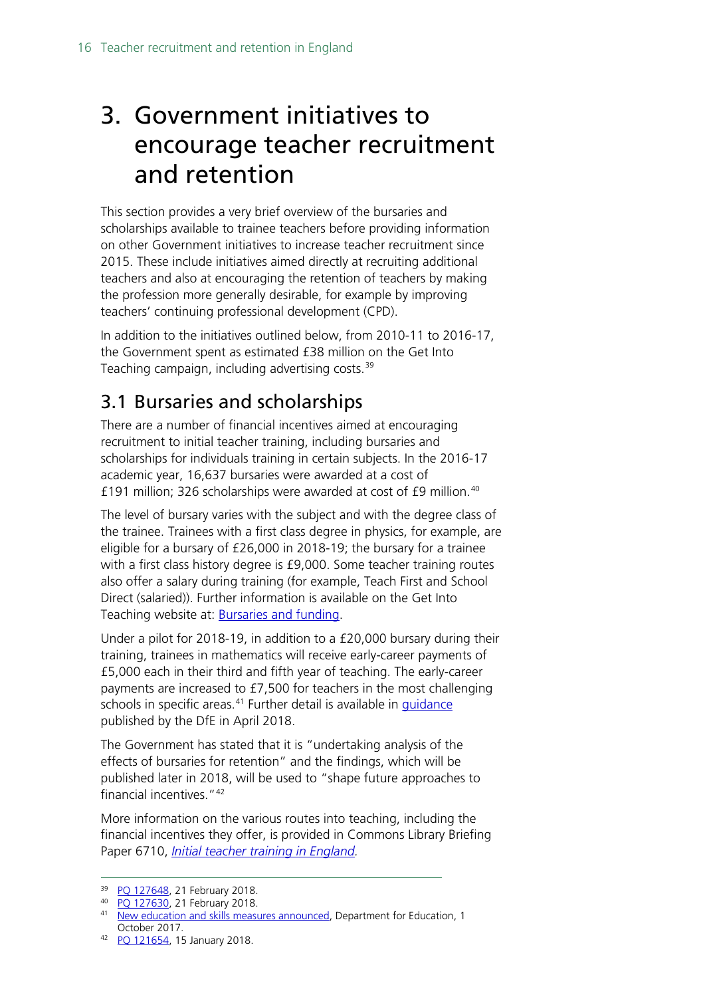# <span id="page-15-0"></span>3. Government initiatives to encourage teacher recruitment and retention

This section provides a very brief overview of the bursaries and scholarships available to trainee teachers before providing information on other Government initiatives to increase teacher recruitment since 2015. These include initiatives aimed directly at recruiting additional teachers and also at encouraging the retention of teachers by making the profession more generally desirable, for example by improving teachers' continuing professional development (CPD).

In addition to the initiatives outlined below, from 2010-11 to 2016-17, the Government spent as estimated £38 million on the Get Into Teaching campaign, including advertising costs.<sup>[39](#page-15-2)</sup>

## <span id="page-15-1"></span>3.1 Bursaries and scholarships

There are a number of financial incentives aimed at encouraging recruitment to initial teacher training, including bursaries and scholarships for individuals training in certain subjects. In the 2016-17 academic year, 16,637 bursaries were awarded at a cost of £191 million; 326 scholarships were awarded at cost of £9 million.<sup>[40](#page-15-3)</sup>

The level of bursary varies with the subject and with the degree class of the trainee. Trainees with a first class degree in physics, for example, are eligible for a bursary of £26,000 in 2018-19; the bursary for a trainee with a first class history degree is £9,000. Some teacher training routes also offer a salary during training (for example, Teach First and School Direct (salaried)). Further information is available on the Get Into Teaching website at: [Bursaries and funding.](https://getintoteaching.education.gov.uk/funding-and-salary/overview)

Under a pilot for 2018-19, in addition to a £20,000 bursary during their training, trainees in mathematics will receive early-career payments of £5,000 each in their third and fifth year of teaching. The early-career payments are increased to £7,500 for teachers in the most challenging schools in specific areas.<sup>[41](#page-15-4)</sup> Further detail is available in *guidance* published by the DfE in April 2018.

The Government has stated that it is "undertaking analysis of the effects of bursaries for retention" and the findings, which will be published later in 2018, will be used to "shape future approaches to financial incentives."[42](#page-15-5)

More information on the various routes into teaching, including the financial incentives they offer, is provided in Commons Library Briefing Paper 6710, *[Initial teacher training in England.](http://researchbriefings.files.parliament.uk/documents/SN06710/SN06710.pdf)* 

<span id="page-15-2"></span><sup>39</sup> [PQ 127648,](https://www.parliament.uk/written-questions-answers-statements/written-question/commons/2018-02-08/127648) 21 February 2018.

<span id="page-15-4"></span><span id="page-15-3"></span><sup>40</sup> [PQ 127630,](https://www.parliament.uk/written-questions-answers-statements/written-question/commons/2018-02-08/127630) 21 February 2018.

<sup>&</sup>lt;sup>41</sup> [New education and skills measures announced,](https://www.gov.uk/government/news/new-education-and-skills-measures-announced) Department for Education, 1 October 2017.

<span id="page-15-5"></span><sup>42</sup> [PQ 121654,](http://www.parliament.uk/written-questions-answers-statements/written-question/commons/2018-01-09/121654) 15 January 2018.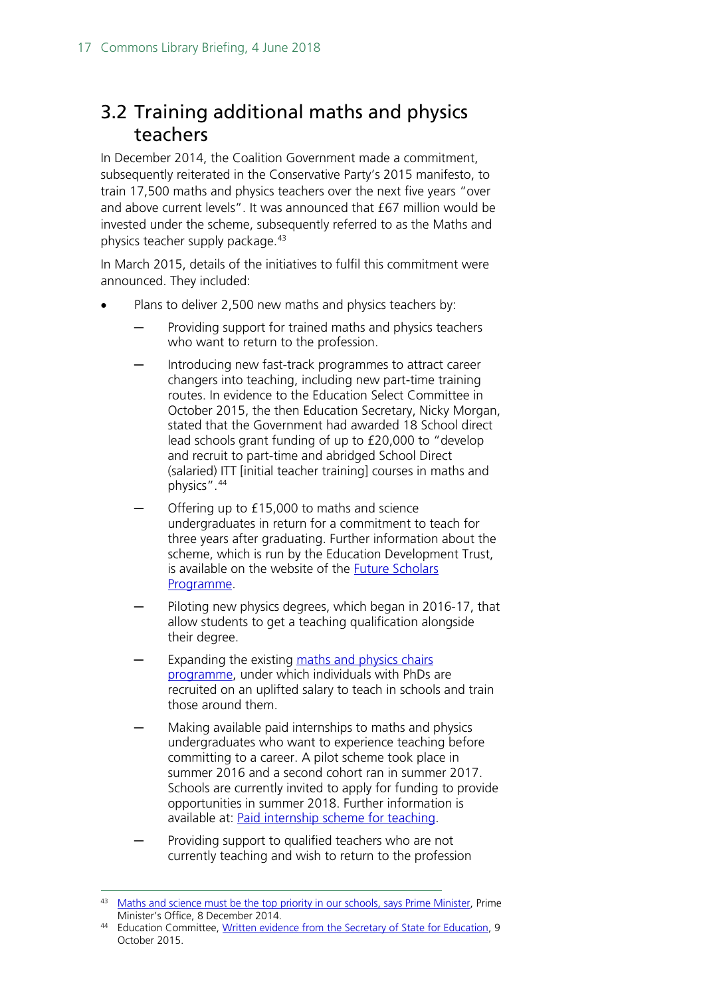## <span id="page-16-0"></span>3.2 Training additional maths and physics teachers

In December 2014, the Coalition Government made a commitment, subsequently reiterated in the Conservative Party's 2015 manifesto, to train 17,500 maths and physics teachers over the next five years "over and above current levels". It was announced that £67 million would be invested under the scheme, subsequently referred to as the Maths and physics teacher supply package.<sup>[43](#page-16-1)</sup>

In March 2015, details of the initiatives to fulfil this commitment were announced. They included:

- Plans to deliver 2,500 new maths and physics teachers by:
	- Providing support for trained maths and physics teachers who want to return to the profession.
	- Introducing new fast-track programmes to attract career changers into teaching, including new part-time training routes. In evidence to the Education Select Committee in October 2015, the then Education Secretary, Nicky Morgan, stated that the Government had awarded 18 School direct lead schools grant funding of up to £20,000 to "develop and recruit to part-time and abridged School Direct (salaried) ITT [initial teacher training] courses in maths and physics".[44](#page-16-2)
	- Offering up to £15,000 to maths and science undergraduates in return for a commitment to teach for three years after graduating. Further information about the scheme, which is run by the Education Development Trust, is available on the website of the [Future Scholars](https://www.futureteachingscholars.com/programme)  [Programme.](https://www.futureteachingscholars.com/programme)
	- Piloting new physics degrees, which began in 2016-17, that allow students to get a teaching qualification alongside their degree.
	- Expanding the existing maths and physics chairs [programme,](http://www.researchersinschools.org/our-work/maths-and-physics-chairs-programme/) under which individuals with PhDs are recruited on an uplifted salary to teach in schools and train those around them.
	- Making available paid internships to maths and physics undergraduates who want to experience teaching before committing to a career. A pilot scheme took place in summer 2016 and a second cohort ran in summer 2017. Schools are currently invited to apply for funding to provide opportunities in summer 2018. Further information is available at: [Paid internship scheme for teaching.](https://www.gov.uk/guidance/paid-internships-for-teaching)
	- Providing support to qualified teachers who are not currently teaching and wish to return to the profession

<span id="page-16-1"></span><sup>&</sup>lt;sup>43</sup> [Maths and science must be the top priority in our schools, says Prime Minister,](https://www.gov.uk/government/news/maths-and-science-must-be-the-top-priority-in-our-schools-says-prime-minister) Prime Minister's Office, 8 December 2014.

<span id="page-16-2"></span><sup>44</sup> Education Committee, [Written evidence from the Secretary of State for Education,](http://www.parliament.uk/documents/commons-committees/Education/Letter-from-the-Secretary-of-State-regarding-teacher-recruitment.pdf) 9 October 2015.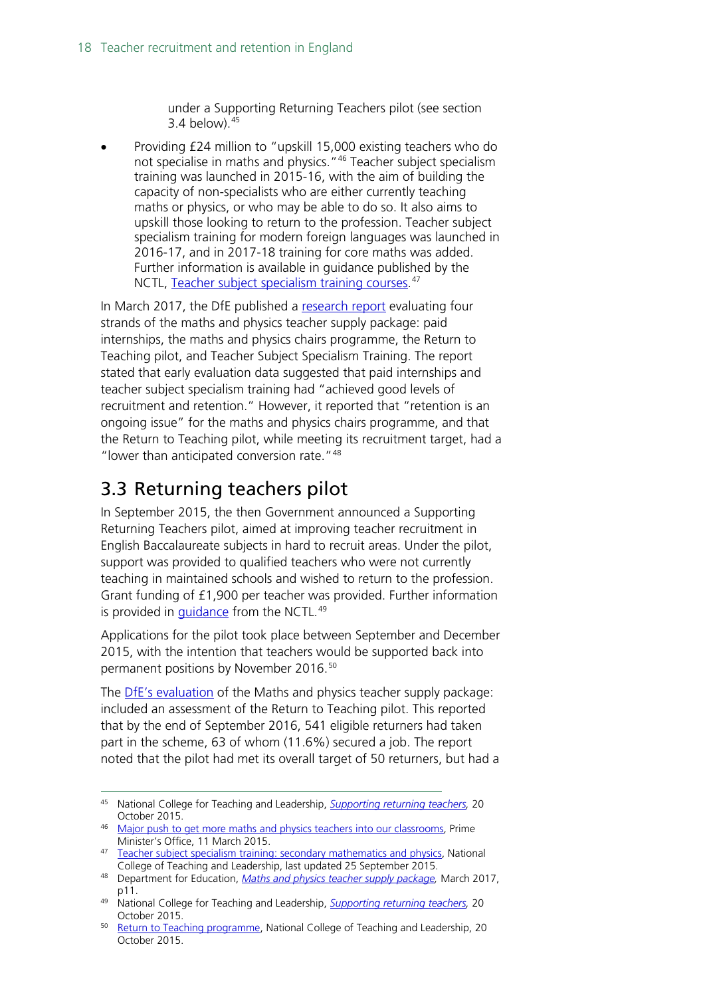under a Supporting Returning Teachers pilot (see section 3.4 below).[45](#page-17-1)

• Providing £24 million to "upskill 15,000 existing teachers who do not specialise in maths and physics."[46](#page-17-2) Teacher subject specialism training was launched in 2015-16, with the aim of building the capacity of non-specialists who are either currently teaching maths or physics, or who may be able to do so. It also aims to upskill those looking to return to the profession. Teacher subject specialism training for modern foreign languages was launched in 2016-17, and in 2017-18 training for core maths was added. Further information is available in guidance published by the NCTL, [Teacher](https://www.gov.uk/guidance/teacher-subject-specialism-training-courses) subject specialism training courses.<sup>[47](#page-17-3)</sup>

In March 2017, the DfE published a [research report](https://www.gov.uk/government/publications/maths-and-physics-teacher-supply-package) evaluating four strands of the maths and physics teacher supply package: paid internships, the maths and physics chairs programme, the Return to Teaching pilot, and Teacher Subject Specialism Training. The report stated that early evaluation data suggested that paid internships and teacher subject specialism training had "achieved good levels of recruitment and retention." However, it reported that "retention is an ongoing issue" for the maths and physics chairs programme, and that the Return to Teaching pilot, while meeting its recruitment target, had a "lower than anticipated conversion rate."[48](#page-17-4)

## <span id="page-17-0"></span>3.3 Returning teachers pilot

In September 2015, the then Government announced a Supporting Returning Teachers pilot, aimed at improving teacher recruitment in English Baccalaureate subjects in hard to recruit areas. Under the pilot, support was provided to qualified teachers who were not currently teaching in maintained schools and wished to return to the profession. Grant funding of £1,900 per teacher was provided. Further information is provided in *guidance* from the NCTL.<sup>[49](#page-17-5)</sup>

Applications for the pilot took place between September and December 2015, with the intention that teachers would be supported back into permanent positions by November 2016.<sup>[50](#page-17-6)</sup>

The **DfE's evaluation** of the Maths and physics teacher supply package: included an assessment of the Return to Teaching pilot. This reported that by the end of September 2016, 541 eligible returners had taken part in the scheme, 63 of whom (11.6%) secured a job. The report noted that the pilot had met its overall target of 50 returners, but had a

<span id="page-17-1"></span> <sup>45</sup> National College for Teaching and Leadership, *[Supporting returning teachers,](https://www.gov.uk/guidance/supporting-returning-teachers#overview)* <sup>20</sup> October 2015.

<span id="page-17-2"></span><sup>&</sup>lt;sup>46</sup> [Major push to get more maths and physics teachers into our classrooms,](https://www.gov.uk/government/news/major-push-to-get-more-maths-and-physics-teachers-into-our-classrooms) Prime Minister's Office, 11 March 2015.

<span id="page-17-3"></span><sup>47</sup> [Teacher subject specialism training: secondary mathematics and physics,](https://www.gov.uk/guidance/teacher-subject-specialism-training-secondary-maths-and-physics) National College of Teaching and Leadership, last updated 25 September 2015.

<span id="page-17-4"></span><sup>48</sup> Department for Education, *[Maths and physics teacher supply package,](https://www.gov.uk/government/publications/maths-and-physics-teacher-supply-package)* March 2017, p11.

<span id="page-17-5"></span><sup>49</sup> National College for Teaching and Leadership, *[Supporting returning teachers,](https://www.gov.uk/guidance/supporting-returning-teachers#overview)* 20 October 2015.

<span id="page-17-6"></span><sup>&</sup>lt;sup>50</sup> [Return to Teaching programme,](https://www.gov.uk/guidance/supporting-returning-teachers) National College of Teaching and Leadership, 20 October 2015.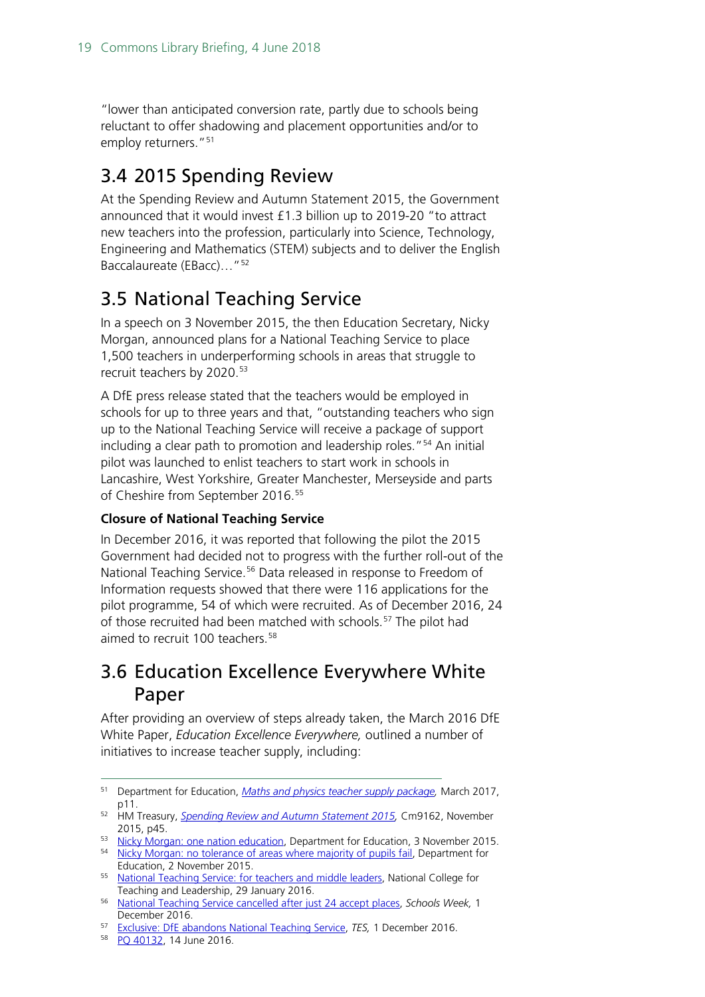"lower than anticipated conversion rate, partly due to schools being reluctant to offer shadowing and placement opportunities and/or to employ returners."<sup>[51](#page-18-3)</sup>

### <span id="page-18-0"></span>3.4 2015 Spending Review

At the Spending Review and Autumn Statement 2015, the Government announced that it would invest £1.3 billion up to 2019-20 "to attract new teachers into the profession, particularly into Science, Technology, Engineering and Mathematics (STEM) subjects and to deliver the English Baccalaureate (EBacc)…"[52](#page-18-4)

### <span id="page-18-1"></span>3.5 National Teaching Service

In a speech on 3 November 2015, the then Education Secretary, Nicky Morgan, announced plans for a National Teaching Service to place 1,500 teachers in underperforming schools in areas that struggle to recruit teachers by 2020.<sup>[53](#page-18-5)</sup>

A DfE press release stated that the teachers would be employed in schools for up to three years and that, "outstanding teachers who sign up to the National Teaching Service will receive a package of support including a clear path to promotion and leadership roles."<sup>[54](#page-18-6)</sup> An initial pilot was launched to enlist teachers to start work in schools in Lancashire, West Yorkshire, Greater Manchester, Merseyside and parts of Cheshire from September 2016.<sup>[55](#page-18-7)</sup>

#### **Closure of National Teaching Service**

In December 2016, it was reported that following the pilot the 2015 Government had decided not to progress with the further roll-out of the National Teaching Service.<sup>[56](#page-18-8)</sup> Data released in response to Freedom of Information requests showed that there were 116 applications for the pilot programme, 54 of which were recruited. As of December 2016, 24 of those recruited had been matched with schools.<sup>[57](#page-18-9)</sup> The pilot had aimed to recruit 100 teachers.<sup>[58](#page-18-10)</sup>

#### <span id="page-18-2"></span>3.6 Education Excellence Everywhere White Paper

After providing an overview of steps already taken, the March 2016 DfE White Paper, *Education Excellence Everywhere,* outlined a number of initiatives to increase teacher supply, including:

<span id="page-18-3"></span> <sup>51</sup> Department for Education, *[Maths and physics teacher supply package,](https://www.gov.uk/government/publications/maths-and-physics-teacher-supply-package)* March 2017, p11.

<span id="page-18-4"></span><sup>52</sup> HM Treasury, *[Spending Review and Autumn Statement 2015,](https://www.gov.uk/government/uploads/system/uploads/attachment_data/file/479749/52229_Blue_Book_PU1865_Web_Accessible.pdf)* Cm9162, November 2015, p45.

<span id="page-18-5"></span><sup>53</sup> [Nicky Morgan: one nation education,](https://www.gov.uk/government/speeches/nicky-morgan-one-nation-education) Department for Education, 3 November 2015.

<span id="page-18-6"></span><sup>&</sup>lt;sup>54</sup> [Nicky Morgan: no tolerance of areas where majority of pupils fail,](https://www.gov.uk/government/news/nicky-morgan-no-tolerance-of-areas-where-majority-of-pupils-fail) Department for Education, 2 November 2015.

<span id="page-18-7"></span><sup>55</sup> [National Teaching Service: for teachers and middle leaders,](https://www.gov.uk/guidance/national-teaching-service-for-teachers-and-middle-leaders#benefits) National College for Teaching and Leadership, 29 January 2016.

<span id="page-18-8"></span><sup>56</sup> [National Teaching Service cancelled after just 24 accept places,](http://schoolsweek.co.uk/national-teaching-service-cancelled-after-just-24-accept-places/) *Schools Week,* 1 December 2016.

<span id="page-18-10"></span><span id="page-18-9"></span><sup>57</sup> [Exclusive: DfE abandons National Teaching Service,](https://www.tes.com/news/school-news/breaking-news/exclusive-dfe-abandons-national-teaching-service) *TES,* 1 December 2016.

<sup>58</sup> [PQ 40132,](http://www.parliament.uk/written-questions-answers-statements/written-question/commons/2016-06-09/40132) 14 June 2016.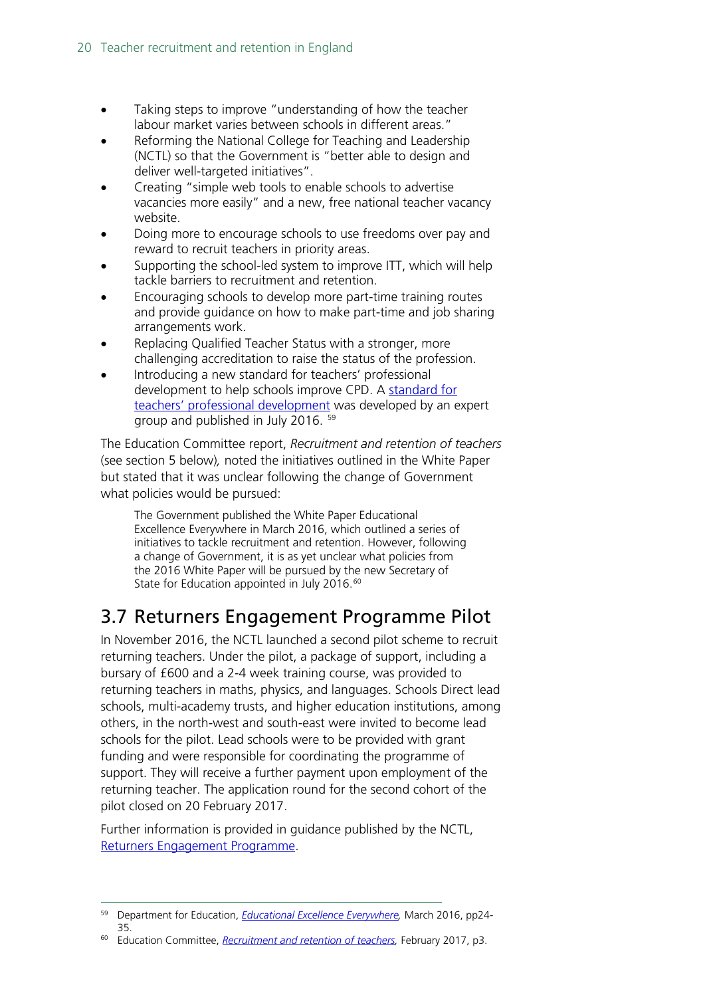- Taking steps to improve "understanding of how the teacher labour market varies between schools in different areas."
- Reforming the National College for Teaching and Leadership (NCTL) so that the Government is "better able to design and deliver well-targeted initiatives".
- Creating "simple web tools to enable schools to advertise vacancies more easily" and a new, free national teacher vacancy website.
- Doing more to encourage schools to use freedoms over pay and reward to recruit teachers in priority areas.
- Supporting the school-led system to improve ITT, which will help tackle barriers to recruitment and retention.
- Encouraging schools to develop more part-time training routes and provide guidance on how to make part-time and job sharing arrangements work.
- Replacing Qualified Teacher Status with a stronger, more challenging accreditation to raise the status of the profession.
- Introducing a new standard for teachers' professional development to help schools improve CPD. A [standard for](https://www.gov.uk/government/publications/standard-for-teachers-professional-development)  [teachers' professional development](https://www.gov.uk/government/publications/standard-for-teachers-professional-development) was developed by an expert group and published in July 2016. [59](#page-19-1)

The Education Committee report, *Recruitment and retention of teachers*  (see section 5 below)*,* noted the initiatives outlined in the White Paper but stated that it was unclear following the change of Government what policies would be pursued:

The Government published the White Paper Educational Excellence Everywhere in March 2016, which outlined a series of initiatives to tackle recruitment and retention. However, following a change of Government, it is as yet unclear what policies from the 2016 White Paper will be pursued by the new Secretary of State for Education appointed in July 2016.<sup>[60](#page-19-2)</sup>

# <span id="page-19-0"></span>3.7 Returners Engagement Programme Pilot

In November 2016, the NCTL launched a second pilot scheme to recruit returning teachers. Under the pilot, a package of support, including a bursary of £600 and a 2-4 week training course, was provided to returning teachers in maths, physics, and languages. Schools Direct lead schools, multi-academy trusts, and higher education institutions, among others, in the north-west and south-east were invited to become lead schools for the pilot. Lead schools were to be provided with grant funding and were responsible for coordinating the programme of support. They will receive a further payment upon employment of the returning teacher. The application round for the second cohort of the pilot closed on 20 February 2017.

Further information is provided in guidance published by the NCTL, [Returners Engagement Programme.](https://www.gov.uk/government/publications/returners-engagement-programme)

<span id="page-19-1"></span> <sup>59</sup> Department for Education, *[Educational Excellence Everywhere,](https://www.gov.uk/government/uploads/system/uploads/attachment_data/file/508447/Educational_Excellence_Everywhere.pdf)* March 2016, pp24- 35.

<span id="page-19-2"></span><sup>60</sup> Education Committee, *[Recruitment and retention of teachers,](https://www.publications.parliament.uk/pa/cm201617/cmselect/cmeduc/199/199.pdf)* February 2017, p3.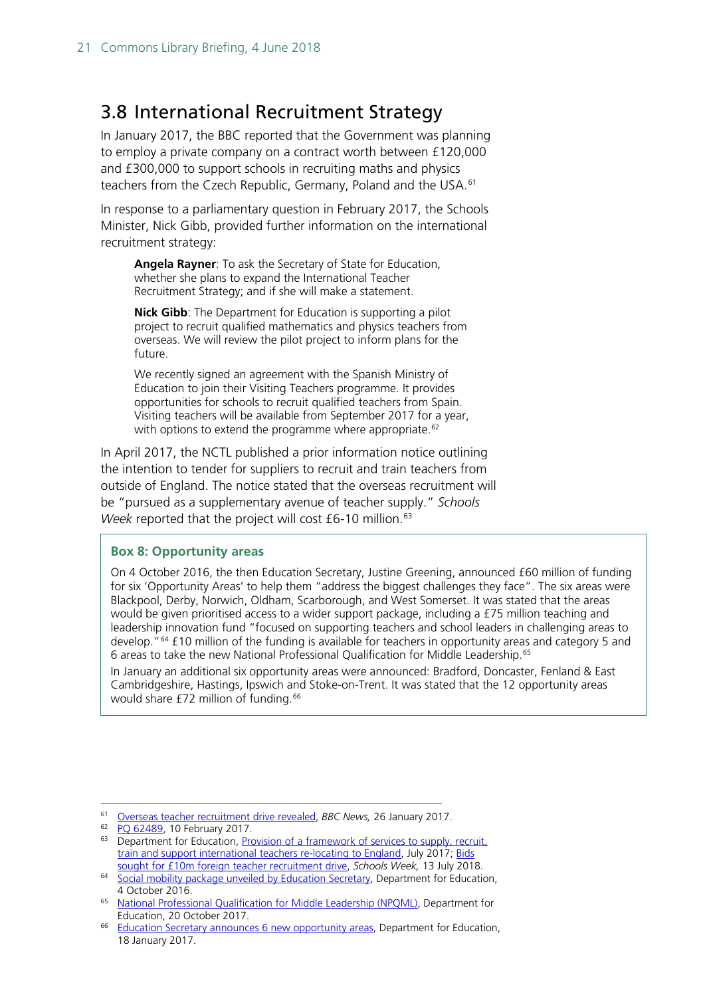#### <span id="page-20-0"></span>3.8 International Recruitment Strategy

In January 2017, the BBC reported that the Government was planning to employ a private company on a contract worth between £120,000 and £300,000 to support schools in recruiting maths and physics teachers from the Czech Republic, Germany, Poland and the USA.<sup>[61](#page-20-1)</sup>

In response to a parliamentary question in February 2017, the Schools Minister, Nick Gibb, provided further information on the international recruitment strategy:

**Angela Rayner**: To ask the Secretary of State for Education, whether she plans to expand the International Teacher Recruitment Strategy; and if she will make a statement.

**Nick Gibb**: The Department for Education is supporting a pilot project to recruit qualified mathematics and physics teachers from overseas. We will review the pilot project to inform plans for the future.

We recently signed an agreement with the Spanish Ministry of Education to join their Visiting Teachers programme. It provides opportunities for schools to recruit qualified teachers from Spain. Visiting teachers will be available from September 2017 for a year, with options to extend the programme where appropriate.<sup>[62](#page-20-2)</sup>

In April 2017, the NCTL published a prior information notice outlining the intention to tender for suppliers to recruit and train teachers from outside of England. The notice stated that the overseas recruitment will be "pursued as a supplementary avenue of teacher supply." *Schools Week* reported that the project will cost £6-10 million.<sup>[63](#page-20-3)</sup>

#### **Box 8: Opportunity areas**

On 4 October 2016, the then Education Secretary, Justine Greening, announced £60 million of funding for six 'Opportunity Areas' to help them "address the biggest challenges they face". The six areas were Blackpool, Derby, Norwich, Oldham, Scarborough, and West Somerset. It was stated that the areas would be given prioritised access to a wider support package, including a £75 million teaching and leadership innovation fund "focused on supporting teachers and school leaders in challenging areas to develop."[64](#page-20-4) £10 million of the funding is available for teachers in opportunity areas and category 5 and 6 areas to take the new National Professional Qualification for Middle Leadership. [65](#page-20-5)

In January an additional six opportunity areas were announced: Bradford, Doncaster, Fenland & East Cambridgeshire, Hastings, Ipswich and Stoke-on-Trent. It was stated that the 12 opportunity areas would share £72 million of funding.<sup>[66](#page-20-6)</sup>

<span id="page-20-1"></span> <sup>61</sup> [Overseas teacher recruitment drive revealed,](http://www.bbc.co.uk/news/education-38746288) *BBC News,* 26 January 2017.

<span id="page-20-2"></span><sup>62</sup> PO 62489, 10 February 2017.

<span id="page-20-3"></span><sup>&</sup>lt;sup>63</sup> Department for Education, Provision of a framework of services to supply, recruit, [train and support international teachers re-locating to England,](https://www.contractsfinder.service.gov.uk/Notice/dea96121-15ee-467f-9d4c-d6f420697645?p=@T0=NjJNT08=UFQxUlRRP) July 2017; [Bids](https://schoolsweek.co.uk/bids-sought-for-10m-foreign-teacher-recruitment-drive/)  [sought for £10m foreign teacher recruitment drive,](https://schoolsweek.co.uk/bids-sought-for-10m-foreign-teacher-recruitment-drive/) *Schools Week,* 13 July 2018.

<span id="page-20-4"></span><sup>&</sup>lt;sup>64</sup> [Social mobility package unveiled by Education Secretary,](https://www.gov.uk/government/news/social-mobility-package-unveiled-by-education-secretary) Department for Education, 4 October 2016.

<span id="page-20-5"></span><sup>65</sup> [National Professional Qualification for Middle Leadership \(NPQML\),](https://www.gov.uk/guidance/national-professional-qualification-for-middle-leadership-npqml) Department for Education, 20 October 2017.

<span id="page-20-6"></span><sup>66</sup> [Education Secretary announces 6 new opportunity areas,](https://www.gov.uk/government/news/education-secretary-announces-6-new-opportunity-areas) Department for Education, 18 January 2017.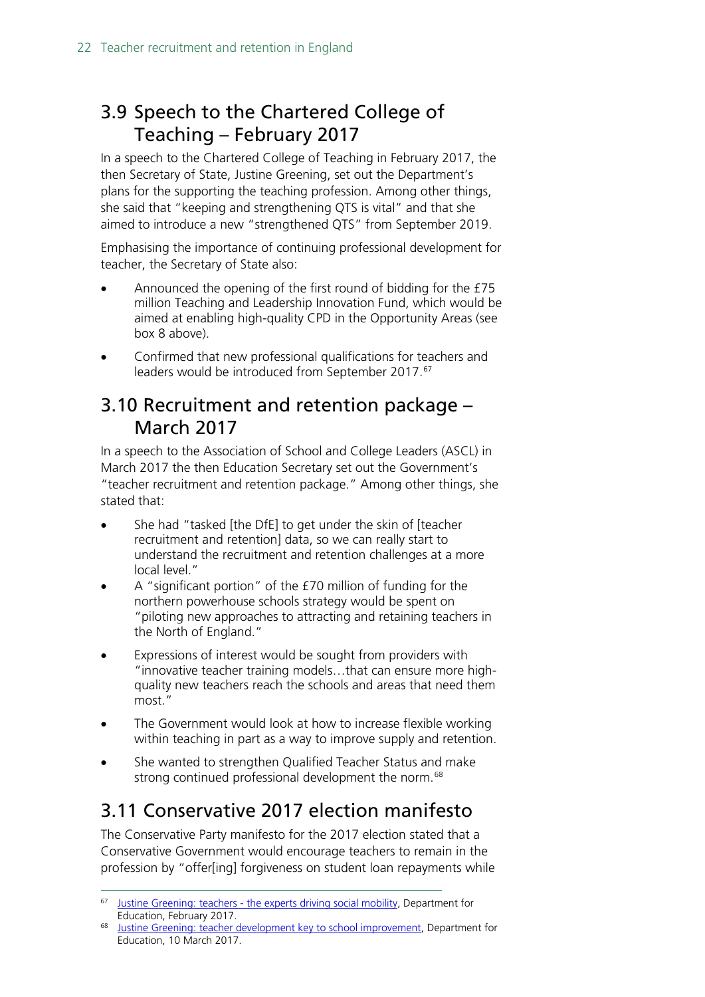# <span id="page-21-0"></span>3.9 Speech to the Chartered College of Teaching – February 2017

In a speech to the Chartered College of Teaching in February 2017, the then Secretary of State, Justine Greening, set out the Department's plans for the supporting the teaching profession. Among other things, she said that "keeping and strengthening QTS is vital" and that she aimed to introduce a new "strengthened QTS" from September 2019.

Emphasising the importance of continuing professional development for teacher, the Secretary of State also:

- Announced the opening of the first round of bidding for the £75 million Teaching and Leadership Innovation Fund, which would be aimed at enabling high-quality CPD in the Opportunity Areas (see box 8 above).
- Confirmed that new professional qualifications for teachers and leaders would be introduced from September 2017.<sup>[67](#page-21-3)</sup>

#### <span id="page-21-1"></span>3.10 Recruitment and retention package – March 2017

In a speech to the Association of School and College Leaders (ASCL) in March 2017 the then Education Secretary set out the Government's "teacher recruitment and retention package." Among other things, she stated that:

- She had "tasked [the DfE] to get under the skin of [teacher recruitment and retention] data, so we can really start to understand the recruitment and retention challenges at a more local level."
- A "significant portion" of the £70 million of funding for the northern powerhouse schools strategy would be spent on "piloting new approaches to attracting and retaining teachers in the North of England."
- Expressions of interest would be sought from providers with "innovative teacher training models…that can ensure more highquality new teachers reach the schools and areas that need them most."
- The Government would look at how to increase flexible working within teaching in part as a way to improve supply and retention.
- She wanted to strengthen Qualified Teacher Status and make strong continued professional development the norm.<sup>[68](#page-21-4)</sup>

# <span id="page-21-2"></span>3.11 Conservative 2017 election manifesto

The Conservative Party manifesto for the 2017 election stated that a Conservative Government would encourage teachers to remain in the profession by "offer[ing] forgiveness on student loan repayments while

<span id="page-21-3"></span> <sup>67</sup> Justine Greening: teachers - [the experts driving social mobility,](https://www.gov.uk/government/speeches/justine-greening-teachers-the-experts-driving-social-mobility) Department for Education, February 2017.

<span id="page-21-4"></span><sup>68</sup> [Justine Greening: teacher development key to school improvement,](https://www.gov.uk/government/speeches/justine-greening-teacher-development-key-to-school-improvement) Department for Education, 10 March 2017.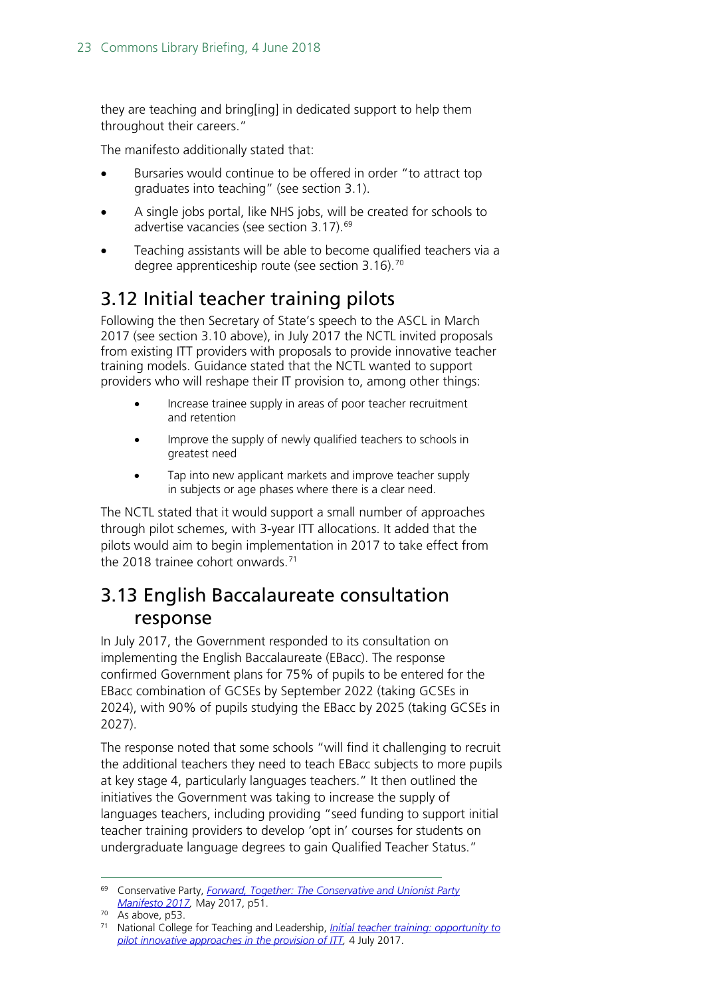they are teaching and bring[ing] in dedicated support to help them throughout their careers."

The manifesto additionally stated that:

- Bursaries would continue to be offered in order "to attract top graduates into teaching" (see section 3.1).
- A single jobs portal, like NHS jobs, will be created for schools to advertise vacancies (see section 3.17).<sup>[69](#page-22-2)</sup>
- Teaching assistants will be able to become qualified teachers via a degree apprenticeship route (see section 3.16).<sup>[70](#page-22-3)</sup>

## <span id="page-22-0"></span>3.12 Initial teacher training pilots

Following the then Secretary of State's speech to the ASCL in March 2017 (see section 3.10 above), in July 2017 the NCTL invited proposals from existing ITT providers with proposals to provide innovative teacher training models. Guidance stated that the NCTL wanted to support providers who will reshape their IT provision to, among other things:

- Increase trainee supply in areas of poor teacher recruitment and retention
- Improve the supply of newly qualified teachers to schools in greatest need
- Tap into new applicant markets and improve teacher supply in subjects or age phases where there is a clear need.

The NCTL stated that it would support a small number of approaches through pilot schemes, with 3-year ITT allocations. It added that the pilots would aim to begin implementation in 2017 to take effect from the 2018 trainee cohort onwards. $71$ 

### <span id="page-22-1"></span>3.13 English Baccalaureate consultation response

In July 2017, the Government responded to its consultation on implementing the English Baccalaureate (EBacc). The response confirmed Government plans for 75% of pupils to be entered for the EBacc combination of GCSEs by September 2022 (taking GCSEs in 2024), with 90% of pupils studying the EBacc by 2025 (taking GCSEs in 2027).

The response noted that some schools "will find it challenging to recruit the additional teachers they need to teach EBacc subjects to more pupils at key stage 4, particularly languages teachers." It then outlined the initiatives the Government was taking to increase the supply of languages teachers, including providing "seed funding to support initial teacher training providers to develop 'opt in' courses for students on undergraduate language degrees to gain Qualified Teacher Status."

<span id="page-22-2"></span> <sup>69</sup> Conservative Party, *[Forward, Together: The Conservative and Unionist Party](https://s3.eu-west-2.amazonaws.com/manifesto2017/Manifesto2017.pdf)  [Manifesto 2017,](https://s3.eu-west-2.amazonaws.com/manifesto2017/Manifesto2017.pdf)* May 2017, p51.

<span id="page-22-3"></span><sup>70</sup> As above, p53.

<span id="page-22-4"></span><sup>71</sup> National College for Teaching and Leadership, *Initial [teacher training: opportunity to](https://www.gov.uk/guidance/initial-teacher-training-opportunity-to-pilot-innovative-approaches-in-the-provision-of-itt)  [pilot innovative approaches in the provision of ITT,](https://www.gov.uk/guidance/initial-teacher-training-opportunity-to-pilot-innovative-approaches-in-the-provision-of-itt)* 4 July 2017.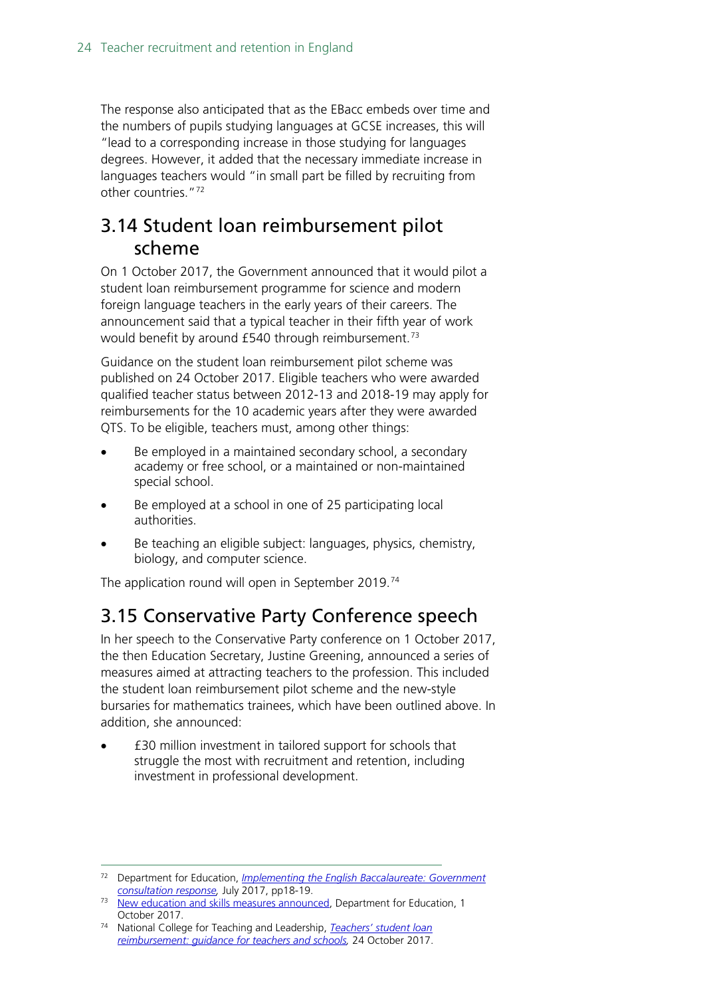The response also anticipated that as the EBacc embeds over time and the numbers of pupils studying languages at GCSE increases, this will "lead to a corresponding increase in those studying for languages degrees. However, it added that the necessary immediate increase in languages teachers would "in small part be filled by recruiting from other countries."[72](#page-23-2)

### <span id="page-23-0"></span>3.14 Student loan reimbursement pilot scheme

On 1 October 2017, the Government announced that it would pilot a student loan reimbursement programme for science and modern foreign language teachers in the early years of their careers. The announcement said that a typical teacher in their fifth year of work would benefit by around £540 through reimbursement.<sup>[73](#page-23-3)</sup>

Guidance on the student loan reimbursement pilot scheme was published on 24 October 2017. Eligible teachers who were awarded qualified teacher status between 2012-13 and 2018-19 may apply for reimbursements for the 10 academic years after they were awarded QTS. To be eligible, teachers must, among other things:

- Be employed in a maintained secondary school, a secondary academy or free school, or a maintained or non-maintained special school.
- Be employed at a school in one of 25 participating local authorities.
- Be teaching an eligible subject: languages, physics, chemistry, biology, and computer science.

The application round will open in September 2019.<sup>[74](#page-23-4)</sup>

#### <span id="page-23-1"></span>3.15 Conservative Party Conference speech

In her speech to the Conservative Party conference on 1 October 2017, the then Education Secretary, Justine Greening, announced a series of measures aimed at attracting teachers to the profession. This included the student loan reimbursement pilot scheme and the new-style bursaries for mathematics trainees, which have been outlined above. In addition, she announced:

• £30 million investment in tailored support for schools that struggle the most with recruitment and retention, including investment in professional development.

<span id="page-23-2"></span> <sup>72</sup> Department for Education, *[Implementing the English Baccalaureate: Government](https://www.gov.uk/government/uploads/system/uploads/attachment_data/file/630713/Implementing_the_English_Baccalaureate_-_Government_consultation_response.pdf)  [consultation response,](https://www.gov.uk/government/uploads/system/uploads/attachment_data/file/630713/Implementing_the_English_Baccalaureate_-_Government_consultation_response.pdf)* July 2017, pp18-19.

<span id="page-23-3"></span><sup>&</sup>lt;sup>73</sup> [New education and skills measures announced,](https://www.gov.uk/government/news/new-education-and-skills-measures-announced) Department for Education, 1 October 2017.

<span id="page-23-4"></span><sup>74</sup> National College for Teaching and Leadership, *[Teachers' student loan](https://www.gov.uk/guidance/teachers-student-loan-reimbursement-guidance-for-teachers-and-schools)  [reimbursement: guidance for teachers and schools,](https://www.gov.uk/guidance/teachers-student-loan-reimbursement-guidance-for-teachers-and-schools)* 24 October 2017.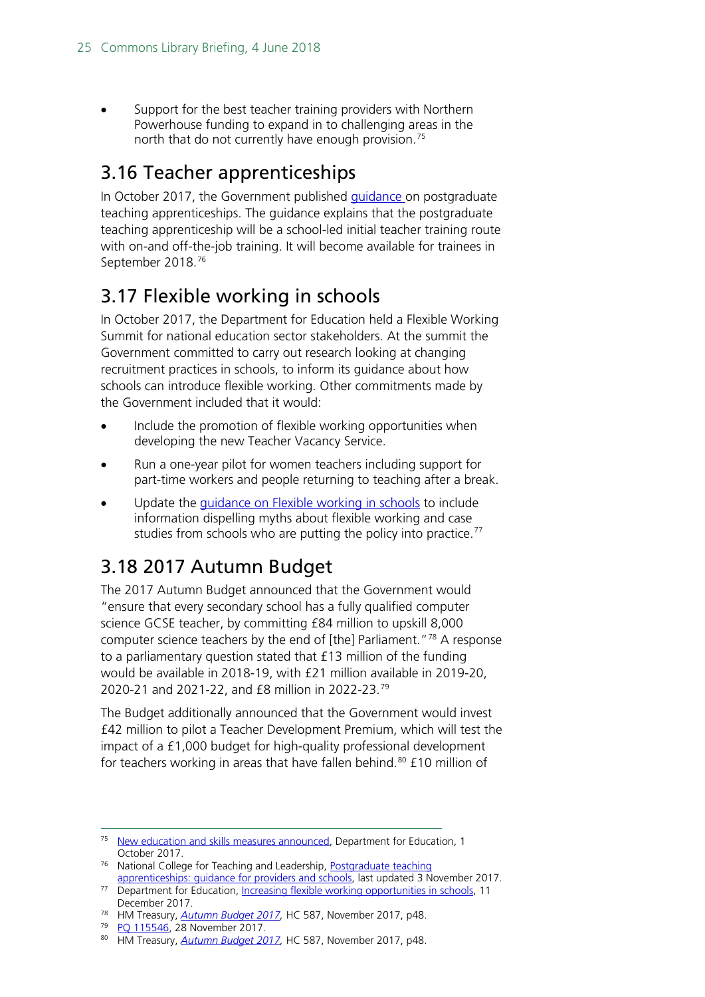Support for the best teacher training providers with Northern Powerhouse funding to expand in to challenging areas in the north that do not currently have enough provision.<sup>[75](#page-24-3)</sup>

### <span id="page-24-0"></span>3.16 Teacher apprenticeships

In October 2017, the Government published *guidance* on postgraduate teaching apprenticeships. The guidance explains that the postgraduate teaching apprenticeship will be a school-led initial teacher training route with on-and off-the-job training. It will become available for trainees in September 2018.[76](#page-24-4)

## <span id="page-24-1"></span>3.17 Flexible working in schools

In October 2017, the Department for Education held a Flexible Working Summit for national education sector stakeholders. At the summit the Government committed to carry out research looking at changing recruitment practices in schools, to inform its guidance about how schools can introduce flexible working. Other commitments made by the Government included that it would:

- Include the promotion of flexible working opportunities when developing the new Teacher Vacancy Service.
- Run a one-year pilot for women teachers including support for part-time workers and people returning to teaching after a break.
- Update the quidance on Flexible working in schools to include information dispelling myths about flexible working and case studies from schools who are putting the policy into practice.<sup>[77](#page-24-5)</sup>

# <span id="page-24-2"></span>3.18 2017 Autumn Budget

The 2017 Autumn Budget announced that the Government would "ensure that every secondary school has a fully qualified computer science GCSE teacher, by committing £84 million to upskill 8,000 computer science teachers by the end of [the] Parliament."[78](#page-24-6) A response to a parliamentary question stated that £13 million of the funding would be available in 2018-19, with £21 million available in 2019-20, 2020-21 and 2021-22, and £8 million in 2022-23.[79](#page-24-7)

The Budget additionally announced that the Government would invest £42 million to pilot a Teacher Development Premium, which will test the impact of a £1,000 budget for high-quality professional development for teachers working in areas that have fallen behind. $80 \text{ f}$  $80 \text{ f}$  10 million of

<span id="page-24-3"></span><sup>&</sup>lt;sup>75</sup> [New education and skills measures announced,](https://www.gov.uk/government/news/new-education-and-skills-measures-announced) Department for Education, 1 October 2017.

<span id="page-24-4"></span><sup>&</sup>lt;sup>76</sup> National College for Teaching and Leadership, Postgraduate teaching [apprenticeships: guidance for providers and schools,](https://www.gov.uk/guidance/postgraduate-teaching-apprenticeships-guidance-for-providers) last updated 3 November 2017.

<span id="page-24-5"></span><sup>&</sup>lt;sup>77</sup> Department for Education, [Increasing flexible working opportunities in schools,](https://www.gov.uk/government/publications/increasing-flexible-working-in-schools/increasing-flexible-working-opportunities-in-schools) 11 December 2017.

<span id="page-24-6"></span><sup>78</sup> HM Treasury, *[Autumn Budget 2017,](https://www.gov.uk/government/uploads/system/uploads/attachment_data/file/661480/autumn_budget_2017_web.pdf)* HC 587, November 2017, p48.

<sup>79</sup> [PQ 115546,](http://www.parliament.uk/written-questions-answers-statements/written-question/commons/2017-11-23/115546) 28 November 2017.

<span id="page-24-8"></span><span id="page-24-7"></span><sup>80</sup> HM Treasury, *[Autumn Budget 2017,](https://www.gov.uk/government/uploads/system/uploads/attachment_data/file/661480/autumn_budget_2017_web.pdf)* HC 587, November 2017, p48.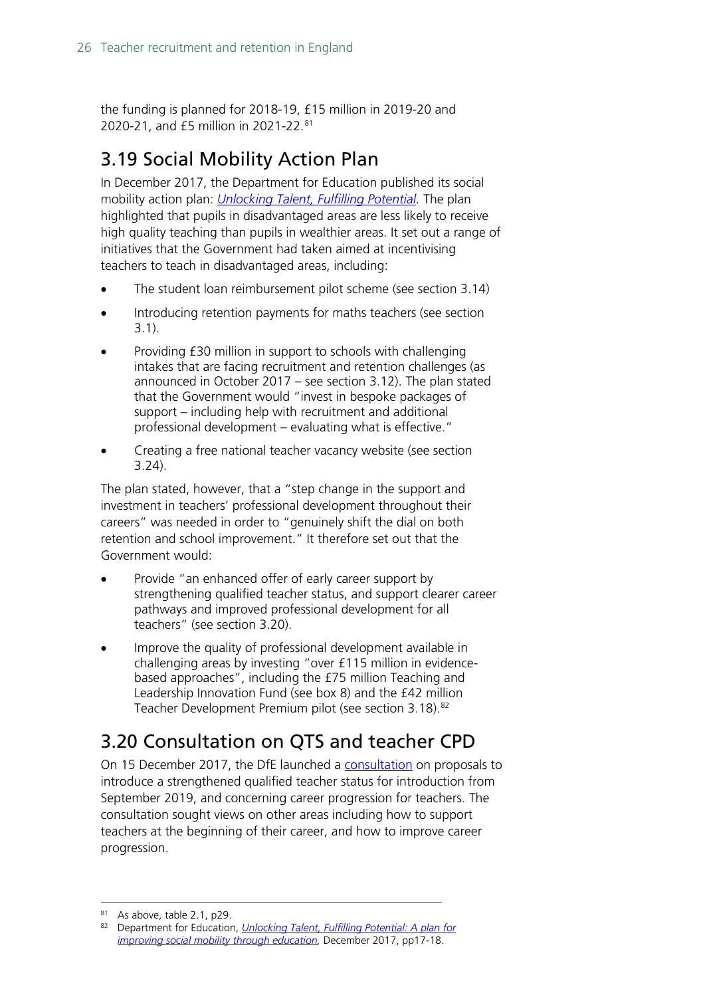the funding is planned for 2018-19, £15 million in 2019-20 and 2020-21, and £5 million in 2021-22.[81](#page-25-2)

# <span id="page-25-0"></span>3.19 Social Mobility Action Plan

In December 2017, the Department for Education published its social mobility action plan: *[Unlocking Talent, Fulfilling Potential.](https://www.gov.uk/government/uploads/system/uploads/attachment_data/file/667690/Social_Mobility_Action_Plan_-_for_printing.pdf)* The plan highlighted that pupils in disadvantaged areas are less likely to receive high quality teaching than pupils in wealthier areas. It set out a range of initiatives that the Government had taken aimed at incentivising teachers to teach in disadvantaged areas, including:

- The student loan reimbursement pilot scheme (see section 3.14)
- Introducing retention payments for maths teachers (see section 3.1).
- Providing £30 million in support to schools with challenging intakes that are facing recruitment and retention challenges (as announced in October 2017 – see section 3.12). The plan stated that the Government would "invest in bespoke packages of support – including help with recruitment and additional professional development – evaluating what is effective."
- Creating a free national teacher vacancy website (see section 3.24).

The plan stated, however, that a "step change in the support and investment in teachers' professional development throughout their careers" was needed in order to "genuinely shift the dial on both retention and school improvement." It therefore set out that the Government would:

- Provide "an enhanced offer of early career support by strengthening qualified teacher status, and support clearer career pathways and improved professional development for all teachers" (see section 3.20).
- Improve the quality of professional development available in challenging areas by investing "over £115 million in evidencebased approaches", including the £75 million Teaching and Leadership Innovation Fund (see box 8) and the £42 million Teacher Development Premium pilot (see section 3.18).<sup>[82](#page-25-3)</sup>

## <span id="page-25-1"></span>3.20 Consultation on QTS and teacher CPD

On 15 December 2017, the DfE launched a [consultation](https://consult.education.gov.uk/teaching-profession-unit/strengthening-qts-and-improving-career-progression/supporting_documents/Strengthening%20Qualified%20Teacher%20Status%20and%20improving%20career%20progression%20for%20teachers%20consultation.pdf) on proposals to introduce a strengthened qualified teacher status for introduction from September 2019, and concerning career progression for teachers. The consultation sought views on other areas including how to support teachers at the beginning of their career, and how to improve career progression.

<sup>81</sup> As above, table 2.1, p29.

<span id="page-25-3"></span><span id="page-25-2"></span><sup>82</sup> Department for Education, *[Unlocking Talent, Fulfilling Potential: A plan for](https://www.gov.uk/government/uploads/system/uploads/attachment_data/file/667690/Social_Mobility_Action_Plan_-_for_printing.pdf)  [improving social mobility through education,](https://www.gov.uk/government/uploads/system/uploads/attachment_data/file/667690/Social_Mobility_Action_Plan_-_for_printing.pdf)* December 2017, pp17-18.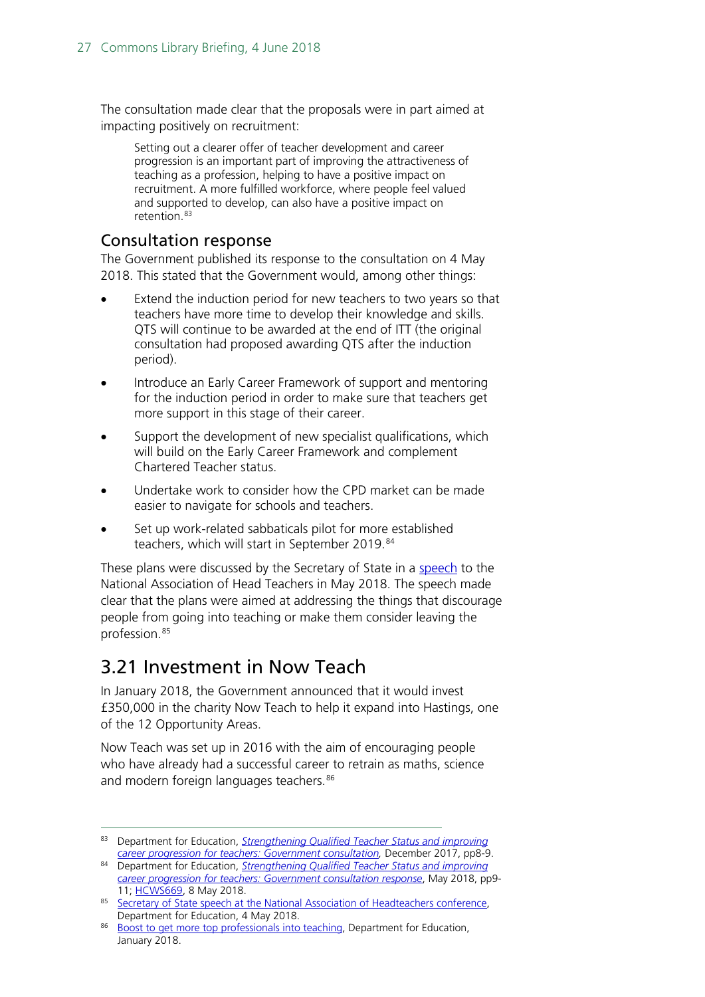The consultation made clear that the proposals were in part aimed at impacting positively on recruitment:

Setting out a clearer offer of teacher development and career progression is an important part of improving the attractiveness of teaching as a profession, helping to have a positive impact on recruitment. A more fulfilled workforce, where people feel valued and supported to develop, can also have a positive impact on retention [83](#page-26-2)

#### <span id="page-26-0"></span>Consultation response

The Government published its response to the consultation on 4 May 2018. This stated that the Government would, among other things:

- Extend the induction period for new teachers to two years so that teachers have more time to develop their knowledge and skills. QTS will continue to be awarded at the end of ITT (the original consultation had proposed awarding QTS after the induction period).
- Introduce an Early Career Framework of support and mentoring for the induction period in order to make sure that teachers get more support in this stage of their career.
- Support the development of new specialist qualifications, which will build on the Early Career Framework and complement Chartered Teacher status.
- Undertake work to consider how the CPD market can be made easier to navigate for schools and teachers.
- Set up work-related sabbaticals pilot for more established teachers, which will start in September 2019.<sup>[84](#page-26-3)</sup>

These plans were discussed by the Secretary of State in a [speech](https://www.gov.uk/government/news/education-secretary-to-set-out-vision-for-clearer-school-system?utm_source=144c56bd-6243-469b-8946-2917a4c87e80&utm_medium=email&utm_campaign=govuk-notifications&utm_content=immediate) to the National Association of Head Teachers in May 2018. The speech made clear that the plans were aimed at addressing the things that discourage people from going into teaching or make them consider leaving the profession.[85](#page-26-4)

#### <span id="page-26-1"></span>3.21 Investment in Now Teach

In January 2018, the Government announced that it would invest £350,000 in the charity Now Teach to help it expand into Hastings, one of the 12 Opportunity Areas.

Now Teach was set up in 2016 with the aim of encouraging people who have already had a successful career to retrain as maths, science and modern foreign languages teachers.<sup>[86](#page-26-5)</sup>

<span id="page-26-2"></span> <sup>83</sup> Department for Education, *[Strengthening Qualified Teacher Status and improving](https://consult.education.gov.uk/teaching-profession-unit/strengthening-qts-and-improving-career-progression/supporting_documents/Strengthening%20Qualified%20Teacher%20Status%20and%20improving%20career%20progression%20for%20teachers%20consultation.pdf)  [career progression for teachers: Government consultation,](https://consult.education.gov.uk/teaching-profession-unit/strengthening-qts-and-improving-career-progression/supporting_documents/Strengthening%20Qualified%20Teacher%20Status%20and%20improving%20career%20progression%20for%20teachers%20consultation.pdf)* December 2017, pp8-9.

<span id="page-26-3"></span><sup>84</sup> Department for Education, *[Strengthening Qualified Teacher Status](https://assets.publishing.service.gov.uk/government/uploads/system/uploads/attachment_data/file/704942/Government_consultation_response_-_QTS_and_career_progression.pdf) and improving [career progression for teachers: Government consultation response](https://assets.publishing.service.gov.uk/government/uploads/system/uploads/attachment_data/file/704942/Government_consultation_response_-_QTS_and_career_progression.pdf)*, May 2018, pp9- 11; [HCWS669,](https://www.parliament.uk/business/publications/written-questions-answers-statements/written-statement/Commons/2018-05-08/HCWS669) 8 May 2018.

<span id="page-26-4"></span><sup>85</sup> Secretary of State speech at the National Association of Headteachers conference, Department for Education, 4 May 2018.

<span id="page-26-5"></span><sup>86</sup> [Boost to get more top professionals into teaching,](https://www.gov.uk/government/news/boost-to-get-more-top-professionals-into-teaching) Department for Education, January 2018.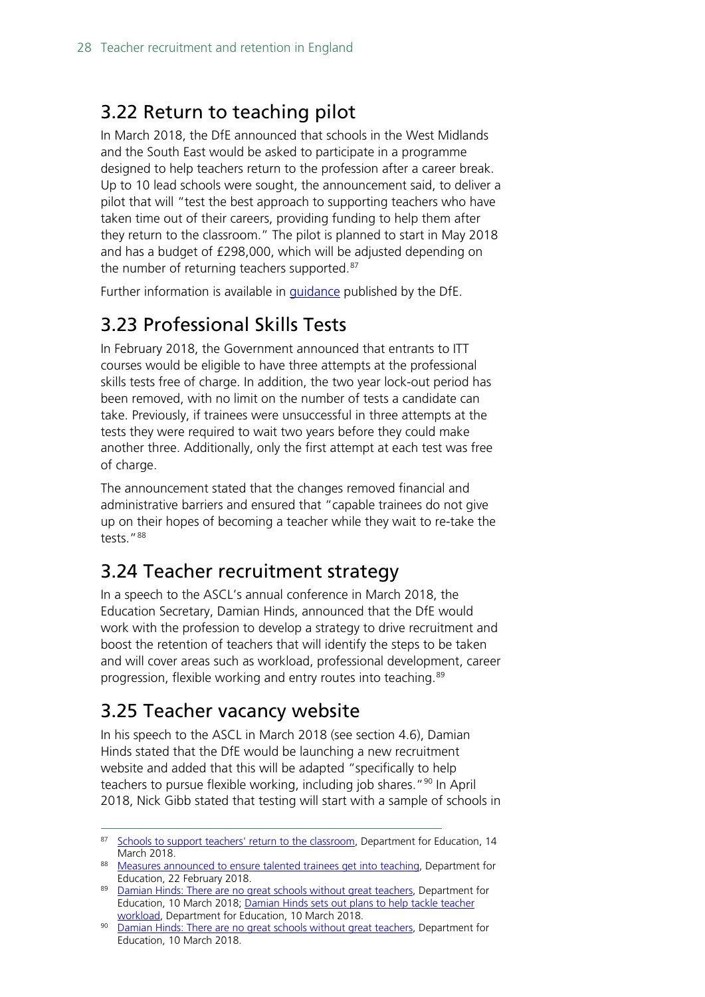### <span id="page-27-0"></span>3.22 Return to teaching pilot

In March 2018, the DfE announced that schools in the West Midlands and the South East would be asked to participate in a programme designed to help teachers return to the profession after a career break. Up to 10 lead schools were sought, the announcement said, to deliver a pilot that will "test the best approach to supporting teachers who have taken time out of their careers, providing funding to help them after they return to the classroom." The pilot is planned to start in May 2018 and has a budget of £298,000, which will be adjusted depending on the number of returning teachers supported.<sup>[87](#page-27-4)</sup>

Further information is available in [guidance](https://www.gov.uk/government/publications/return-to-teaching-pilot-guidance-and-application-form) published by the DfE.

# <span id="page-27-1"></span>3.23 Professional Skills Tests

In February 2018, the Government announced that entrants to ITT courses would be eligible to have three attempts at the professional skills tests free of charge. In addition, the two year lock-out period has been removed, with no limit on the number of tests a candidate can take. Previously, if trainees were unsuccessful in three attempts at the tests they were required to wait two years before they could make another three. Additionally, only the first attempt at each test was free of charge.

The announcement stated that the changes removed financial and administrative barriers and ensured that "capable trainees do not give up on their hopes of becoming a teacher while they wait to re-take the tests."[88](#page-27-5)

### <span id="page-27-2"></span>3.24 Teacher recruitment strategy

In a speech to the ASCL's annual conference in March 2018, the Education Secretary, Damian Hinds, announced that the DfE would work with the profession to develop a strategy to drive recruitment and boost the retention of teachers that will identify the steps to be taken and will cover areas such as workload, professional development, career progression, flexible working and entry routes into teaching.<sup>[89](#page-27-6)</sup>

## <span id="page-27-3"></span>3.25 Teacher vacancy website

In his speech to the ASCL in March 2018 (see section 4.6), Damian Hinds stated that the DfE would be launching a new recruitment website and added that this will be adapted "specifically to help teachers to pursue flexible working, including job shares."<sup>[90](#page-27-7)</sup> In April 2018, Nick Gibb stated that testing will start with a sample of schools in

<span id="page-27-4"></span><sup>87</sup> [Schools to support teachers' return to the classroom,](https://www.gov.uk/government/news/schools-to-support-teachers-return-to-the-classroom) Department for Education, 14 March 2018.

<span id="page-27-5"></span><sup>88</sup> [Measures announced to ensure talented trainees get into teaching,](https://www.gov.uk/government/news/measures-announced-to-ensure-talented-trainees-get-into-teaching) Department for Education, 22 February 2018.

<span id="page-27-6"></span><sup>89</sup> [Damian Hinds: There are no great schools without great teachers,](https://www.gov.uk/government/speeches/damian-hinds-there-are-no-great-schools-without-great-teachers) Department for Education, 10 March 2018; [Damian Hinds sets out plans to help tackle teacher](https://www.gov.uk/government/news/damian-hinds-sets-out-plans-to-help-tackle-teacher-workload)  [workload,](https://www.gov.uk/government/news/damian-hinds-sets-out-plans-to-help-tackle-teacher-workload) Department for Education, 10 March 2018.

<span id="page-27-7"></span><sup>90</sup> [Damian Hinds: There are no great schools without great teachers,](https://www.gov.uk/government/speeches/damian-hinds-there-are-no-great-schools-without-great-teachers) Department for Education, 10 March 2018.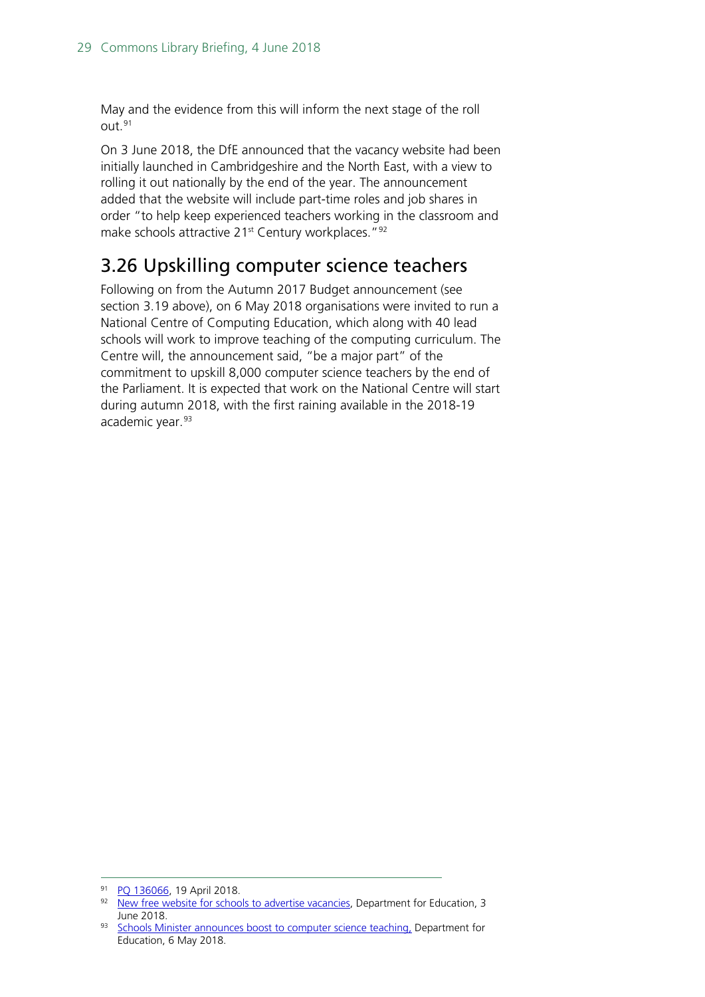May and the evidence from this will inform the next stage of the roll  $O<sub>U</sub>1<sup>91</sup>$  $O<sub>U</sub>1<sup>91</sup>$  $O<sub>U</sub>1<sup>91</sup>$ 

On 3 June 2018, the DfE announced that the vacancy website had been initially launched in Cambridgeshire and the North East, with a view to rolling it out nationally by the end of the year. The announcement added that the website will include part-time roles and job shares in order "to help keep experienced teachers working in the classroom and make schools attractive 21<sup>st</sup> Century workplaces."<sup>[92](#page-28-2)</sup>

### <span id="page-28-0"></span>3.26 Upskilling computer science teachers

Following on from the Autumn 2017 Budget announcement (see section 3.19 above), on 6 May 2018 organisations were invited to run a National Centre of Computing Education, which along with 40 lead schools will work to improve teaching of the computing curriculum. The Centre will, the announcement said, "be a major part" of the commitment to upskill 8,000 computer science teachers by the end of the Parliament. It is expected that work on the National Centre will start during autumn 2018, with the first raining available in the 2018-19 academic year.<sup>[93](#page-28-3)</sup>

<span id="page-28-1"></span><sup>91</sup> [PQ 136066,](https://www.parliament.uk/written-questions-answers-statements/written-question/commons/2018-04-16/136066) 19 April 2018.

<span id="page-28-2"></span><sup>92</sup> [New free website for schools to advertise vacancies,](https://www.gov.uk/government/news/new-free-website-for-schools-to-advertise-vacancies?utm_source=84648a83-34b7-4188-8b8a-01ec52a104ac&utm_medium=email&utm_campaign=govuk-notifications&utm_content=immediate) Department for Education, 3 June 2018.

<span id="page-28-3"></span><sup>93</sup> [Schools Minister announces boost to computer science teaching,](https://www.gov.uk/government/news/schools-minister-announces-boost-to-computer-science-teaching?utm_source=d04d8485-cea6-40fc-b3d2-6b9b24a360df&utm_medium=email&utm_campaign=govuk-notifications&utm_content=immediate) Department for Education, 6 May 2018.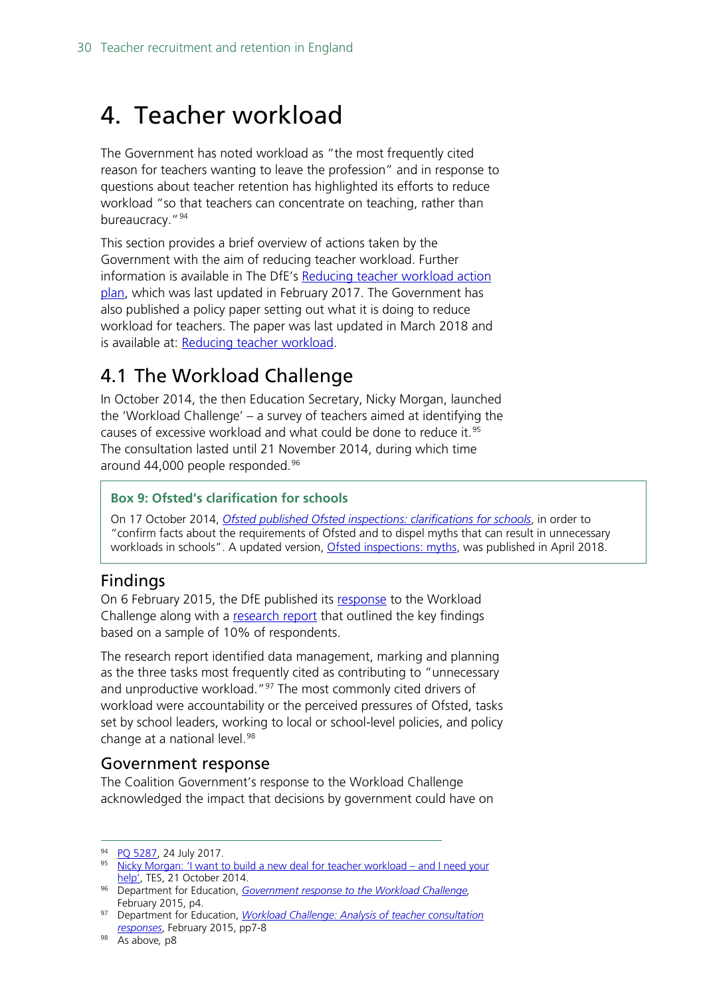# <span id="page-29-0"></span>4. Teacher workload

The Government has noted workload as "the most frequently cited reason for teachers wanting to leave the profession" and in response to questions about teacher retention has highlighted its efforts to reduce workload "so that teachers can concentrate on teaching, rather than bureaucracy."<sup>[94](#page-29-2)</sup>

This section provides a brief overview of actions taken by the Government with the aim of reducing teacher workload. Further information is available in The DfE's [Reducing teacher workload action](https://assets.publishing.service.gov.uk/government/uploads/system/uploads/attachment_data/file/594680/Teacher_Workload_Action_Plan.pdf)  [plan,](https://assets.publishing.service.gov.uk/government/uploads/system/uploads/attachment_data/file/594680/Teacher_Workload_Action_Plan.pdf) which was last updated in February 2017. The Government has also published a policy paper setting out what it is doing to reduce workload for teachers. The paper was last updated in March 2018 and is available at: [Reducing teacher workload.](https://www.gov.uk/government/publications/reducing-teachers-workload)

### <span id="page-29-1"></span>4.1 The Workload Challenge

In October 2014, the then Education Secretary, Nicky Morgan, launched the 'Workload Challenge' – a survey of teachers aimed at identifying the causes of excessive workload and what could be done to reduce it.<sup>[95](#page-29-3)</sup> The consultation lasted until 21 November 2014, during which time around 44,000 people responded.<sup>[96](#page-29-4)</sup>

#### **Box 9: Ofsted's clarification for schools**

On 17 October 2014, *[Ofsted published Ofsted inspections: clarifications for schools](https://www.gov.uk/government/uploads/system/uploads/attachment_data/file/463242/Ofsted_inspections_clarification_for_schools.pdf)*, in order to "confirm facts about the requirements of Ofsted and to dispel myths that can result in unnecessary workloads in schools". A updated version, [Ofsted inspections: myths,](https://www.gov.uk/government/publications/school-inspection-handbook-from-september-2015/ofsted-inspections-mythbusting) was published in April 2018.

#### Findings

On 6 February 2015, the DfE published its [response](https://www.gov.uk/government/uploads/system/uploads/attachment_data/file/415874/Government_Response_to_the_Workload_Challenge.pdf) to the Workload Challenge along with a [research report](https://www.gov.uk/government/uploads/system/uploads/attachment_data/file/401406/RR445_-_Workload_Challenge_-_Analysis_of_teacher_consultation_responses_FINAL.pdf) that outlined the key findings based on a sample of 10% of respondents.

The research report identified data management, marking and planning as the three tasks most frequently cited as contributing to "unnecessary and unproductive workload."<sup>[97](#page-29-5)</sup> The most commonly cited drivers of workload were accountability or the perceived pressures of Ofsted, tasks set by school leaders, working to local or school-level policies, and policy change at a national level.<sup>[98](#page-29-6)</sup>

#### Government response

The Coalition Government's response to the Workload Challenge acknowledged the impact that decisions by government could have on

<sup>94</sup> PO 5287, 24 July 2017.

<span id="page-29-3"></span><span id="page-29-2"></span><sup>95</sup> [Nicky Morgan: 'I want to build a new deal for teacher workload –](https://www.tes.co.uk/news/school-news/breaking-views/nicky-morgan-%E2%80%98i-want-build-a-new-deal-teacher-workload-%E2%80%93-and-i-need) and I need your [help',](https://www.tes.co.uk/news/school-news/breaking-views/nicky-morgan-%E2%80%98i-want-build-a-new-deal-teacher-workload-%E2%80%93-and-i-need) TES, 21 October 2014.

<span id="page-29-4"></span><sup>96</sup> Department for Education, *[Government response to the Workload Challenge,](https://www.gov.uk/government/uploads/system/uploads/attachment_data/file/415874/Government_Response_to_the_Workload_Challenge.pdf)*  February 2015, p4.

<span id="page-29-5"></span><sup>97</sup> Department for Education, *[Workload Challenge: Analysis of teacher consultation](https://www.gov.uk/government/uploads/system/uploads/attachment_data/file/401406/RR445_-_Workload_Challenge_-_Analysis_of_teacher_consultation_responses_FINAL.pdf)  [responses](https://www.gov.uk/government/uploads/system/uploads/attachment_data/file/401406/RR445_-_Workload_Challenge_-_Analysis_of_teacher_consultation_responses_FINAL.pdf)*, February 2015, pp7-8

<span id="page-29-6"></span><sup>98</sup> As above*,* p8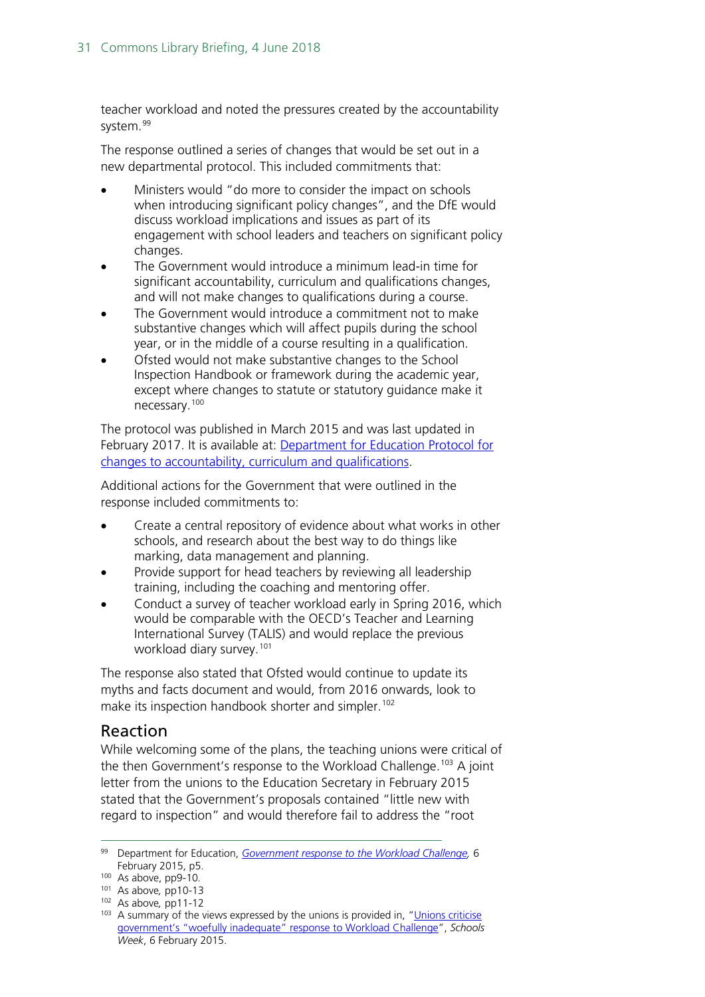teacher workload and noted the pressures created by the accountability system.<sup>[99](#page-30-0)</sup>

The response outlined a series of changes that would be set out in a new departmental protocol. This included commitments that:

- Ministers would "do more to consider the impact on schools when introducing significant policy changes", and the DfE would discuss workload implications and issues as part of its engagement with school leaders and teachers on significant policy changes.
- The Government would introduce a minimum lead-in time for significant accountability, curriculum and qualifications changes, and will not make changes to qualifications during a course.
- The Government would introduce a commitment not to make substantive changes which will affect pupils during the school year, or in the middle of a course resulting in a qualification.
- Ofsted would not make substantive changes to the School Inspection Handbook or framework during the academic year, except where changes to statute or statutory guidance make it necessary.[100](#page-30-1)

The protocol was published in March 2015 and was last updated in February 2017. It is available at: [Department for Education Protocol for](https://www.gov.uk/government/uploads/system/uploads/attachment_data/file/594215/DfE_Protocol_-_Feb_2017.pdf)  [changes to accountability, curriculum and qualifications.](https://www.gov.uk/government/uploads/system/uploads/attachment_data/file/594215/DfE_Protocol_-_Feb_2017.pdf)

Additional actions for the Government that were outlined in the response included commitments to:

- Create a central repository of evidence about what works in other schools, and research about the best way to do things like marking, data management and planning.
- Provide support for head teachers by reviewing all leadership training, including the coaching and mentoring offer.
- Conduct a survey of teacher workload early in Spring 2016, which would be comparable with the OECD's Teacher and Learning International Survey (TALIS) and would replace the previous workload diary survey.<sup>[101](#page-30-2)</sup>

The response also stated that Ofsted would continue to update its myths and facts document and would, from 2016 onwards, look to make its inspection handbook shorter and simpler.<sup>[102](#page-30-3)</sup>

#### Reaction

While welcoming some of the plans, the teaching unions were critical of the then Government's response to the Workload Challenge.<sup>[103](#page-30-4)</sup> A joint letter from the unions to the Education Secretary in February 2015 stated that the Government's proposals contained "little new with regard to inspection" and would therefore fail to address the "root

<span id="page-30-0"></span> <sup>99</sup> Department for Education, *[Government response to the Workload Challenge,](https://www.gov.uk/government/uploads/system/uploads/attachment_data/file/415874/Government_Response_to_the_Workload_Challenge.pdf)* <sup>6</sup> February 2015, p5.

<span id="page-30-1"></span><sup>100</sup> As above, pp9-10*.*

<span id="page-30-2"></span><sup>101</sup> As above*,* pp10-13

<span id="page-30-3"></span><sup>102</sup> As above*,* pp11-12

<span id="page-30-4"></span><sup>&</sup>lt;sup>103</sup> A summary of the views expressed by the unions is provided in, "Unions criticise [government's "woefully inadequate" response to Workload Challenge"](http://schoolsweek.co.uk/unions-criticise-governments-woefully-inadequate-response-to-workload-challenge/), *Schools Week*, 6 February 2015.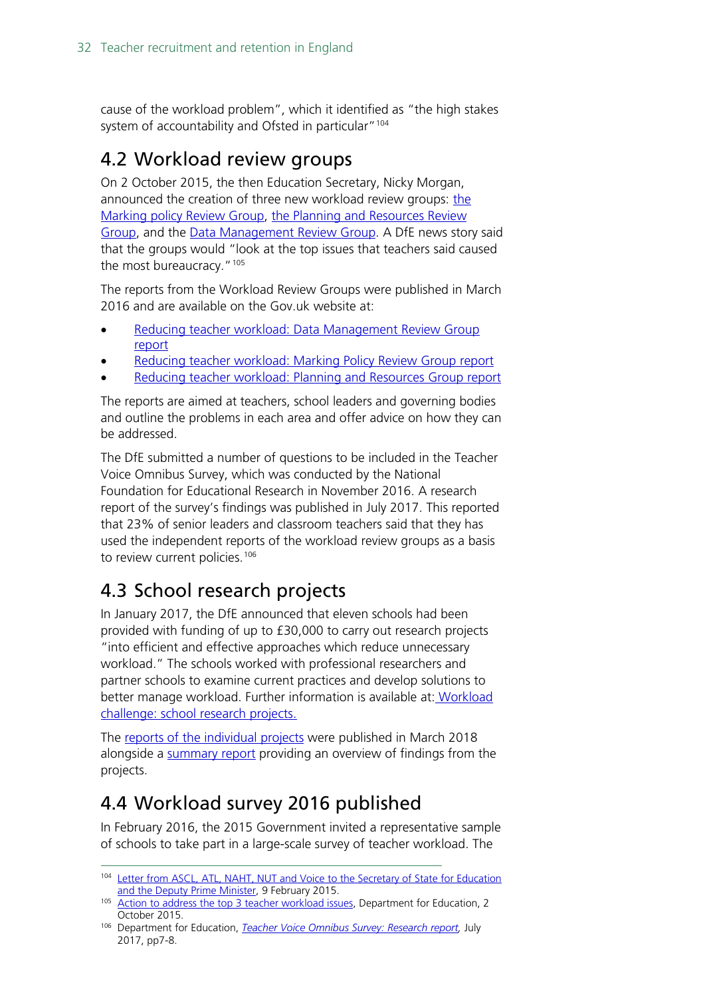cause of the workload problem", which it identified as "the high stakes system of accountability and Ofsted in particular"<sup>[104](#page-31-3)</sup>

# <span id="page-31-0"></span>4.2 Workload review groups

On 2 October 2015, the then Education Secretary, Nicky Morgan, announced the creation of three new workload review groups: [the](https://www.gov.uk/government/groups/teacher-workload-marking-policy-review-group)  [Marking policy Review Group,](https://www.gov.uk/government/groups/teacher-workload-marking-policy-review-group) [the Planning and Resources Review](https://www.gov.uk/government/groups/teacher-workload-planning-and-resources-review-group)  [Group,](https://www.gov.uk/government/groups/teacher-workload-planning-and-resources-review-group) and the Data Management Review Group. A DfE news story said that the groups would "look at the top issues that teachers said caused the most bureaucracy."<sup>[105](#page-31-4)</sup>

The reports from the Workload Review Groups were published in March 2016 and are available on the Gov.uk website at:

- Reducing [teacher workload: Data Management Review Group](file://hpap03f/DIS_Rdf$/fosterda/Desktop/Reducing%20teacher%20workload:%20Data%20Management%20Review%20Group%20report)  [report](file://hpap03f/DIS_Rdf$/fosterda/Desktop/Reducing%20teacher%20workload:%20Data%20Management%20Review%20Group%20report)
- [Reducing teacher workload: Marking Policy Review Group report](https://www.gov.uk/government/publications/reducing-teacher-workload-marking-policy-review-group-report)
- [Reducing teacher workload: Planning and Resources Group report](file://hpap03f/DIS_Rdf$/fosterda/Desktop/Reducing%20teacher%20workload:%20Planning%20and%20Resources%20Group%20report)

The reports are aimed at teachers, school leaders and governing bodies and outline the problems in each area and offer advice on how they can be addressed.

The DfE submitted a number of questions to be included in the Teacher Voice Omnibus Survey, which was conducted by the National Foundation for Educational Research in November 2016. A research report of the survey's findings was published in July 2017. This reported that 23% of senior leaders and classroom teachers said that they has used the independent reports of the workload review groups as a basis to review current policies.<sup>[106](#page-31-5)</sup>

# <span id="page-31-1"></span>4.3 School research projects

In January 2017, the DfE announced that eleven schools had been provided with funding of up to £30,000 to carry out research projects "into efficient and effective approaches which reduce unnecessary workload." The schools worked with professional researchers and partner schools to examine current practices and develop solutions to better manage workload. Further information is available at: [Workload](https://www.gov.uk/government/publications/workload-challenge-school-research-projects)  [challenge: school research projects.](https://www.gov.uk/government/publications/workload-challenge-school-research-projects)

The [reports of the individual projects](https://www.gov.uk/government/publications/teacher-workload-challenge-school-research-project-reports) were published in March 2018 alongside a [summary report](https://www.gov.uk/government/publications/workload-challenge-research-projects-summary-report-2018) providing an overview of findings from the projects.

## <span id="page-31-2"></span>4.4 Workload survey 2016 published

In February 2016, the 2015 Government invited a representative sample of schools to take part in a large-scale survey of teacher workload. The

<span id="page-31-3"></span><sup>104</sup> Letter from ASCL, ATL, NAHT, NUT and Voice to the Secretary of State for Education [and the Deputy Prime Minister,](https://www.atl.org.uk/Images/ATL_Morgan_Clegg_Workload_Challenge_Response.pdf) 9 February 2015.

<span id="page-31-4"></span><sup>105</sup> [Action to address the top 3 teacher workload issues,](https://www.gov.uk/government/news/action-to-address-the-top-3-teacher-workload-issues) Department for Education, 2 October 2015.

<span id="page-31-5"></span><sup>106</sup> Department for Education, *[Teacher Voice Omnibus Survey: Research report,](https://www.gov.uk/government/uploads/system/uploads/attachment_data/file/625908/NFER_Teacher_Voice_report_November_2016.pdf)* July 2017, pp7-8.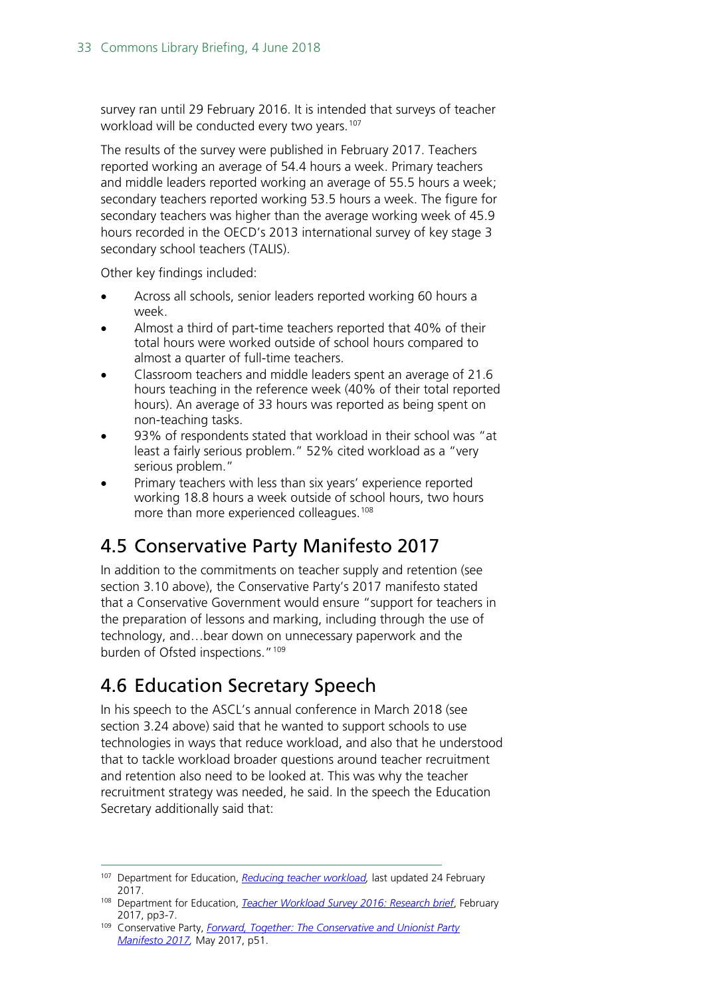survey ran until 29 February 2016. It is intended that surveys of teacher workload will be conducted every two years.<sup>[107](#page-32-2)</sup>

The results of the survey were published in February 2017. Teachers reported working an average of 54.4 hours a week. Primary teachers and middle leaders reported working an average of 55.5 hours a week; secondary teachers reported working 53.5 hours a week. The figure for secondary teachers was higher than the average working week of 45.9 hours recorded in the OECD's 2013 international survey of key stage 3 secondary school teachers (TALIS).

Other key findings included:

- Across all schools, senior leaders reported working 60 hours a week.
- Almost a third of part-time teachers reported that 40% of their total hours were worked outside of school hours compared to almost a quarter of full-time teachers.
- Classroom teachers and middle leaders spent an average of 21.6 hours teaching in the reference week (40% of their total reported hours). An average of 33 hours was reported as being spent on non-teaching tasks.
- 93% of respondents stated that workload in their school was "at least a fairly serious problem." 52% cited workload as a "very serious problem."
- Primary teachers with less than six years' experience reported working 18.8 hours a week outside of school hours, two hours more than more experienced colleagues.<sup>[108](#page-32-3)</sup>

# <span id="page-32-0"></span>4.5 Conservative Party Manifesto 2017

In addition to the commitments on teacher supply and retention (see section 3.10 above), the Conservative Party's 2017 manifesto stated that a Conservative Government would ensure "support for teachers in the preparation of lessons and marking, including through the use of technology, and…bear down on unnecessary paperwork and the burden of Ofsted inspections."[109](#page-32-4)

## <span id="page-32-1"></span>4.6 Education Secretary Speech

In his speech to the ASCL's annual conference in March 2018 (see section 3.24 above) said that he wanted to support schools to use technologies in ways that reduce workload, and also that he understood that to tackle workload broader questions around teacher recruitment and retention also need to be looked at. This was why the teacher recruitment strategy was needed, he said. In the speech the Education Secretary additionally said that:

<span id="page-32-2"></span> <sup>107</sup> Department for Education, *[Reducing teacher workload,](https://www.gov.uk/government/publications/reducing-teachers-workload/reducing-teachers-workload)* last updated 24 February 2017.

<span id="page-32-3"></span><sup>108</sup> Department for Education, *[Teacher Workload Survey 2016: Research brief](https://www.gov.uk/government/uploads/system/uploads/attachment_data/file/594696/TWS-2016_FINAL_Research_brief_Feb_2017.pdf)*, February 2017, pp3-7.

<span id="page-32-4"></span><sup>109</sup> Conservative Party, *[Forward, Together: The Conservative and Unionist Party](https://s3.eu-west-2.amazonaws.com/manifesto2017/Manifesto2017.pdf)  [Manifesto 2017,](https://s3.eu-west-2.amazonaws.com/manifesto2017/Manifesto2017.pdf)* May 2017, p51.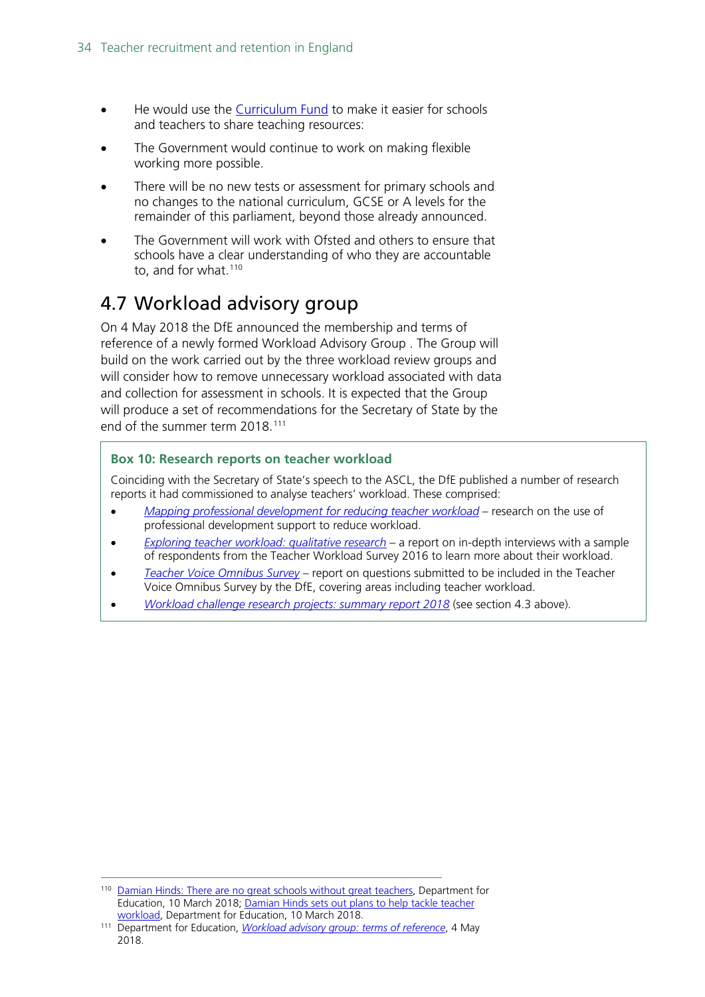- He would use the [Curriculum Fund](https://www.gov.uk/government/news/boost-for-school-standards-with-primary-literacy-drive) to make it easier for schools and teachers to share teaching resources:
- The Government would continue to work on making flexible working more possible.
- There will be no new tests or assessment for primary schools and no changes to the national curriculum, GCSE or A levels for the remainder of this parliament, beyond those already announced.
- The Government will work with Ofsted and others to ensure that schools have a clear understanding of who they are accountable to, and for what.<sup>[110](#page-33-1)</sup>

## <span id="page-33-0"></span>4.7 Workload advisory group

On 4 May 2018 the DfE announced the membership and terms of reference of a newly formed Workload Advisory Group . The Group will build on the work carried out by the three workload review groups and will consider how to remove unnecessary workload associated with data and collection for assessment in schools. It is expected that the Group will produce a set of recommendations for the Secretary of State by the end of the summer term 2018.[111](#page-33-2)

#### **Box 10: Research reports on teacher workload**

Coinciding with the Secretary of State's speech to the ASCL, the DfE published a number of research reports it had commissioned to analyse teachers' workload. These comprised:

- *[Mapping professional development for reducing teacher workload](https://www.gov.uk/government/publications/mapping-professional-development-for-reducing-teacher-workload)* research on the use of professional development support to reduce workload.
- *[Exploring teacher workload: qualitative research](https://www.gov.uk/government/publications/exploring-teacher-workload-qualitative-research)* a report on in-depth interviews with a sample of respondents from the Teacher Workload Survey 2016 to learn more about their workload.
- *[Teacher Voice Omnibus Survey](https://assets.publishing.service.gov.uk/government/uploads/system/uploads/attachment_data/file/687010/Teacher_Voice_report_Summer_2017.pdf)* report on questions submitted to be included in the Teacher Voice Omnibus Survey by the DfE, covering areas including teacher workload.
- *[Workload challenge research projects: summary report 2018](https://www.gov.uk/government/publications/workload-challenge-research-projects-summary-report-2018)* (see section 4.3 above).

<span id="page-33-1"></span> <sup>110</sup> [Damian Hinds: There are no great schools without great teachers,](https://www.gov.uk/government/speeches/damian-hinds-there-are-no-great-schools-without-great-teachers) Department for Education, 10 March 2018; [Damian Hinds sets out plans to help tackle teacher](https://www.gov.uk/government/news/damian-hinds-sets-out-plans-to-help-tackle-teacher-workload)  [workload,](https://www.gov.uk/government/news/damian-hinds-sets-out-plans-to-help-tackle-teacher-workload) Department for Education, 10 March 2018.

<span id="page-33-2"></span><sup>111</sup> Department for Education, *[Workload advisory group: terms of reference](https://www.gov.uk/government/publications/workload-advisory-group-terms-of-reference?utm_source=6ea98f98-31a8-4eeb-8af7-162f50911369&utm_medium=email&utm_campaign=govuk-notifications&utm_content=immediate)*, 4 May 2018.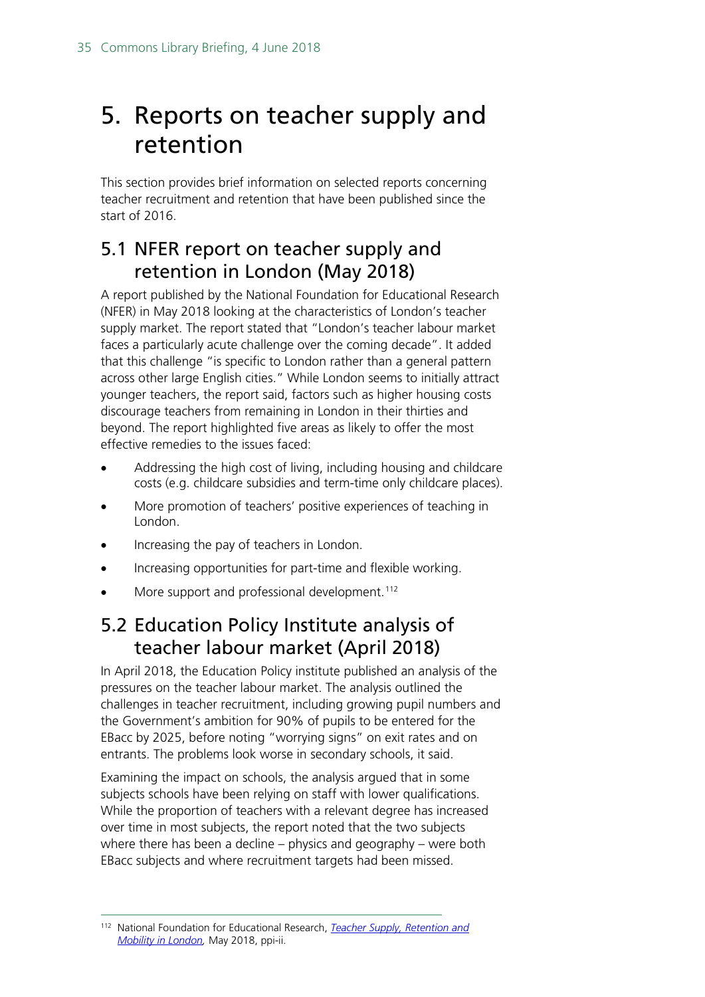# <span id="page-34-0"></span>5. Reports on teacher supply and retention

This section provides brief information on selected reports concerning teacher recruitment and retention that have been published since the start of 2016.

### <span id="page-34-1"></span>5.1 NFER report on teacher supply and retention in London (May 2018)

A report published by the National Foundation for Educational Research (NFER) in May 2018 looking at the characteristics of London's teacher supply market. The report stated that "London's teacher labour market faces a particularly acute challenge over the coming decade". It added that this challenge "is specific to London rather than a general pattern across other large English cities." While London seems to initially attract younger teachers, the report said, factors such as higher housing costs discourage teachers from remaining in London in their thirties and beyond. The report highlighted five areas as likely to offer the most effective remedies to the issues faced:

- Addressing the high cost of living, including housing and childcare costs (e.g. childcare subsidies and term-time only childcare places).
- More promotion of teachers' positive experiences of teaching in London.
- Increasing the pay of teachers in London.
- Increasing opportunities for part-time and flexible working.
- More support and professional development.<sup>[112](#page-34-3)</sup>

### <span id="page-34-2"></span>5.2 Education Policy Institute analysis of teacher labour market (April 2018)

In April 2018, the Education Policy institute published an analysis of the pressures on the teacher labour market. The analysis outlined the challenges in teacher recruitment, including growing pupil numbers and the Government's ambition for 90% of pupils to be entered for the EBacc by 2025, before noting "worrying signs" on exit rates and on entrants. The problems look worse in secondary schools, it said.

Examining the impact on schools, the analysis argued that in some subjects schools have been relying on staff with lower qualifications. While the proportion of teachers with a relevant degree has increased over time in most subjects, the report noted that the two subjects where there has been a decline – physics and geography – were both EBacc subjects and where recruitment targets had been missed.

<span id="page-34-3"></span> <sup>112</sup> National Foundation for Educational Research, *[Teacher Supply, Retention and](https://www.nfer.ac.uk/media/2668/teach-london-report_glts.pdf)  [Mobility in London,](https://www.nfer.ac.uk/media/2668/teach-london-report_glts.pdf)* May 2018, ppi-ii.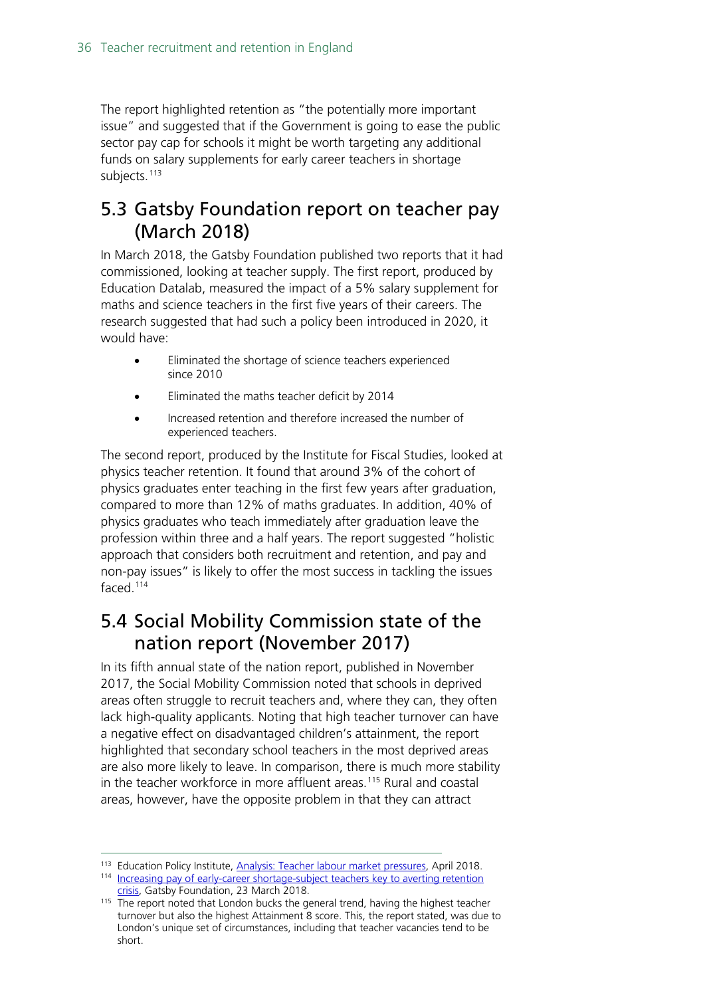The report highlighted retention as "the potentially more important issue" and suggested that if the Government is going to ease the public sector pay cap for schools it might be worth targeting any additional funds on salary supplements for early career teachers in shortage subjects.<sup>[113](#page-35-2)</sup>

#### <span id="page-35-0"></span>5.3 Gatsby Foundation report on teacher pay (March 2018)

In March 2018, the Gatsby Foundation published two reports that it had commissioned, looking at teacher supply. The first report, produced by Education Datalab, measured the impact of a 5% salary supplement for maths and science teachers in the first five years of their careers. The research suggested that had such a policy been introduced in 2020, it would have:

- Eliminated the shortage of science teachers experienced since 2010
- Eliminated the maths teacher deficit by 2014
- Increased retention and therefore increased the number of experienced teachers.

The second report, produced by the Institute for Fiscal Studies, looked at physics teacher retention. It found that around 3% of the cohort of physics graduates enter teaching in the first few years after graduation, compared to more than 12% of maths graduates. In addition, 40% of physics graduates who teach immediately after graduation leave the profession within three and a half years. The report suggested "holistic approach that considers both recruitment and retention, and pay and non-pay issues" is likely to offer the most success in tackling the issues faced.[114](#page-35-3)

### <span id="page-35-1"></span>5.4 Social Mobility Commission state of the nation report (November 2017)

In its fifth annual state of the nation report, published in November 2017, the Social Mobility Commission noted that schools in deprived areas often struggle to recruit teachers and, where they can, they often lack high-quality applicants. Noting that high teacher turnover can have a negative effect on disadvantaged children's attainment, the report highlighted that secondary school teachers in the most deprived areas are also more likely to leave. In comparison, there is much more stability in the teacher workforce in more affluent areas.<sup>115</sup> Rural and coastal areas, however, have the opposite problem in that they can attract

<span id="page-35-3"></span><span id="page-35-2"></span><sup>113</sup> Education Policy Institute, [Analysis: Teacher labour market pressures,](https://epi.org.uk/publications-and-research/the-teacher-labour-market/) April 2018.

<sup>114</sup> Increasing pay of early-career shortage-subject teachers key to averting retention [crisis,](http://www.gatsby.org.uk/education/latest/examine-pay-of-early-career-shortage-subject-teachers-to-effectively-tackle-retention-in-english-secondary-schools) Gatsby Foundation, 23 March 2018.

<span id="page-35-4"></span><sup>&</sup>lt;sup>115</sup> The report noted that London bucks the general trend, having the highest teacher turnover but also the highest Attainment 8 score. This, the report stated, was due to London's unique set of circumstances, including that teacher vacancies tend to be short.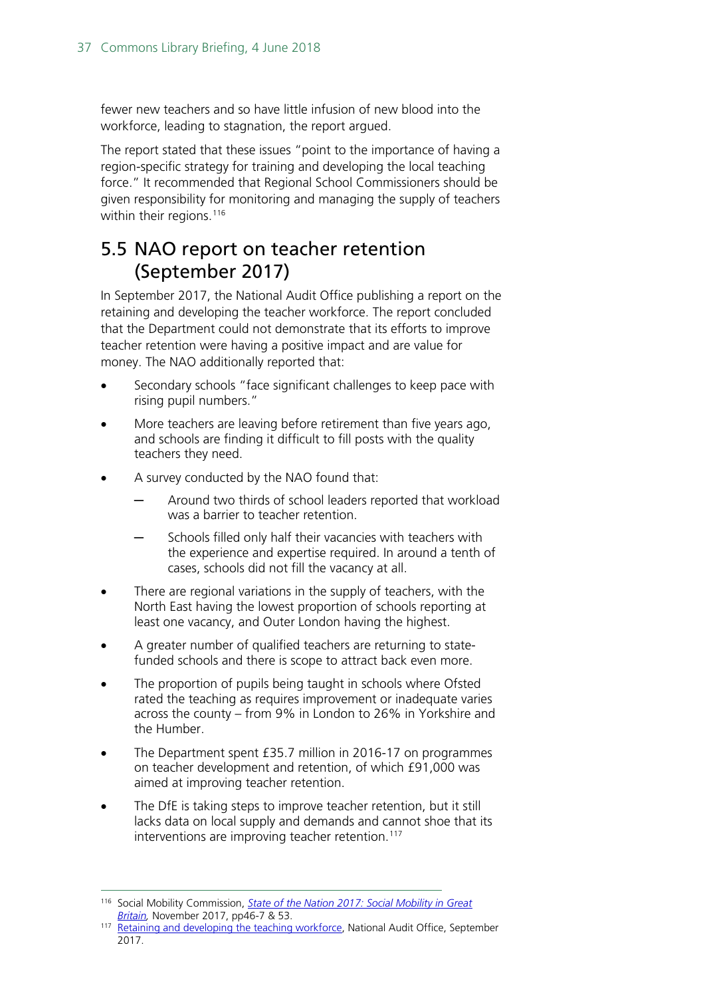fewer new teachers and so have little infusion of new blood into the workforce, leading to stagnation, the report argued.

The report stated that these issues "point to the importance of having a region-specific strategy for training and developing the local teaching force." It recommended that Regional School Commissioners should be given responsibility for monitoring and managing the supply of teachers within their regions.<sup>[116](#page-36-1)</sup>

### <span id="page-36-0"></span>5.5 NAO report on teacher retention (September 2017)

In September 2017, the National Audit Office publishing a report on the retaining and developing the teacher workforce. The report concluded that the Department could not demonstrate that its efforts to improve teacher retention were having a positive impact and are value for money. The NAO additionally reported that:

- Secondary schools "face significant challenges to keep pace with rising pupil numbers."
- More teachers are leaving before retirement than five years ago, and schools are finding it difficult to fill posts with the quality teachers they need.
- A survey conducted by the NAO found that:
	- Around two thirds of school leaders reported that workload was a barrier to teacher retention.
	- Schools filled only half their vacancies with teachers with the experience and expertise required. In around a tenth of cases, schools did not fill the vacancy at all.
- There are regional variations in the supply of teachers, with the North East having the lowest proportion of schools reporting at least one vacancy, and Outer London having the highest.
- A greater number of qualified teachers are returning to statefunded schools and there is scope to attract back even more.
- The proportion of pupils being taught in schools where Ofsted rated the teaching as requires improvement or inadequate varies across the county – from 9% in London to 26% in Yorkshire and the Humber.
- The Department spent £35.7 million in 2016-17 on programmes on teacher development and retention, of which £91,000 was aimed at improving teacher retention.
- The DfE is taking steps to improve teacher retention, but it still lacks data on local supply and demands and cannot shoe that its interventions are improving teacher retention.<sup>[117](#page-36-2)</sup>

<span id="page-36-1"></span> <sup>116</sup> Social Mobility Commission, *[State of the Nation 2017: Social Mobility in Great](https://www.gov.uk/government/uploads/system/uploads/attachment_data/file/662744/State_of_the_Nation_2017_-_Social_Mobility_in_Great_Britain.pdf)  [Britain,](https://www.gov.uk/government/uploads/system/uploads/attachment_data/file/662744/State_of_the_Nation_2017_-_Social_Mobility_in_Great_Britain.pdf)* November 2017, pp46-7 & 53.

<span id="page-36-2"></span><sup>117</sup> [Retaining and developing the teaching workforce,](https://www.nao.org.uk/press-release/retaining-and-developing-the-teaching-workforce/) National Audit Office, September 2017.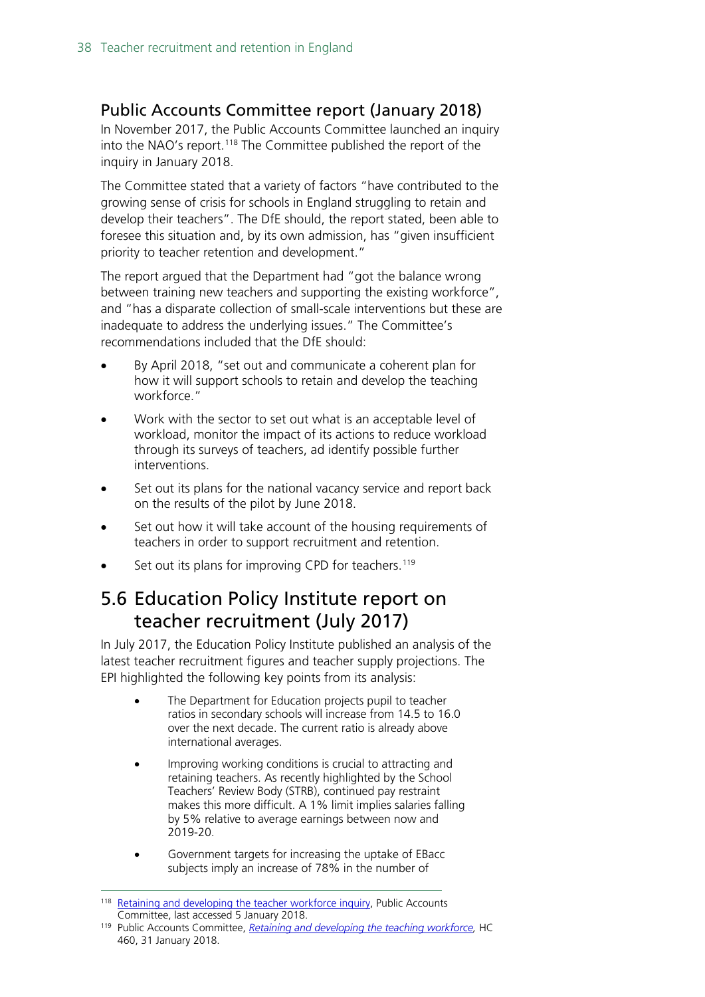#### <span id="page-37-0"></span>Public Accounts Committee report (January 2018)

In November 2017, the Public Accounts Committee launched an inquiry into the NAO's report.<sup>[118](#page-37-2)</sup> The Committee published the report of the inquiry in January 2018.

The Committee stated that a variety of factors "have contributed to the growing sense of crisis for schools in England struggling to retain and develop their teachers". The DfE should, the report stated, been able to foresee this situation and, by its own admission, has "given insufficient priority to teacher retention and development."

The report argued that the Department had "got the balance wrong between training new teachers and supporting the existing workforce", and "has a disparate collection of small-scale interventions but these are inadequate to address the underlying issues." The Committee's recommendations included that the DfE should:

- By April 2018, "set out and communicate a coherent plan for how it will support schools to retain and develop the teaching workforce."
- Work with the sector to set out what is an acceptable level of workload, monitor the impact of its actions to reduce workload through its surveys of teachers, ad identify possible further interventions.
- Set out its plans for the national vacancy service and report back on the results of the pilot by June 2018.
- Set out how it will take account of the housing requirements of teachers in order to support recruitment and retention.
- Set out its plans for improving CPD for teachers.<sup>[119](#page-37-3)</sup>

#### <span id="page-37-1"></span>5.6 Education Policy Institute report on teacher recruitment (July 2017)

In July 2017, the Education Policy Institute published an analysis of the latest teacher recruitment figures and teacher supply projections. The EPI highlighted the following key points from its analysis:

- The Department for Education projects pupil to teacher ratios in secondary schools will increase from 14.5 to 16.0 over the next decade. The current ratio is already above international averages.
- Improving working conditions is crucial to attracting and retaining teachers. As recently highlighted by the School Teachers' Review Body (STRB), continued pay restraint makes this more difficult. A 1% limit implies salaries falling by 5% relative to average earnings between now and 2019-20.
- Government targets for increasing the uptake of EBacc subjects imply an increase of 78% in the number of

<span id="page-37-2"></span><sup>&</sup>lt;sup>118</sup> [Retaining and developing the teacher workforce inquiry,](http://www.parliament.uk/business/committees/committees-a-z/commons-select/public-accounts-committee/inquiries/parliament-2017/sustaining-developing-teaching-workforce-17-19/) Public Accounts Committee, last accessed 5 January 2018.

<span id="page-37-3"></span><sup>119</sup> Public Accounts Committee, *[Retaining and developing the teaching workforce,](https://publications.parliament.uk/pa/cm201719/cmselect/cmpubacc/460/460.pdf)* HC 460, 31 January 2018.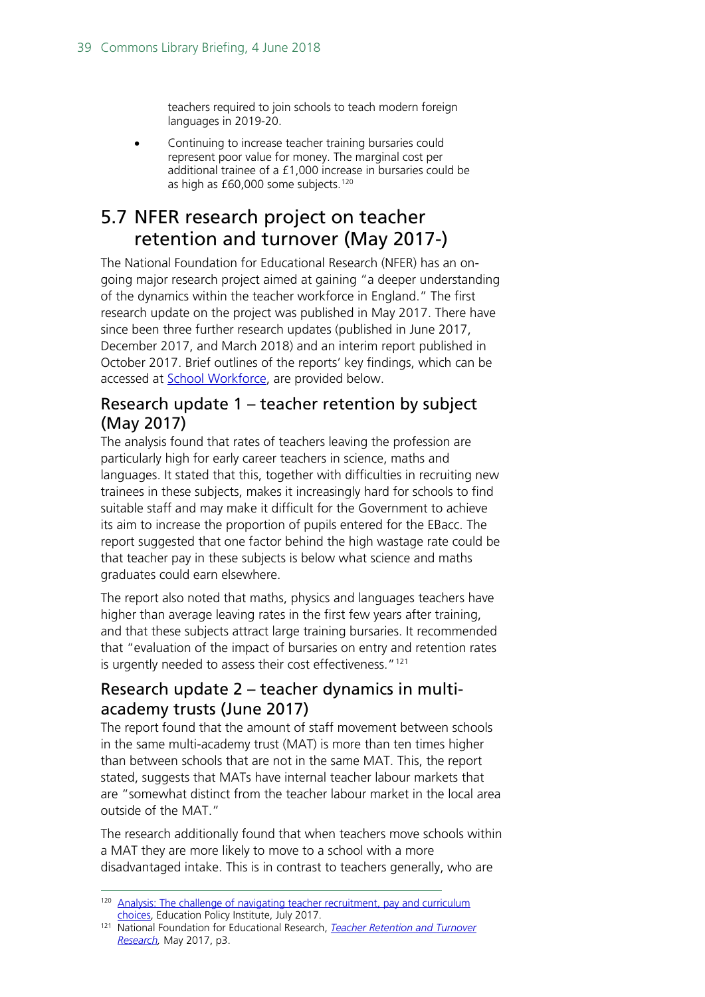teachers required to join schools to teach modern foreign languages in 2019-20.

• Continuing to increase teacher training bursaries could represent poor value for money. The marginal cost per additional trainee of a £1,000 increase in bursaries could be as high as £60,000 some subjects.<sup>120</sup>

### <span id="page-38-0"></span>5.7 NFER research project on teacher retention and turnover (May 2017-)

The National Foundation for Educational Research (NFER) has an ongoing major research project aimed at gaining "a deeper understanding of the dynamics within the teacher workforce in England." The first research update on the project was published in May 2017. There have since been three further research updates (published in June 2017, December 2017, and March 2018) and an interim report published in October 2017. Brief outlines of the reports' key findings, which can be accessed at [School Workforce,](https://www.nfer.ac.uk/research/school-workforce/) are provided below.

#### Research update 1 – teacher retention by subject (May 2017)

The analysis found that rates of teachers leaving the profession are particularly high for early career teachers in science, maths and languages. It stated that this, together with difficulties in recruiting new trainees in these subjects, makes it increasingly hard for schools to find suitable staff and may make it difficult for the Government to achieve its aim to increase the proportion of pupils entered for the EBacc. The report suggested that one factor behind the high wastage rate could be that teacher pay in these subjects is below what science and maths graduates could earn elsewhere.

The report also noted that maths, physics and languages teachers have higher than average leaving rates in the first few years after training, and that these subjects attract large training bursaries. It recommended that "evaluation of the impact of bursaries on entry and retention rates is urgently needed to assess their cost effectiveness."<sup>[121](#page-38-2)</sup>

#### Research update 2 – teacher dynamics in multiacademy trusts (June 2017)

The report found that the amount of staff movement between schools in the same multi-academy trust (MAT) is more than ten times higher than between schools that are not in the same MAT. This, the report stated, suggests that MATs have internal teacher labour markets that are "somewhat distinct from the teacher labour market in the local area outside of the MAT."

The research additionally found that when teachers move schools within a MAT they are more likely to move to a school with a more disadvantaged intake. This is in contrast to teachers generally, who are

<span id="page-38-1"></span><sup>&</sup>lt;sup>120</sup> Analysis: The challenge of navigating teacher recruitment, pay and curriculum [choices,](https://epi.org.uk/analysis/analysis-challenge-navigating-teacher-recruitment-pay-curriculum-choices/) Education Policy Institute, July 2017.

<span id="page-38-2"></span><sup>121</sup> National Foundation for Educational Research, *[Teacher Retention and Turnover](https://www.nfer.ac.uk/publications/NUFS01/NUFS01.pdf)  [Research,](https://www.nfer.ac.uk/publications/NUFS01/NUFS01.pdf)* May 2017, p3.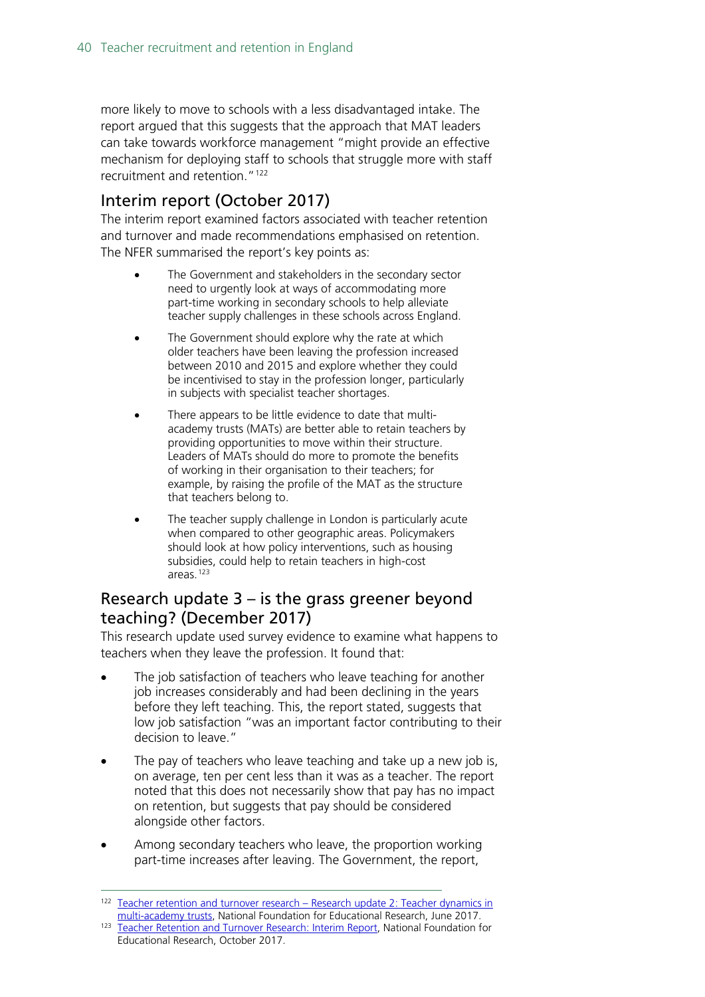more likely to move to schools with a less disadvantaged intake. The report argued that this suggests that the approach that MAT leaders can take towards workforce management "might provide an effective mechanism for deploying staff to schools that struggle more with staff recruitment and retention."<sup>[122](#page-39-1)</sup>

#### Interim report (October 2017)

The interim report examined factors associated with teacher retention and turnover and made recommendations emphasised on retention. The NFER summarised the report's key points as:

- The Government and stakeholders in the secondary sector need to urgently look at ways of accommodating more part-time working in secondary schools to help alleviate teacher supply challenges in these schools across England.
- The Government should explore why the rate at which older teachers have been leaving the profession increased between 2010 and 2015 and explore whether they could be incentivised to stay in the profession longer, particularly in subjects with specialist teacher shortages.
- There appears to be little evidence to date that multiacademy trusts (MATs) are better able to retain teachers by providing opportunities to move within their structure. Leaders of MATs should do more to promote the benefits of working in their organisation to their teachers; for example, by raising the profile of the MAT as the structure that teachers belong to.
- The teacher supply challenge in London is particularly acute when compared to other geographic areas. Policymakers should look at how policy interventions, such as housing subsidies, could help to retain teachers in high-cost areas.[123](#page-39-2)

#### <span id="page-39-0"></span>Research update 3 – is the grass greener beyond teaching? (December 2017)

This research update used survey evidence to examine what happens to teachers when they leave the profession. It found that:

- The job satisfaction of teachers who leave teaching for another job increases considerably and had been declining in the years before they left teaching. This, the report stated, suggests that low job satisfaction "was an important factor contributing to their decision to leave."
- The pay of teachers who leave teaching and take up a new job is, on average, ten per cent less than it was as a teacher. The report noted that this does not necessarily show that pay has no impact on retention, but suggests that pay should be considered alongside other factors.
- Among secondary teachers who leave, the proportion working part-time increases after leaving. The Government, the report,

<span id="page-39-1"></span><sup>122</sup> [Teacher retention and turnover research –](https://www.nfer.ac.uk/publications/NUFS02/) Research update 2: Teacher dynamics in [multi-academy trusts,](https://www.nfer.ac.uk/publications/NUFS02/) National Foundation for Educational Research, June 2017.

<span id="page-39-2"></span><sup>123</sup> [Teacher Retention and Turnover Research: Interim Report,](https://www.nfer.ac.uk/publications/NUFS03/) National Foundation for Educational Research, October 2017.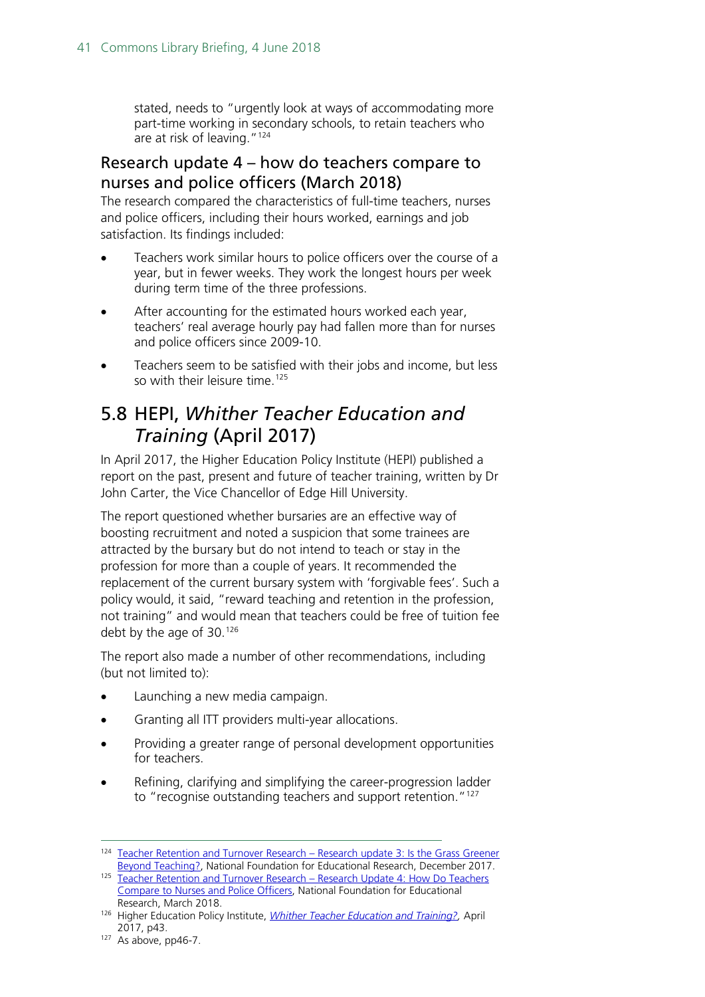stated, needs to "urgently look at ways of accommodating more part-time working in secondary schools, to retain teachers who are at risk of leaving."<sup>[124](#page-40-2)</sup>

#### <span id="page-40-0"></span>Research update 4 – how do teachers compare to nurses and police officers (March 2018)

The research compared the characteristics of full-time teachers, nurses and police officers, including their hours worked, earnings and job satisfaction. Its findings included:

- Teachers work similar hours to police officers over the course of a year, but in fewer weeks. They work the longest hours per week during term time of the three professions.
- After accounting for the estimated hours worked each year, teachers' real average hourly pay had fallen more than for nurses and police officers since 2009-10.
- Teachers seem to be satisfied with their jobs and income, but less so with their leisure time.<sup>[125](#page-40-3)</sup>

### <span id="page-40-1"></span>5.8 HEPI, *Whither Teacher Education and Training* (April 2017)

In April 2017, the Higher Education Policy Institute (HEPI) published a report on the past, present and future of teacher training, written by Dr John Carter, the Vice Chancellor of Edge Hill University.

The report questioned whether bursaries are an effective way of boosting recruitment and noted a suspicion that some trainees are attracted by the bursary but do not intend to teach or stay in the profession for more than a couple of years. It recommended the replacement of the current bursary system with 'forgivable fees'. Such a policy would, it said, "reward teaching and retention in the profession, not training" and would mean that teachers could be free of tuition fee debt by the age of 30.<sup>[126](#page-40-4)</sup>

The report also made a number of other recommendations, including (but not limited to):

- Launching a new media campaign.
- Granting all ITT providers multi-year allocations.
- Providing a greater range of personal development opportunities for teachers.
- Refining, clarifying and simplifying the career-progression ladder to "recognise outstanding teachers and support retention."<sup>[127](#page-40-5)</sup>

<span id="page-40-2"></span><sup>124</sup> [Teacher Retention and Turnover Research –](https://www.nfer.ac.uk/publications/NUFS04/) Research update 3: Is the Grass Greener [Beyond Teaching?,](https://www.nfer.ac.uk/publications/NUFS04/) National Foundation for Educational Research, December 2017.

<span id="page-40-3"></span><sup>125</sup> [Teacher Retention and Turnover Research –](https://www.nfer.ac.uk/publications/NUFS05/NUFS05.pdf) Research Update 4: How Do Teachers [Compare to Nurses and Police Officers,](https://www.nfer.ac.uk/publications/NUFS05/NUFS05.pdf) National Foundation for Educational Research, March 2018.

<span id="page-40-4"></span><sup>126</sup> Higher Education Policy Institute, *[Whither Teacher Education and Training?,](http://www.hepi.ac.uk/wp-content/uploads/2017/04/Embargoed-until-00.01am-Thursday-27-April-2017-WHITHER-TEACHER-EDUCATION-AND-TRAINING-Report-95-19_04_17WEB.pdf)* April 2017, p43.

<span id="page-40-5"></span> $127$  As above, pp46-7.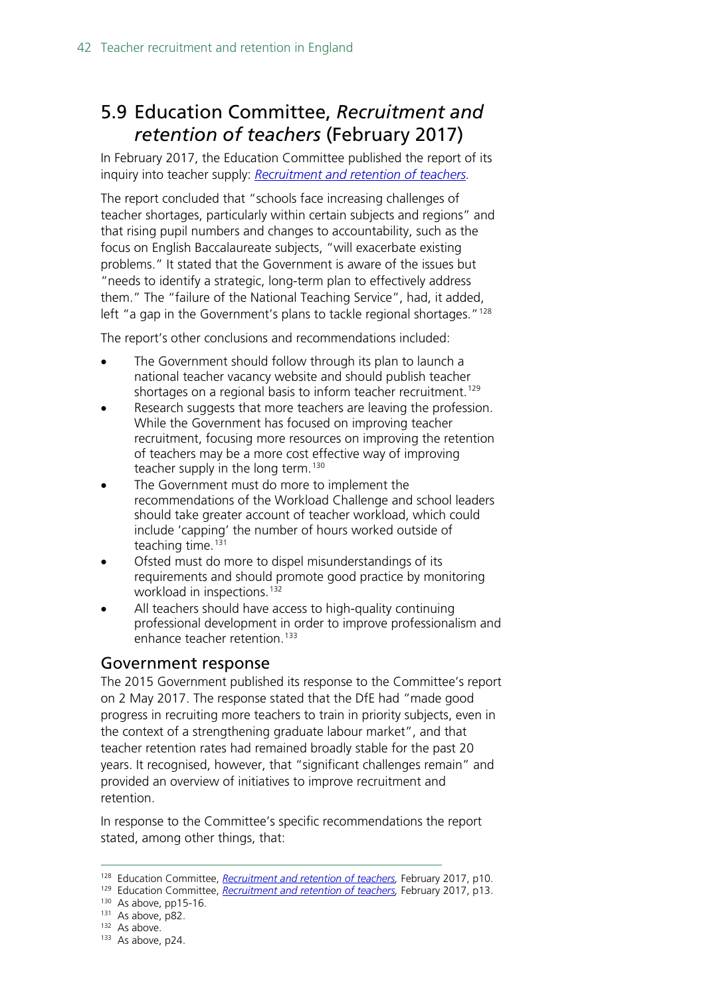## <span id="page-41-0"></span>5.9 Education Committee, *Recruitment and retention of teachers* (February 2017)

In February 2017, the Education Committee published the report of its inquiry into teacher supply: *[Recruitment and retention of teachers.](http://www.parliament.uk/business/committees/committees-a-z/commons-select/education-committee/news-parliament-2015/supply-of-teachers-report-published-16-17/)* 

The report concluded that "schools face increasing challenges of teacher shortages, particularly within certain subjects and regions" and that rising pupil numbers and changes to accountability, such as the focus on English Baccalaureate subjects, "will exacerbate existing problems." It stated that the Government is aware of the issues but "needs to identify a strategic, long-term plan to effectively address them." The "failure of the National Teaching Service", had, it added, left "a gap in the Government's plans to tackle regional shortages."<sup>[128](#page-41-1)</sup>

The report's other conclusions and recommendations included:

- The Government should follow through its plan to launch a national teacher vacancy website and should publish teacher shortages on a regional basis to inform teacher recruitment.<sup>[129](#page-41-2)</sup>
- Research suggests that more teachers are leaving the profession. While the Government has focused on improving teacher recruitment, focusing more resources on improving the retention of teachers may be a more cost effective way of improving teacher supply in the long term.<sup>[130](#page-41-3)</sup>
- The Government must do more to implement the recommendations of the Workload Challenge and school leaders should take greater account of teacher workload, which could include 'capping' the number of hours worked outside of teaching time.<sup>[131](#page-41-4)</sup>
- Ofsted must do more to dispel misunderstandings of its requirements and should promote good practice by monitoring workload in inspections.<sup>[132](#page-41-5)</sup>
- All teachers should have access to high-quality continuing professional development in order to improve professionalism and enhance teacher retention.<sup>[133](#page-41-6)</sup>

#### Government response

The 2015 Government published its response to the Committee's report on 2 May 2017. The response stated that the DfE had "made good progress in recruiting more teachers to train in priority subjects, even in the context of a strengthening graduate labour market", and that teacher retention rates had remained broadly stable for the past 20 years. It recognised, however, that "significant challenges remain" and provided an overview of initiatives to improve recruitment and retention.

In response to the Committee's specific recommendations the report stated, among other things, that:

<span id="page-41-1"></span> <sup>128</sup> Education Committee, *[Recruitment and retention of teachers,](https://www.publications.parliament.uk/pa/cm201617/cmselect/cmeduc/199/199.pdf)* February 2017, p10.

<span id="page-41-2"></span><sup>&</sup>lt;sup>129</sup> Education Committee, *Recruitment and retention of teachers*, February 2017, p13.

<span id="page-41-3"></span><sup>130</sup> As above, pp15-16.

<span id="page-41-4"></span><sup>131</sup> As above, p82.

<span id="page-41-5"></span><sup>132</sup> As above.

<span id="page-41-6"></span><sup>133</sup> As above, p24.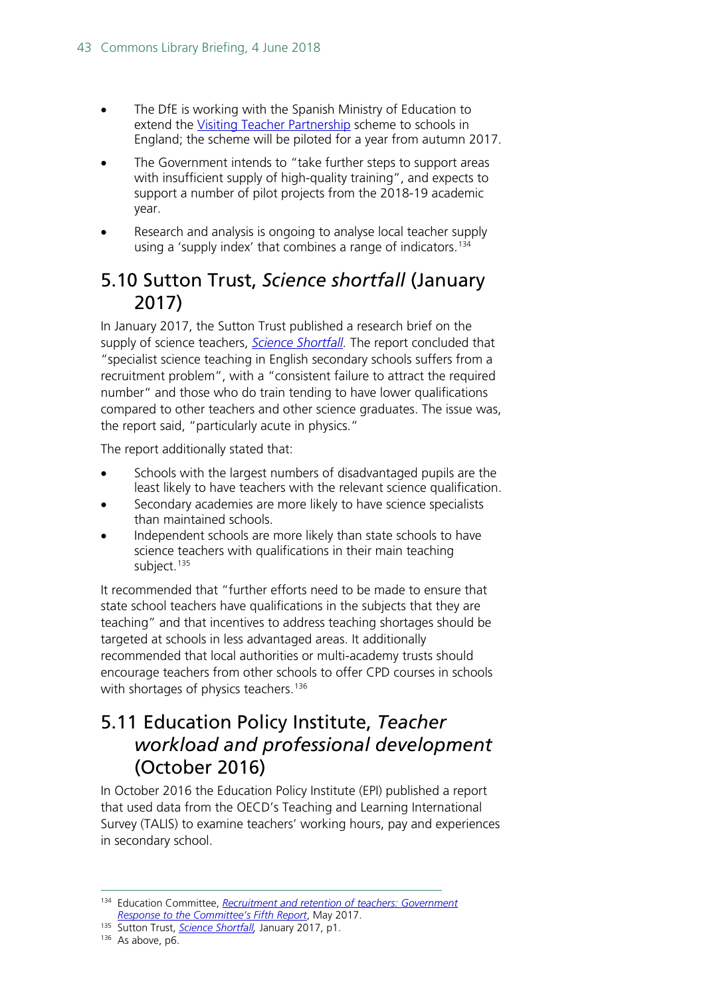- The DfE is working with the Spanish Ministry of Education to extend the [Visiting Teacher Partnership](https://www.gov.uk/guidance/spains-visiting-teachers-programme) scheme to schools in England; the scheme will be piloted for a year from autumn 2017.
- The Government intends to "take further steps to support areas with insufficient supply of high-quality training", and expects to support a number of pilot projects from the 2018-19 academic year.
- Research and analysis is ongoing to analyse local teacher supply using a 'supply index' that combines a range of indicators.<sup>[134](#page-42-2)</sup>

### <span id="page-42-0"></span>5.10 Sutton Trust, *Science shortfall* (January 2017)

In January 2017, the Sutton Trust published a research brief on the supply of science teachers, *[Science Shortfall.](http://www.suttontrust.com/wp-content/uploads/2017/01/Science-shortfall_FINAL.pdf)* The report concluded that "specialist science teaching in English secondary schools suffers from a recruitment problem", with a "consistent failure to attract the required number" and those who do train tending to have lower qualifications compared to other teachers and other science graduates. The issue was, the report said, "particularly acute in physics."

The report additionally stated that:

- Schools with the largest numbers of disadvantaged pupils are the least likely to have teachers with the relevant science qualification.
- Secondary academies are more likely to have science specialists than maintained schools.
- Independent schools are more likely than state schools to have science teachers with qualifications in their main teaching subject. [135](#page-42-3)

It recommended that "further efforts need to be made to ensure that state school teachers have qualifications in the subjects that they are teaching" and that incentives to address teaching shortages should be targeted at schools in less advantaged areas. It additionally recommended that local authorities or multi-academy trusts should encourage teachers from other schools to offer CPD courses in schools with shortages of physics teachers.<sup>[136](#page-42-4)</sup>

### <span id="page-42-1"></span>5.11 Education Policy Institute, *Teacher workload and professional development* (October 2016)

In October 2016 the Education Policy Institute (EPI) published a report that used data from the OECD's Teaching and Learning International Survey (TALIS) to examine teachers' working hours, pay and experiences in secondary school.

<span id="page-42-2"></span> <sup>134</sup> Education Committee, *[Recruitment and retention of teachers: Government](https://www.publications.parliament.uk/pa/cm201617/cmselect/cmeduc/638/638.pdf)  [Response to the Committee's Fifth Report](https://www.publications.parliament.uk/pa/cm201617/cmselect/cmeduc/638/638.pdf)*, May 2017.

<span id="page-42-4"></span><span id="page-42-3"></span><sup>135</sup> Sutton Trust, *[Science Shortfall,](http://www.suttontrust.com/wp-content/uploads/2017/01/Science-shortfall_FINAL.pdf)* January 2017, p1.

<sup>136</sup> As above, p6.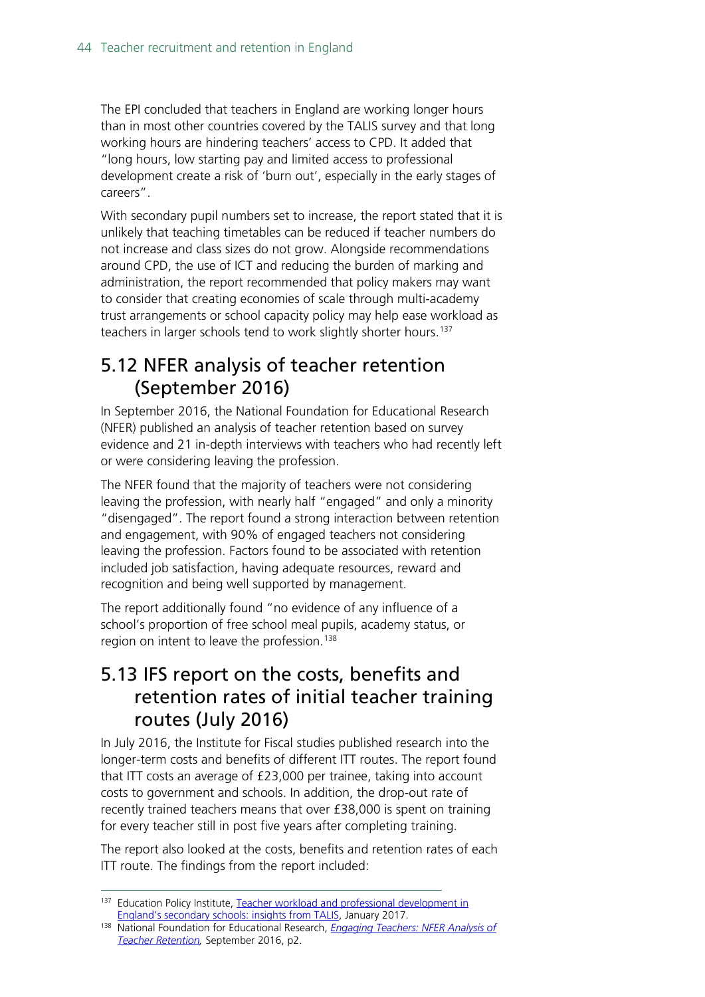The EPI concluded that teachers in England are working longer hours than in most other countries covered by the TALIS survey and that long working hours are hindering teachers' access to CPD. It added that "long hours, low starting pay and limited access to professional development create a risk of 'burn out', especially in the early stages of careers".

With secondary pupil numbers set to increase, the report stated that it is unlikely that teaching timetables can be reduced if teacher numbers do not increase and class sizes do not grow. Alongside recommendations around CPD, the use of ICT and reducing the burden of marking and administration, the report recommended that policy makers may want to consider that creating economies of scale through multi-academy trust arrangements or school capacity policy may help ease workload as teachers in larger schools tend to work slightly shorter hours.<sup>[137](#page-43-2)</sup>

### <span id="page-43-0"></span>5.12 NFER analysis of teacher retention (September 2016)

In September 2016, the National Foundation for Educational Research (NFER) published an analysis of teacher retention based on survey evidence and 21 in-depth interviews with teachers who had recently left or were considering leaving the profession.

The NFER found that the majority of teachers were not considering leaving the profession, with nearly half "engaged" and only a minority "disengaged". The report found a strong interaction between retention and engagement, with 90% of engaged teachers not considering leaving the profession. Factors found to be associated with retention included job satisfaction, having adequate resources, reward and recognition and being well supported by management.

The report additionally found "no evidence of any influence of a school's proportion of free school meal pupils, academy status, or region on intent to leave the profession.<sup>[138](#page-43-3)</sup>

### <span id="page-43-1"></span>5.13 IFS report on the costs, benefits and retention rates of initial teacher training routes (July 2016)

In July 2016, the Institute for Fiscal studies published research into the longer-term costs and benefits of different ITT routes. The report found that ITT costs an average of £23,000 per trainee, taking into account costs to government and schools. In addition, the drop-out rate of recently trained teachers means that over £38,000 is spent on training for every teacher still in post five years after completing training.

The report also looked at the costs, benefits and retention rates of each ITT route. The findings from the report included:

<span id="page-43-2"></span><sup>&</sup>lt;sup>137</sup> Education Policy Institute, Teacher workload and professional development in England's [secondary schools: insights from TALIS,](https://epi.org.uk/report/teacherworkload/) January 2017.

<span id="page-43-3"></span><sup>138</sup> National Foundation for Educational Research, *[Engaging Teachers: NFER Analysis of](https://www.nfer.ac.uk/publications/LFSB01/LFSB01.pdf)  [Teacher Retention,](https://www.nfer.ac.uk/publications/LFSB01/LFSB01.pdf)* September 2016, p2.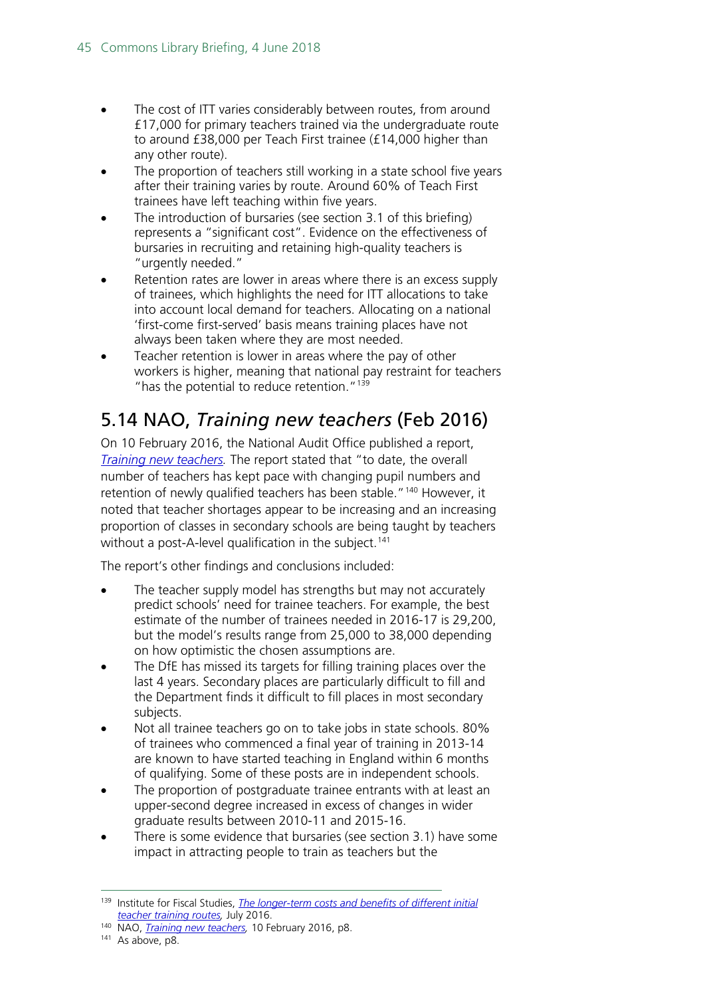- The cost of ITT varies considerably between routes, from around £17,000 for primary teachers trained via the undergraduate route to around £38,000 per Teach First trainee (£14,000 higher than any other route).
- The proportion of teachers still working in a state school five years after their training varies by route. Around 60% of Teach First trainees have left teaching within five years.
- The introduction of bursaries (see section 3.1 of this briefing) represents a "significant cost". Evidence on the effectiveness of bursaries in recruiting and retaining high-quality teachers is "urgently needed."
- Retention rates are lower in areas where there is an excess supply of trainees, which highlights the need for ITT allocations to take into account local demand for teachers. Allocating on a national 'first-come first-served' basis means training places have not always been taken where they are most needed.
- Teacher retention is lower in areas where the pay of other workers is higher, meaning that national pay restraint for teachers "has the potential to reduce retention."<sup>[139](#page-44-1)</sup>

# <span id="page-44-0"></span>5.14 NAO, *Training new teachers* (Feb 2016)

On 10 February 2016, the National Audit Office published a report, *Training new teachers*. The report stated that "to date, the overall number of teachers has kept pace with changing pupil numbers and retention of newly qualified teachers has been stable."<sup>[140](#page-44-2)</sup> However, it noted that teacher shortages appear to be increasing and an increasing proportion of classes in secondary schools are being taught by teachers without a post-A-level qualification in the subject.<sup>[141](#page-44-3)</sup>

The report's other findings and conclusions included:

- The teacher supply model has strengths but may not accurately predict schools' need for trainee teachers. For example, the best estimate of the number of trainees needed in 2016-17 is 29,200, but the model's results range from 25,000 to 38,000 depending on how optimistic the chosen assumptions are.
- The DfE has missed its targets for filling training places over the last 4 years. Secondary places are particularly difficult to fill and the Department finds it difficult to fill places in most secondary subjects.
- Not all trainee teachers go on to take jobs in state schools. 80% of trainees who commenced a final year of training in 2013-14 are known to have started teaching in England within 6 months of qualifying. Some of these posts are in independent schools.
- The proportion of postgraduate trainee entrants with at least an upper-second degree increased in excess of changes in wider graduate results between 2010-11 and 2015-16.
- There is some evidence that bursaries (see section 3.1) have some impact in attracting people to train as teachers but the

<span id="page-44-1"></span> <sup>139</sup> Institute for Fiscal Studies, *[The longer-term costs and benefits of different initial](https://www.ifs.org.uk/publications/8368)  [teacher training routes,](https://www.ifs.org.uk/publications/8368)* July 2016.

<span id="page-44-2"></span><sup>140</sup> NAO, *[Training new teachers,](https://www.nao.org.uk/wp-content/uploads/2016/02/Training-new-teachers.pdf)* 10 February 2016, p8.

<span id="page-44-3"></span><sup>&</sup>lt;sup>141</sup> As above, p8.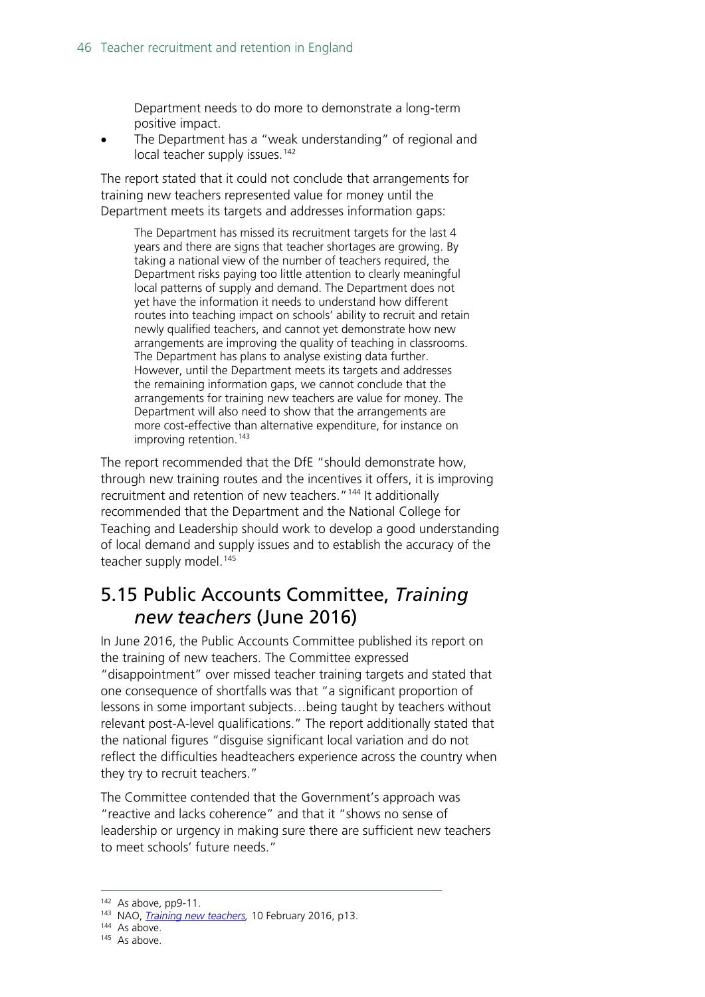Department needs to do more to demonstrate a long-term positive impact.

The Department has a "weak understanding" of regional and local teacher supply issues.<sup>[142](#page-45-1)</sup>

The report stated that it could not conclude that arrangements for training new teachers represented value for money until the Department meets its targets and addresses information gaps:

The Department has missed its recruitment targets for the last 4 years and there are signs that teacher shortages are growing. By taking a national view of the number of teachers required, the Department risks paying too little attention to clearly meaningful local patterns of supply and demand. The Department does not yet have the information it needs to understand how different routes into teaching impact on schools' ability to recruit and retain newly qualified teachers, and cannot yet demonstrate how new arrangements are improving the quality of teaching in classrooms. The Department has plans to analyse existing data further. However, until the Department meets its targets and addresses the remaining information gaps, we cannot conclude that the arrangements for training new teachers are value for money. The Department will also need to show that the arrangements are more cost-effective than alternative expenditure, for instance on improving retention.<sup>[143](#page-45-2)</sup>

The report recommended that the DfE "should demonstrate how, through new training routes and the incentives it offers, it is improving recruitment and retention of new teachers."<sup>[144](#page-45-3)</sup> It additionally recommended that the Department and the National College for Teaching and Leadership should work to develop a good understanding of local demand and supply issues and to establish the accuracy of the teacher supply model.<sup>[145](#page-45-4)</sup>

### <span id="page-45-0"></span>5.15 Public Accounts Committee, *Training new teachers* (June 2016)

In June 2016, the Public Accounts Committee published its report on the training of new teachers. The Committee expressed "disappointment" over missed teacher training targets and stated that one consequence of shortfalls was that "a significant proportion of lessons in some important subjects…being taught by teachers without relevant post-A-level qualifications." The report additionally stated that the national figures "disguise significant local variation and do not reflect the difficulties headteachers experience across the country when they try to recruit teachers."

The Committee contended that the Government's approach was "reactive and lacks coherence" and that it "shows no sense of leadership or urgency in making sure there are sufficient new teachers to meet schools' future needs."

<span id="page-45-2"></span><span id="page-45-1"></span> <sup>142</sup> As above, pp9-11.

<sup>143</sup> NAO, *[Training new teachers,](https://www.nao.org.uk/wp-content/uploads/2016/02/Training-new-teachers.pdf)* 10 February 2016, p13.

<span id="page-45-3"></span><sup>&</sup>lt;sup>144</sup> As above.

<span id="page-45-4"></span><sup>&</sup>lt;sup>145</sup> As above.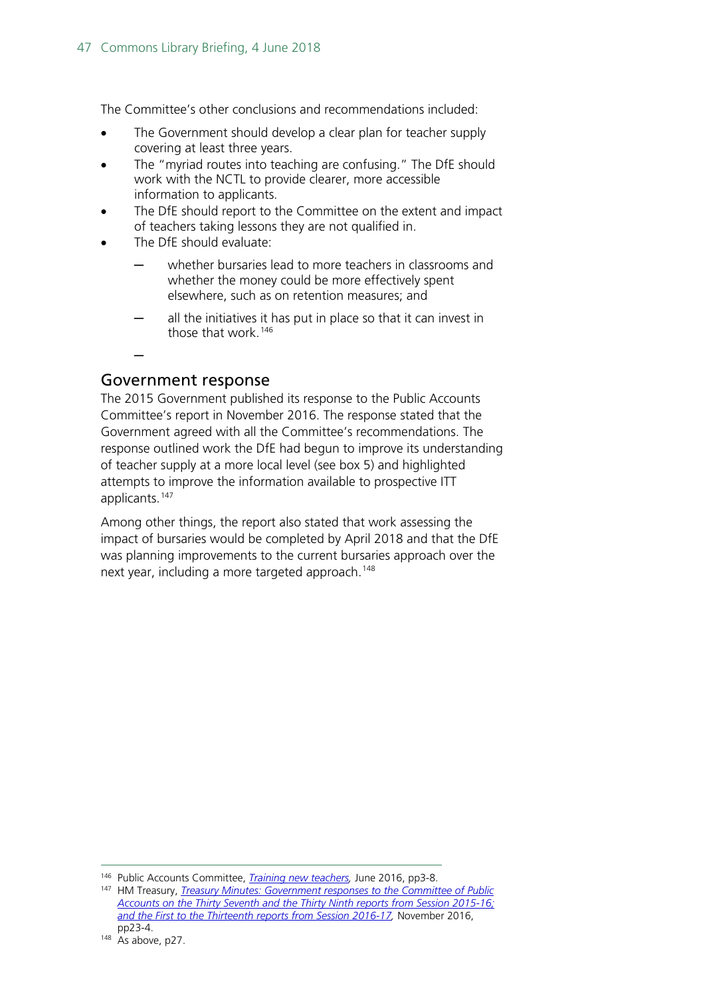The Committee's other conclusions and recommendations included:

- The Government should develop a clear plan for teacher supply covering at least three years.
- The "myriad routes into teaching are confusing." The DfE should work with the NCTL to provide clearer, more accessible information to applicants.
- The DfE should report to the Committee on the extent and impact of teachers taking lessons they are not qualified in.
- The DfE should evaluate:
	- whether bursaries lead to more teachers in classrooms and whether the money could be more effectively spent elsewhere, such as on retention measures; and
	- all the initiatives it has put in place so that it can invest in those that work.[146](#page-46-0)

#### ─

#### Government response

The 2015 Government published its response to the Public Accounts Committee's report in November 2016. The response stated that the Government agreed with all the Committee's recommendations. The response outlined work the DfE had begun to improve its understanding of teacher supply at a more local level (see box 5) and highlighted attempts to improve the information available to prospective ITT applicants.[147](#page-46-1)

Among other things, the report also stated that work assessing the impact of bursaries would be completed by April 2018 and that the DfE was planning improvements to the current bursaries approach over the next year, including a more targeted approach.<sup>[148](#page-46-2)</sup>

<span id="page-46-0"></span> <sup>146</sup> Public Accounts Committee, *[Training new teachers,](https://www.publications.parliament.uk/pa/cm201617/cmselect/cmpubacc/73/73.pdf)* June 2016, pp3-8.

<span id="page-46-2"></span><span id="page-46-1"></span><sup>147</sup> HM Treasury, *[Treasury Minutes: Government responses to the Committee of Public](https://www.gov.uk/government/uploads/system/uploads/attachment_data/file/565426/57448_Cm_9351_Treasury_Minutes_Accessible.pdf)  [Accounts on the Thirty Seventh and the Thirty Ninth reports from Session 2015-16;](https://www.gov.uk/government/uploads/system/uploads/attachment_data/file/565426/57448_Cm_9351_Treasury_Minutes_Accessible.pdf)  [and the First to the Thirteenth reports from Session 2016-17,](https://www.gov.uk/government/uploads/system/uploads/attachment_data/file/565426/57448_Cm_9351_Treasury_Minutes_Accessible.pdf)* November 2016,  $pp2\overline{3-4}$ .